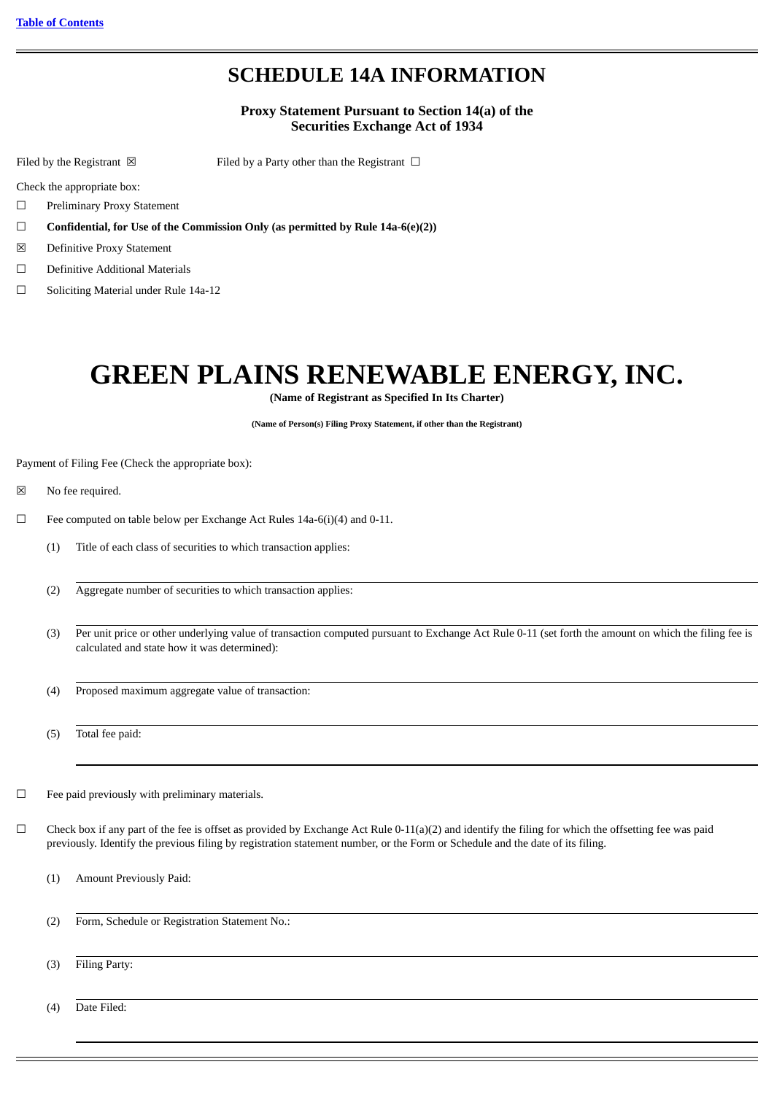# **SCHEDULE 14A INFORMATION**

# **Proxy Statement Pursuant to Section 14(a) of the Securities Exchange Act of 1934**

Filed by the Registrant  $\boxtimes$  Filed by a Party other than the Registrant  $\Box$ 

Check the appropriate box:

- ☐ Preliminary Proxy Statement
- ☐ **Confidential, for Use of the Commission Only (as permitted by Rule 14a-6(e)(2))**
- ☒ Definitive Proxy Statement
- ☐ Definitive Additional Materials
- ☐ Soliciting Material under Rule 14a-12

# **GREEN PLAINS RENEWABLE ENERGY, INC.**

**(Name of Registrant as Specified In Its Charter)**

**(Name of Person(s) Filing Proxy Statement, if other than the Registrant)**

Payment of Filing Fee (Check the appropriate box):

- ☒ No fee required.
- $\Box$  Fee computed on table below per Exchange Act Rules 14a-6(i)(4) and 0-11.
	- (1) Title of each class of securities to which transaction applies:
	- (2) Aggregate number of securities to which transaction applies:
	- (3) Per unit price or other underlying value of transaction computed pursuant to Exchange Act Rule 0-11 (set forth the amount on which the filing fee is calculated and state how it was determined):
	- (4) Proposed maximum aggregate value of transaction:
	- (5) Total fee paid:
- $\Box$  Fee paid previously with preliminary materials.
- $\Box$  Check box if any part of the fee is offset as provided by Exchange Act Rule 0-11(a)(2) and identify the filing for which the offsetting fee was paid previously. Identify the previous filing by registration statement number, or the Form or Schedule and the date of its filing.
	- (1) Amount Previously Paid:
	- (2) Form, Schedule or Registration Statement No.:
	- (3) Filing Party:

(4) Date Filed: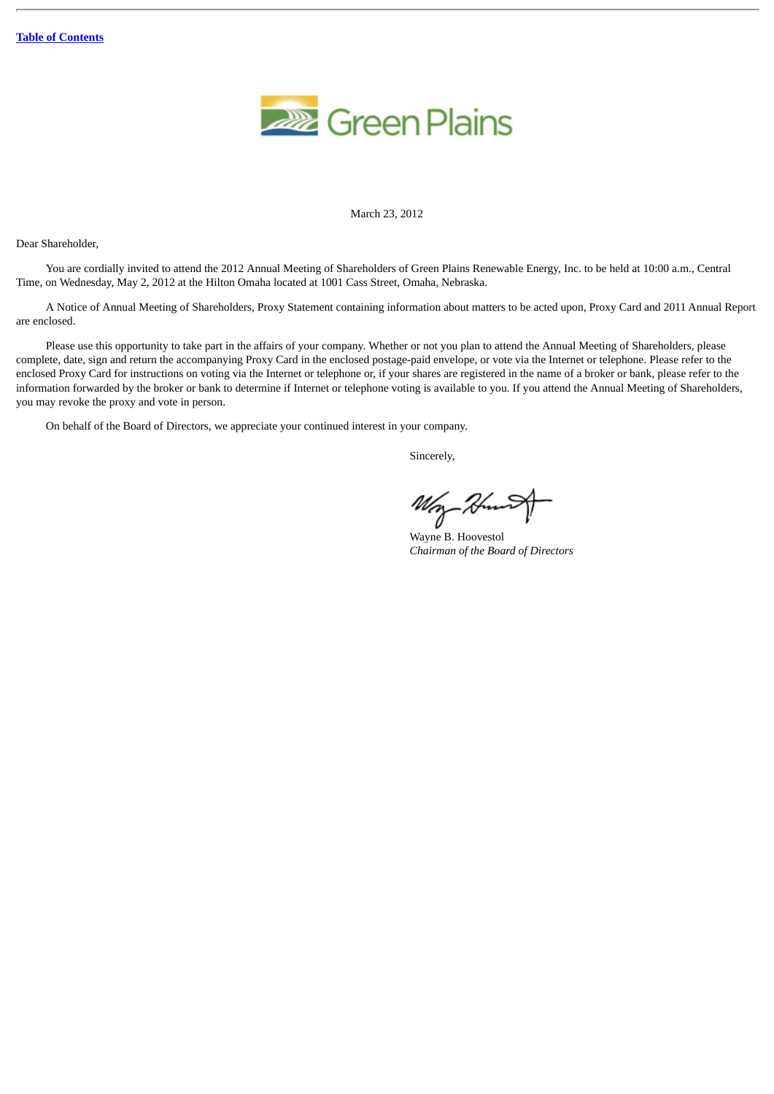

March 23, 2012

Dear Shareholder,

You are cordially invited to attend the 2012 Annual Meeting of Shareholders of Green Plains Renewable Energy, Inc. to be held at 10:00 a.m., Central Time, on Wednesday, May 2, 2012 at the Hilton Omaha located at 1001 Cass Street, Omaha, Nebraska.

A Notice of Annual Meeting of Shareholders, Proxy Statement containing information about matters to be acted upon, Proxy Card and 2011 Annual Report are enclosed.

Please use this opportunity to take part in the affairs of your company. Whether or not you plan to attend the Annual Meeting of Shareholders, please complete, date, sign and return the accompanying Proxy Card in the enclosed postage-paid envelope, or vote via the Internet or telephone. Please refer to the enclosed Proxy Card for instructions on voting via the Internet or telephone or, if your shares are registered in the name of a broker or bank, please refer to the information forwarded by the broker or bank to determine if Internet or telephone voting is available to you. If you attend the Annual Meeting of Shareholders, you may revoke the proxy and vote in person.

On behalf of the Board of Directors, we appreciate your continued interest in your company.

Sincerely,

 $M_{\gamma}$ -18

Wayne B. Hoovestol *Chairman of the Board of Directors*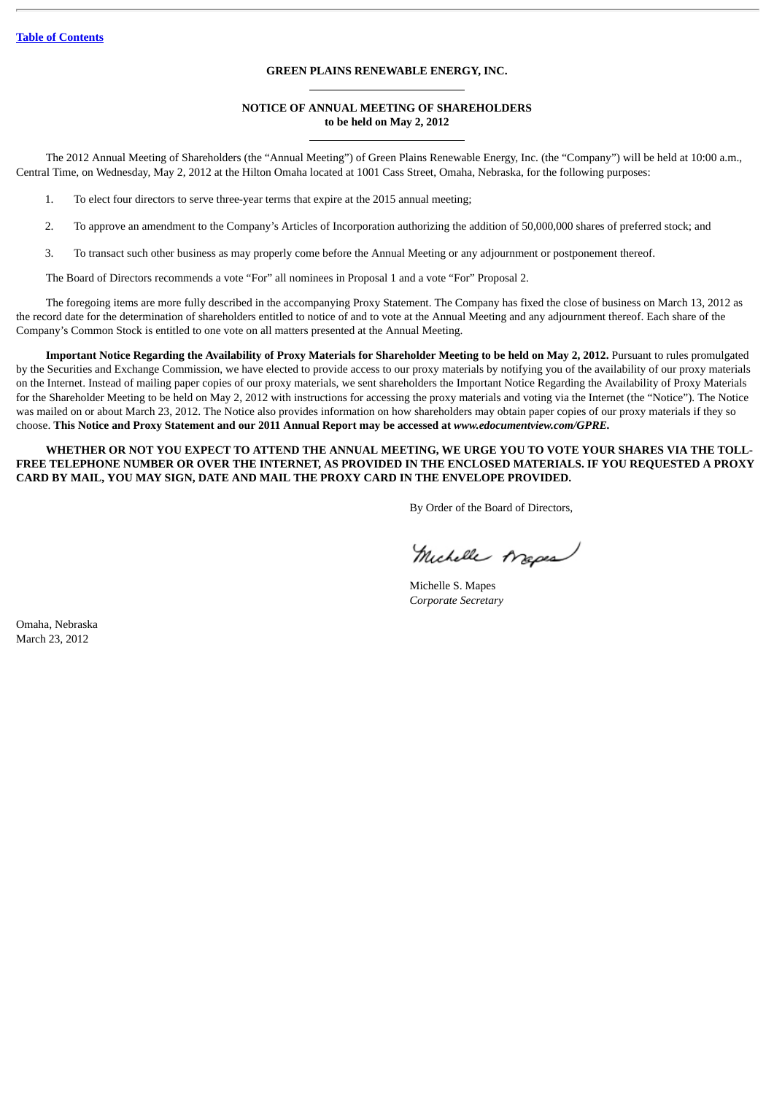# **GREEN PLAINS RENEWABLE ENERGY, INC.**

# **NOTICE OF ANNUAL MEETING OF SHAREHOLDERS to be held on May 2, 2012**

The 2012 Annual Meeting of Shareholders (the "Annual Meeting") of Green Plains Renewable Energy, Inc. (the "Company") will be held at 10:00 a.m., Central Time, on Wednesday, May 2, 2012 at the Hilton Omaha located at 1001 Cass Street, Omaha, Nebraska, for the following purposes:

1. To elect four directors to serve three-year terms that expire at the 2015 annual meeting;

2. To approve an amendment to the Company's Articles of Incorporation authorizing the addition of 50,000,000 shares of preferred stock; and

3. To transact such other business as may properly come before the Annual Meeting or any adjournment or postponement thereof.

The Board of Directors recommends a vote "For" all nominees in Proposal 1 and a vote "For" Proposal 2.

The foregoing items are more fully described in the accompanying Proxy Statement. The Company has fixed the close of business on March 13, 2012 as the record date for the determination of shareholders entitled to notice of and to vote at the Annual Meeting and any adjournment thereof. Each share of the Company's Common Stock is entitled to one vote on all matters presented at the Annual Meeting.

**Important Notice Regarding the Availability of Proxy Materials for Shareholder Meeting to be held on May 2, 2012.** Pursuant to rules promulgated by the Securities and Exchange Commission, we have elected to provide access to our proxy materials by notifying you of the availability of our proxy materials on the Internet. Instead of mailing paper copies of our proxy materials, we sent shareholders the Important Notice Regarding the Availability of Proxy Materials for the Shareholder Meeting to be held on May 2, 2012 with instructions for accessing the proxy materials and voting via the Internet (the "Notice"). The Notice was mailed on or about March 23, 2012. The Notice also provides information on how shareholders may obtain paper copies of our proxy materials if they so choose. **This Notice and Proxy Statement and our 2011 Annual Report may be accessed at** *www.edocumentview.com/GPRE.*

**WHETHER OR NOT YOU EXPECT TO ATTEND THE ANNUAL MEETING, WE URGE YOU TO VOTE YOUR SHARES VIA THE TOLL-FREE TELEPHONE NUMBER OR OVER THE INTERNET, AS PROVIDED IN THE ENCLOSED MATERIALS. IF YOU REQUESTED A PROXY CARD BY MAIL, YOU MAY SIGN, DATE AND MAIL THE PROXY CARD IN THE ENVELOPE PROVIDED.**

By Order of the Board of Directors,

Michelle Arapes

Michelle S. Mapes *Corporate Secretary*

Omaha, Nebraska March 23, 2012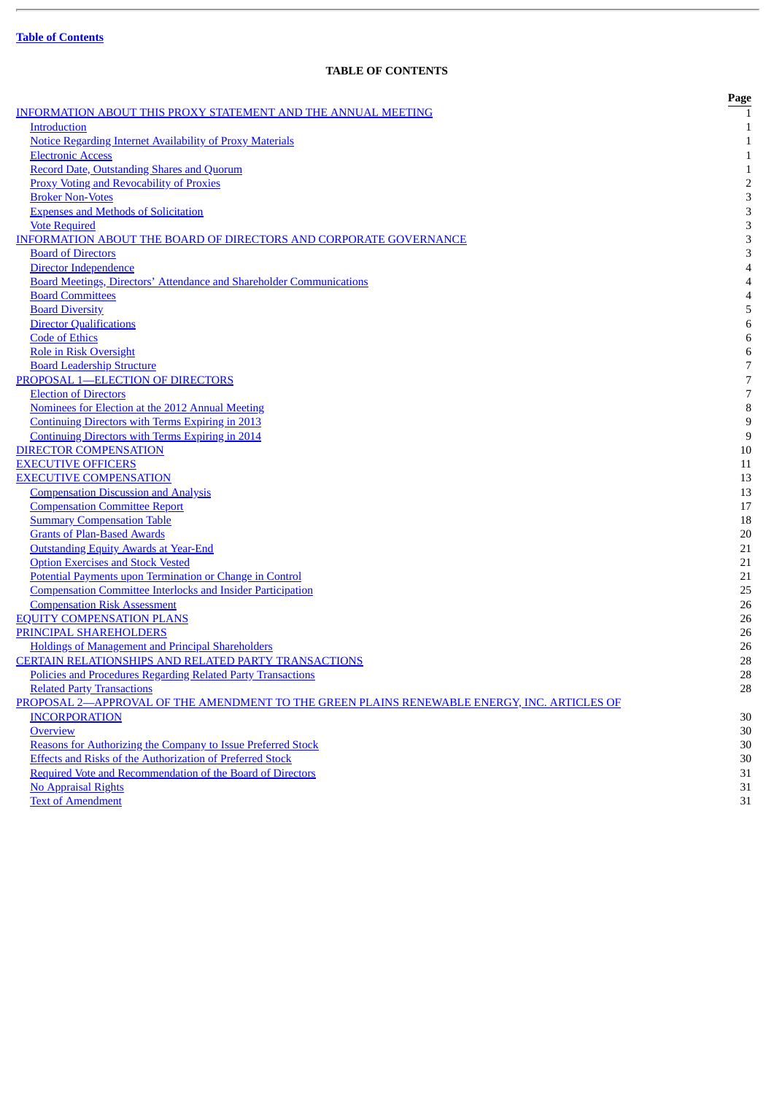J.

# **TABLE OF CONTENTS**

<span id="page-3-0"></span>

|                                                                                             | Page                     |
|---------------------------------------------------------------------------------------------|--------------------------|
| INFORMATION ABOUT THIS PROXY STATEMENT AND THE ANNUAL MEETING                               |                          |
| <b>Introduction</b>                                                                         | $\mathbf{1}$             |
| <b>Notice Regarding Internet Availability of Proxy Materials</b>                            | $\mathbf{1}$             |
| <b>Electronic Access</b>                                                                    | $\mathbf{1}$             |
| Record Date, Outstanding Shares and Quorum                                                  | $\mathbf{1}$             |
| <b>Proxy Voting and Revocability of Proxies</b>                                             | $\sqrt{2}$               |
| <b>Broker Non-Votes</b>                                                                     | 3                        |
| <b>Expenses and Methods of Solicitation</b>                                                 | 3                        |
| <b>Vote Required</b>                                                                        | 3                        |
| <b>INFORMATION ABOUT THE BOARD OF DIRECTORS AND CORPORATE GOVERNANCE</b>                    | 3                        |
| <b>Board of Directors</b>                                                                   | 3                        |
| Director Independence                                                                       | 4                        |
| <b>Board Meetings, Directors' Attendance and Shareholder Communications</b>                 | 4                        |
| <b>Board Committees</b>                                                                     | 4                        |
| <b>Board Diversity</b>                                                                      | 5                        |
| <b>Director Qualifications</b>                                                              | $\,6\,$                  |
| <b>Code of Ethics</b>                                                                       | $\,6\,$                  |
| <b>Role in Risk Oversight</b>                                                               | $\,6\,$                  |
| <b>Board Leadership Structure</b>                                                           | $\overline{\phantom{a}}$ |
| PROPOSAL 1-ELECTION OF DIRECTORS                                                            | $\overline{\phantom{a}}$ |
| <b>Election of Directors</b>                                                                | $\boldsymbol{7}$         |
| Nominees for Election at the 2012 Annual Meeting                                            | 8                        |
| <b>Continuing Directors with Terms Expiring in 2013</b>                                     | 9                        |
| <b>Continuing Directors with Terms Expiring in 2014</b>                                     | 9                        |
| <b>DIRECTOR COMPENSATION</b>                                                                | 10                       |
| <b>EXECUTIVE OFFICERS</b>                                                                   | 11                       |
| <b>EXECUTIVE COMPENSATION</b>                                                               | 13                       |
| <b>Compensation Discussion and Analysis</b>                                                 | 13                       |
| <b>Compensation Committee Report</b>                                                        | 17                       |
| <b>Summary Compensation Table</b>                                                           | 18                       |
| <b>Grants of Plan-Based Awards</b>                                                          | 20                       |
| <b>Outstanding Equity Awards at Year-End</b>                                                | 21                       |
| <b>Option Exercises and Stock Vested</b>                                                    | 21                       |
| Potential Payments upon Termination or Change in Control                                    | 21                       |
| <b>Compensation Committee Interlocks and Insider Participation</b>                          | 25                       |
| <b>Compensation Risk Assessment</b>                                                         | 26                       |
| <b>EQUITY COMPENSATION PLANS</b>                                                            | 26                       |
| PRINCIPAL SHAREHOLDERS                                                                      | 26                       |
| <b>Holdings of Management and Principal Shareholders</b>                                    | 26                       |
| <b>CERTAIN RELATIONSHIPS AND RELATED PARTY TRANSACTIONS</b>                                 | 28                       |
| <b>Policies and Procedures Regarding Related Party Transactions</b>                         | $28\,$                   |
| <b>Related Party Transactions</b>                                                           | 28                       |
| PROPOSAL 2-APPROVAL OF THE AMENDMENT TO THE GREEN PLAINS RENEWABLE ENERGY, INC. ARTICLES OF |                          |
| <b>INCORPORATION</b>                                                                        | 30                       |
| <b>Overview</b>                                                                             | 30                       |
| <b>Reasons for Authorizing the Company to Issue Preferred Stock</b>                         | 30                       |
| Effects and Risks of the Authorization of Preferred Stock                                   | 30                       |
| Required Vote and Recommendation of the Board of Directors                                  | 31                       |
| <b>No Appraisal Rights</b>                                                                  | 31                       |
| <b>Text of Amendment</b>                                                                    | 31                       |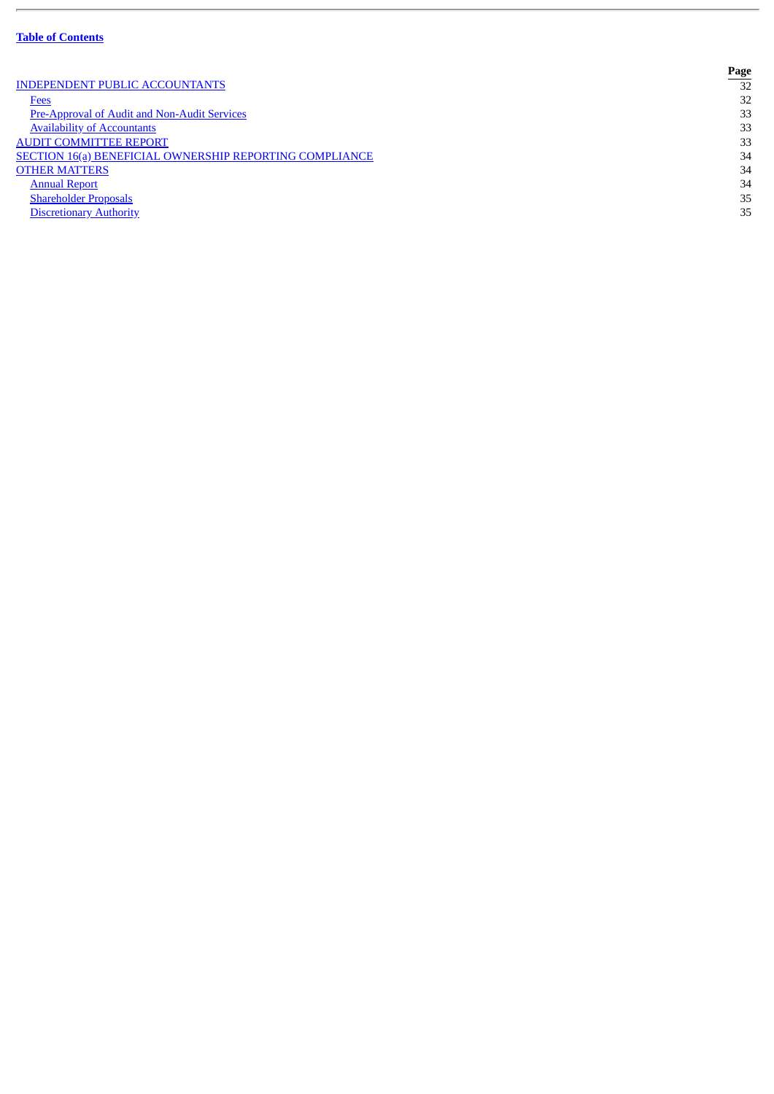[INDEPENDENT PUBLIC ACCOUNTANTS](#page-36-0) 32<br>Fees 32  $\frac{Fees}{2}$  $\frac{Fees}{2}$  $\frac{Fees}{2}$  32 Pre-Approval of Audit and Non-Audit Services 33<br> [Availability of Accountants](#page-37-1) 33<br>
UDIT COMMITTEE REPORT 33 [AUDIT COMMITTEE REPORT](#page-37-2)<br>
SECTION 16(a) BENEFICIAL OWNERSHIP REPORTING COMPLIANCE<br>
34 [SECTION 16\(a\) BENEFICIAL OWNERSHIP REPORTING COMPLIANCE](#page-38-0)<br>
SECTION 16(a) BENEFICIAL OWNERSHIP REPORTING COMPLIANCE<br>
34 STRIER MATTERS 34<br>Annual Report 34 [Annual Report](#page-38-2) 34 [Shareholder Proposals](#page-39-0) 35<br>
Discretionary Authority 35 [Discretionary Authority](#page-39-1)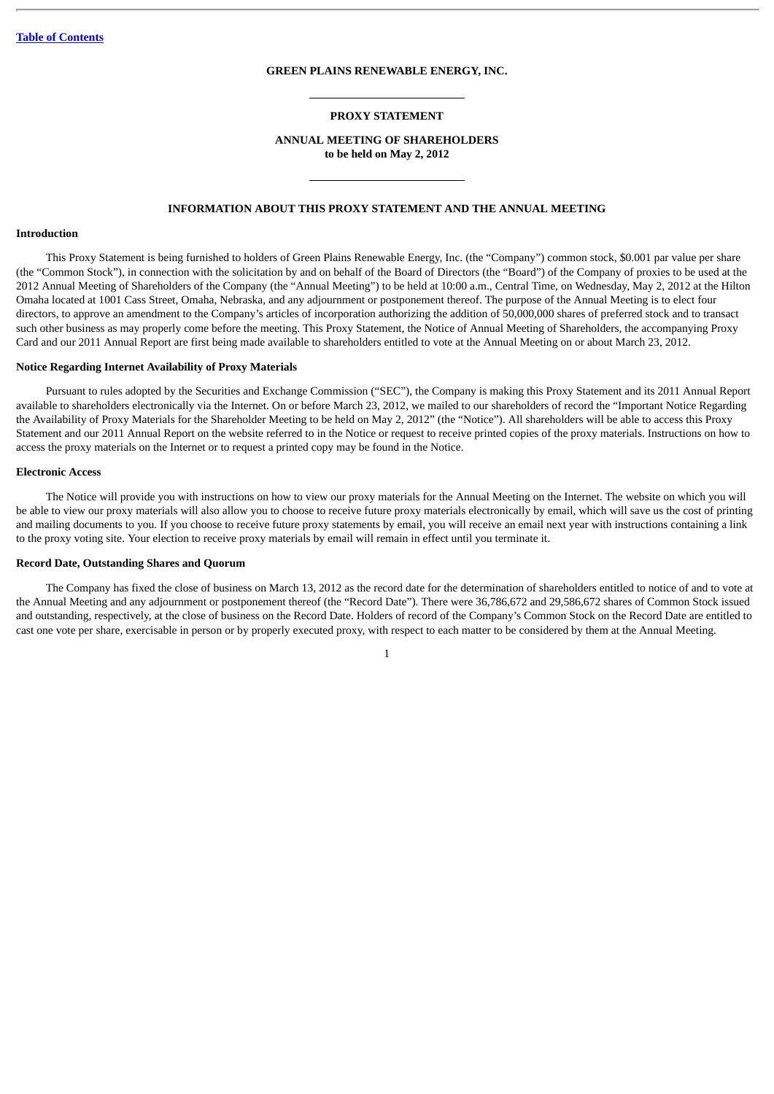# **GREEN PLAINS RENEWABLE ENERGY, INC.**

#### **PROXY STATEMENT**

# **ANNUAL MEETING OF SHAREHOLDERS to be held on May 2, 2012**

# **INFORMATION ABOUT THIS PROXY STATEMENT AND THE ANNUAL MEETING**

# <span id="page-5-1"></span><span id="page-5-0"></span>**Introduction**

This Proxy Statement is being furnished to holders of Green Plains Renewable Energy, Inc. (the "Company") common stock, \$0.001 par value per share (the "Common Stock"), in connection with the solicitation by and on behalf of the Board of Directors (the "Board") of the Company of proxies to be used at the 2012 Annual Meeting of Shareholders of the Company (the "Annual Meeting") to be held at 10:00 a.m., Central Time, on Wednesday, May 2, 2012 at the Hilton Omaha located at 1001 Cass Street, Omaha, Nebraska, and any adjournment or postponement thereof. The purpose of the Annual Meeting is to elect four directors, to approve an amendment to the Company's articles of incorporation authorizing the addition of 50,000,000 shares of preferred stock and to transact such other business as may properly come before the meeting. This Proxy Statement, the Notice of Annual Meeting of Shareholders, the accompanying Proxy Card and our 2011 Annual Report are first being made available to shareholders entitled to vote at the Annual Meeting on or about March 23, 2012.

# <span id="page-5-2"></span>**Notice Regarding Internet Availability of Proxy Materials**

Pursuant to rules adopted by the Securities and Exchange Commission ("SEC"), the Company is making this Proxy Statement and its 2011 Annual Report available to shareholders electronically via the Internet. On or before March 23, 2012, we mailed to our shareholders of record the "Important Notice Regarding the Availability of Proxy Materials for the Shareholder Meeting to be held on May 2, 2012" (the "Notice"). All shareholders will be able to access this Proxy Statement and our 2011 Annual Report on the website referred to in the Notice or request to receive printed copies of the proxy materials. Instructions on how to access the proxy materials on the Internet or to request a printed copy may be found in the Notice.

#### <span id="page-5-3"></span>**Electronic Access**

The Notice will provide you with instructions on how to view our proxy materials for the Annual Meeting on the Internet. The website on which you will be able to view our proxy materials will also allow you to choose to receive future proxy materials electronically by email, which will save us the cost of printing and mailing documents to you. If you choose to receive future proxy statements by email, you will receive an email next year with instructions containing a link to the proxy voting site. Your election to receive proxy materials by email will remain in effect until you terminate it.

# <span id="page-5-4"></span>**Record Date, Outstanding Shares and Quorum**

The Company has fixed the close of business on March 13, 2012 as the record date for the determination of shareholders entitled to notice of and to vote at the Annual Meeting and any adjournment or postponement thereof (the "Record Date"). There were 36,786,672 and 29,586,672 shares of Common Stock issued and outstanding, respectively, at the close of business on the Record Date. Holders of record of the Company's Common Stock on the Record Date are entitled to cast one vote per share, exercisable in person or by properly executed proxy, with respect to each matter to be considered by them at the Annual Meeting.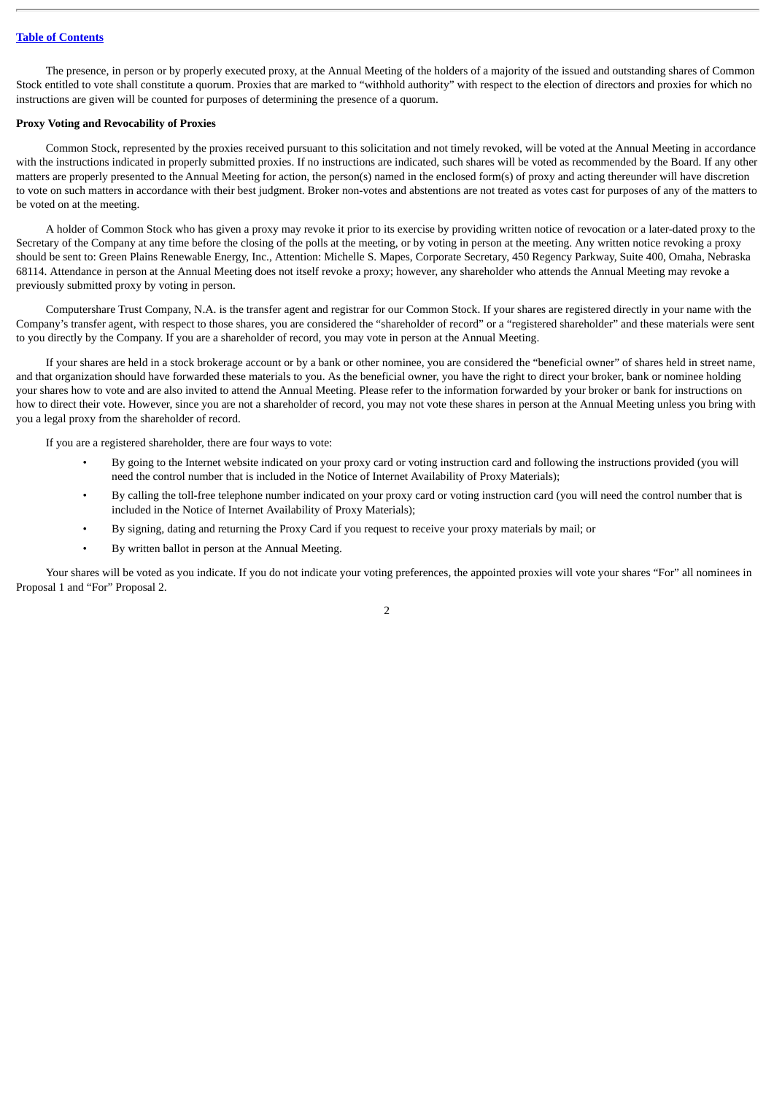The presence, in person or by properly executed proxy, at the Annual Meeting of the holders of a majority of the issued and outstanding shares of Common Stock entitled to vote shall constitute a quorum. Proxies that are marked to "withhold authority" with respect to the election of directors and proxies for which no instructions are given will be counted for purposes of determining the presence of a quorum.

# <span id="page-6-0"></span>**Proxy Voting and Revocability of Proxies**

Common Stock, represented by the proxies received pursuant to this solicitation and not timely revoked, will be voted at the Annual Meeting in accordance with the instructions indicated in properly submitted proxies. If no instructions are indicated, such shares will be voted as recommended by the Board. If any other matters are properly presented to the Annual Meeting for action, the person(s) named in the enclosed form(s) of proxy and acting thereunder will have discretion to vote on such matters in accordance with their best judgment. Broker non-votes and abstentions are not treated as votes cast for purposes of any of the matters to be voted on at the meeting.

A holder of Common Stock who has given a proxy may revoke it prior to its exercise by providing written notice of revocation or a later-dated proxy to the Secretary of the Company at any time before the closing of the polls at the meeting, or by voting in person at the meeting. Any written notice revoking a proxy should be sent to: Green Plains Renewable Energy, Inc., Attention: Michelle S. Mapes, Corporate Secretary, 450 Regency Parkway, Suite 400, Omaha, Nebraska 68114. Attendance in person at the Annual Meeting does not itself revoke a proxy; however, any shareholder who attends the Annual Meeting may revoke a previously submitted proxy by voting in person.

Computershare Trust Company, N.A. is the transfer agent and registrar for our Common Stock. If your shares are registered directly in your name with the Company's transfer agent, with respect to those shares, you are considered the "shareholder of record" or a "registered shareholder" and these materials were sent to you directly by the Company. If you are a shareholder of record, you may vote in person at the Annual Meeting.

If your shares are held in a stock brokerage account or by a bank or other nominee, you are considered the "beneficial owner" of shares held in street name, and that organization should have forwarded these materials to you. As the beneficial owner, you have the right to direct your broker, bank or nominee holding your shares how to vote and are also invited to attend the Annual Meeting. Please refer to the information forwarded by your broker or bank for instructions on how to direct their vote. However, since you are not a shareholder of record, you may not vote these shares in person at the Annual Meeting unless you bring with you a legal proxy from the shareholder of record.

If you are a registered shareholder, there are four ways to vote:

- By going to the Internet website indicated on your proxy card or voting instruction card and following the instructions provided (you will need the control number that is included in the Notice of Internet Availability of Proxy Materials);
- By calling the toll-free telephone number indicated on your proxy card or voting instruction card (you will need the control number that is included in the Notice of Internet Availability of Proxy Materials);
- By signing, dating and returning the Proxy Card if you request to receive your proxy materials by mail; or
- By written ballot in person at the Annual Meeting.

Your shares will be voted as you indicate. If you do not indicate your voting preferences, the appointed proxies will vote your shares "For" all nominees in Proposal 1 and "For" Proposal 2.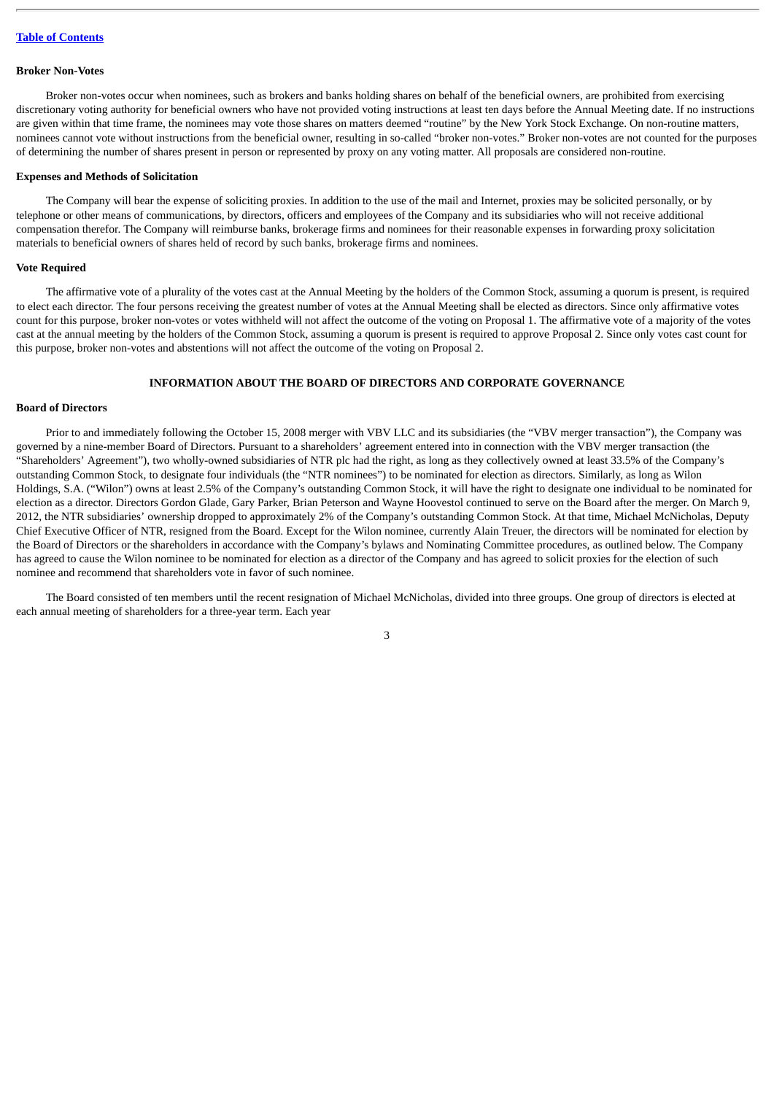### <span id="page-7-0"></span>**Broker Non-Votes**

Broker non-votes occur when nominees, such as brokers and banks holding shares on behalf of the beneficial owners, are prohibited from exercising discretionary voting authority for beneficial owners who have not provided voting instructions at least ten days before the Annual Meeting date. If no instructions are given within that time frame, the nominees may vote those shares on matters deemed "routine" by the New York Stock Exchange. On non-routine matters, nominees cannot vote without instructions from the beneficial owner, resulting in so-called "broker non-votes." Broker non-votes are not counted for the purposes of determining the number of shares present in person or represented by proxy on any voting matter. All proposals are considered non-routine.

# <span id="page-7-1"></span>**Expenses and Methods of Solicitation**

The Company will bear the expense of soliciting proxies. In addition to the use of the mail and Internet, proxies may be solicited personally, or by telephone or other means of communications, by directors, officers and employees of the Company and its subsidiaries who will not receive additional compensation therefor. The Company will reimburse banks, brokerage firms and nominees for their reasonable expenses in forwarding proxy solicitation materials to beneficial owners of shares held of record by such banks, brokerage firms and nominees.

# <span id="page-7-2"></span>**Vote Required**

The affirmative vote of a plurality of the votes cast at the Annual Meeting by the holders of the Common Stock, assuming a quorum is present, is required to elect each director. The four persons receiving the greatest number of votes at the Annual Meeting shall be elected as directors. Since only affirmative votes count for this purpose, broker non-votes or votes withheld will not affect the outcome of the voting on Proposal 1. The affirmative vote of a majority of the votes cast at the annual meeting by the holders of the Common Stock, assuming a quorum is present is required to approve Proposal 2. Since only votes cast count for this purpose, broker non-votes and abstentions will not affect the outcome of the voting on Proposal 2.

# **INFORMATION ABOUT THE BOARD OF DIRECTORS AND CORPORATE GOVERNANCE**

# <span id="page-7-4"></span><span id="page-7-3"></span>**Board of Directors**

Prior to and immediately following the October 15, 2008 merger with VBV LLC and its subsidiaries (the "VBV merger transaction"), the Company was governed by a nine-member Board of Directors. Pursuant to a shareholders' agreement entered into in connection with the VBV merger transaction (the "Shareholders' Agreement"), two wholly-owned subsidiaries of NTR plc had the right, as long as they collectively owned at least 33.5% of the Company's outstanding Common Stock, to designate four individuals (the "NTR nominees") to be nominated for election as directors. Similarly, as long as Wilon Holdings, S.A. ("Wilon") owns at least 2.5% of the Company's outstanding Common Stock, it will have the right to designate one individual to be nominated for election as a director. Directors Gordon Glade, Gary Parker, Brian Peterson and Wayne Hoovestol continued to serve on the Board after the merger. On March 9, 2012, the NTR subsidiaries' ownership dropped to approximately 2% of the Company's outstanding Common Stock. At that time, Michael McNicholas, Deputy Chief Executive Officer of NTR, resigned from the Board. Except for the Wilon nominee, currently Alain Treuer, the directors will be nominated for election by the Board of Directors or the shareholders in accordance with the Company's bylaws and Nominating Committee procedures, as outlined below. The Company has agreed to cause the Wilon nominee to be nominated for election as a director of the Company and has agreed to solicit proxies for the election of such nominee and recommend that shareholders vote in favor of such nominee.

The Board consisted of ten members until the recent resignation of Michael McNicholas, divided into three groups. One group of directors is elected at each annual meeting of shareholders for a three-year term. Each year

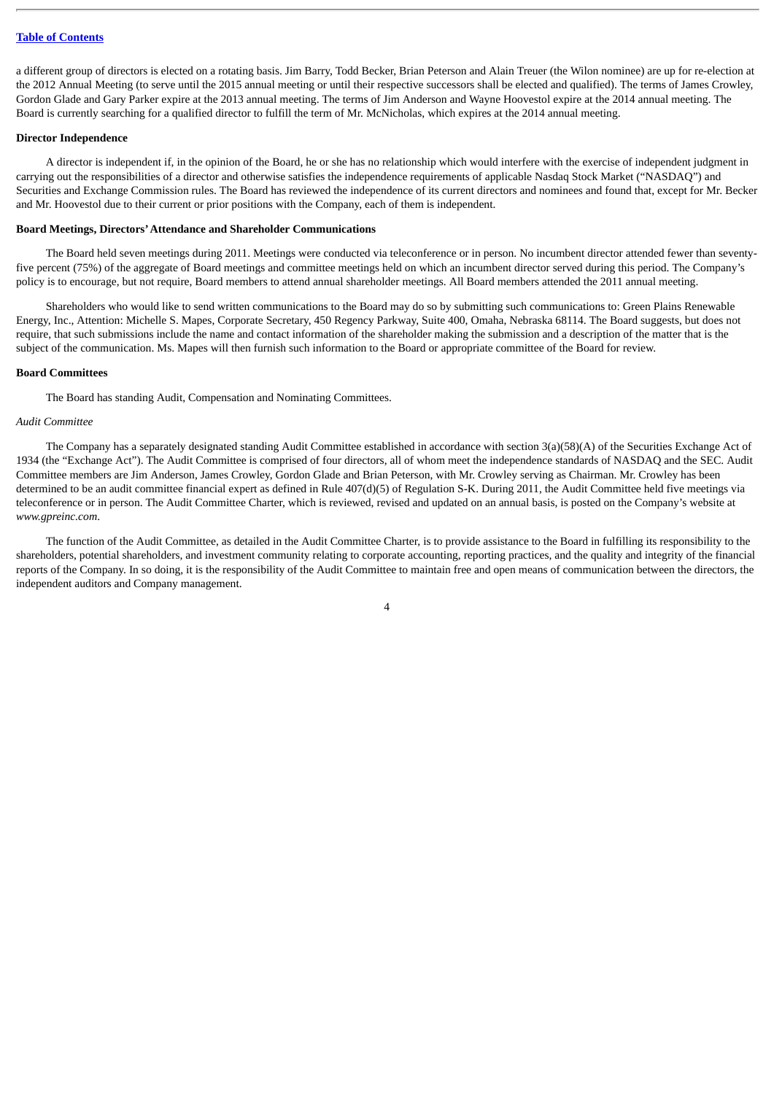a different group of directors is elected on a rotating basis. Jim Barry, Todd Becker, Brian Peterson and Alain Treuer (the Wilon nominee) are up for re-election at the 2012 Annual Meeting (to serve until the 2015 annual meeting or until their respective successors shall be elected and qualified). The terms of James Crowley, Gordon Glade and Gary Parker expire at the 2013 annual meeting. The terms of Jim Anderson and Wayne Hoovestol expire at the 2014 annual meeting. The Board is currently searching for a qualified director to fulfill the term of Mr. McNicholas, which expires at the 2014 annual meeting.

# <span id="page-8-0"></span>**Director Independence**

A director is independent if, in the opinion of the Board, he or she has no relationship which would interfere with the exercise of independent judgment in carrying out the responsibilities of a director and otherwise satisfies the independence requirements of applicable Nasdaq Stock Market ("NASDAQ") and Securities and Exchange Commission rules. The Board has reviewed the independence of its current directors and nominees and found that, except for Mr. Becker and Mr. Hoovestol due to their current or prior positions with the Company, each of them is independent.

# <span id="page-8-1"></span>**Board Meetings, Directors'Attendance and Shareholder Communications**

The Board held seven meetings during 2011. Meetings were conducted via teleconference or in person. No incumbent director attended fewer than seventyfive percent (75%) of the aggregate of Board meetings and committee meetings held on which an incumbent director served during this period. The Company's policy is to encourage, but not require, Board members to attend annual shareholder meetings. All Board members attended the 2011 annual meeting.

Shareholders who would like to send written communications to the Board may do so by submitting such communications to: Green Plains Renewable Energy, Inc., Attention: Michelle S. Mapes, Corporate Secretary, 450 Regency Parkway, Suite 400, Omaha, Nebraska 68114. The Board suggests, but does not require, that such submissions include the name and contact information of the shareholder making the submission and a description of the matter that is the subject of the communication. Ms. Mapes will then furnish such information to the Board or appropriate committee of the Board for review.

# <span id="page-8-2"></span>**Board Committees**

The Board has standing Audit, Compensation and Nominating Committees.

# *Audit Committee*

The Company has a separately designated standing Audit Committee established in accordance with section 3(a)(58)(A) of the Securities Exchange Act of 1934 (the "Exchange Act"). The Audit Committee is comprised of four directors, all of whom meet the independence standards of NASDAQ and the SEC. Audit Committee members are Jim Anderson, James Crowley, Gordon Glade and Brian Peterson, with Mr. Crowley serving as Chairman. Mr. Crowley has been determined to be an audit committee financial expert as defined in Rule 407(d)(5) of Regulation S-K. During 2011, the Audit Committee held five meetings via teleconference or in person. The Audit Committee Charter, which is reviewed, revised and updated on an annual basis, is posted on the Company's website at *www.gpreinc.com*.

The function of the Audit Committee, as detailed in the Audit Committee Charter, is to provide assistance to the Board in fulfilling its responsibility to the shareholders, potential shareholders, and investment community relating to corporate accounting, reporting practices, and the quality and integrity of the financial reports of the Company. In so doing, it is the responsibility of the Audit Committee to maintain free and open means of communication between the directors, the independent auditors and Company management.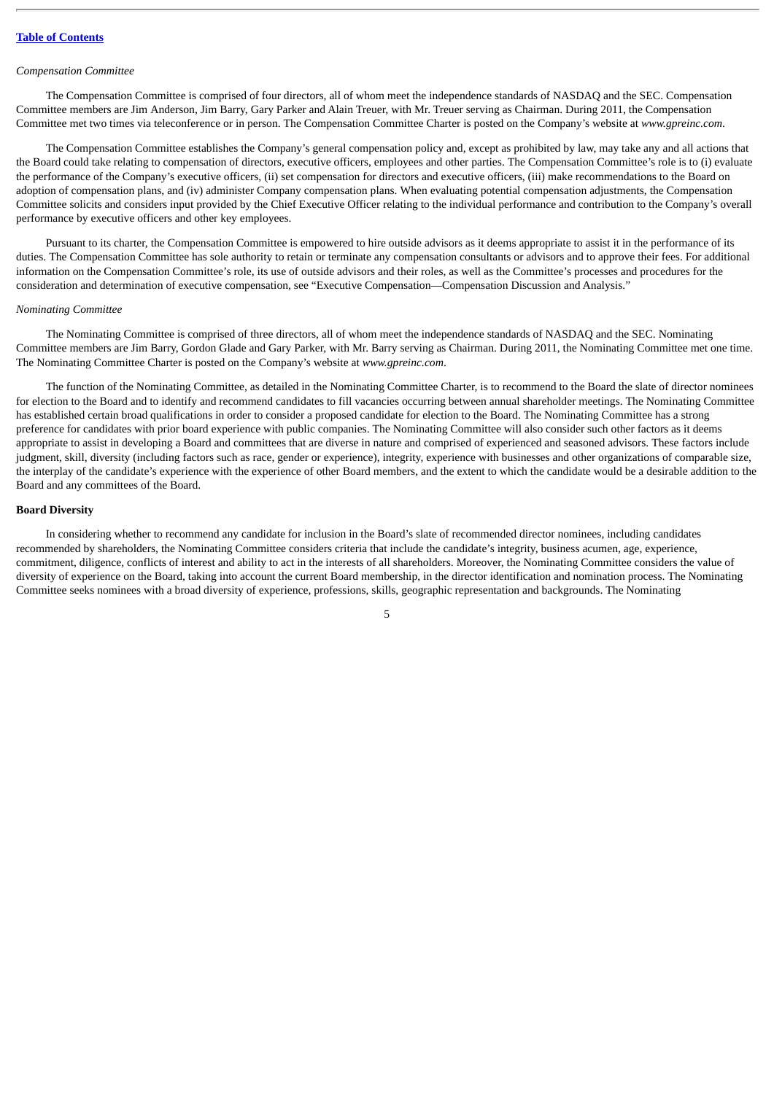### *Compensation Committee*

The Compensation Committee is comprised of four directors, all of whom meet the independence standards of NASDAQ and the SEC. Compensation Committee members are Jim Anderson, Jim Barry, Gary Parker and Alain Treuer, with Mr. Treuer serving as Chairman. During 2011, the Compensation Committee met two times via teleconference or in person. The Compensation Committee Charter is posted on the Company's website at *www.gpreinc.com*.

The Compensation Committee establishes the Company's general compensation policy and, except as prohibited by law, may take any and all actions that the Board could take relating to compensation of directors, executive officers, employees and other parties. The Compensation Committee's role is to (i) evaluate the performance of the Company's executive officers, (ii) set compensation for directors and executive officers, (iii) make recommendations to the Board on adoption of compensation plans, and (iv) administer Company compensation plans. When evaluating potential compensation adjustments, the Compensation Committee solicits and considers input provided by the Chief Executive Officer relating to the individual performance and contribution to the Company's overall performance by executive officers and other key employees.

Pursuant to its charter, the Compensation Committee is empowered to hire outside advisors as it deems appropriate to assist it in the performance of its duties. The Compensation Committee has sole authority to retain or terminate any compensation consultants or advisors and to approve their fees. For additional information on the Compensation Committee's role, its use of outside advisors and their roles, as well as the Committee's processes and procedures for the consideration and determination of executive compensation, see "Executive Compensation—Compensation Discussion and Analysis."

#### *Nominating Committee*

The Nominating Committee is comprised of three directors, all of whom meet the independence standards of NASDAQ and the SEC. Nominating Committee members are Jim Barry, Gordon Glade and Gary Parker, with Mr. Barry serving as Chairman. During 2011, the Nominating Committee met one time. The Nominating Committee Charter is posted on the Company's website at *www.gpreinc.com*.

The function of the Nominating Committee, as detailed in the Nominating Committee Charter, is to recommend to the Board the slate of director nominees for election to the Board and to identify and recommend candidates to fill vacancies occurring between annual shareholder meetings. The Nominating Committee has established certain broad qualifications in order to consider a proposed candidate for election to the Board. The Nominating Committee has a strong preference for candidates with prior board experience with public companies. The Nominating Committee will also consider such other factors as it deems appropriate to assist in developing a Board and committees that are diverse in nature and comprised of experienced and seasoned advisors. These factors include judgment, skill, diversity (including factors such as race, gender or experience), integrity, experience with businesses and other organizations of comparable size, the interplay of the candidate's experience with the experience of other Board members, and the extent to which the candidate would be a desirable addition to the Board and any committees of the Board.

# <span id="page-9-0"></span>**Board Diversity**

In considering whether to recommend any candidate for inclusion in the Board's slate of recommended director nominees, including candidates recommended by shareholders, the Nominating Committee considers criteria that include the candidate's integrity, business acumen, age, experience, commitment, diligence, conflicts of interest and ability to act in the interests of all shareholders. Moreover, the Nominating Committee considers the value of diversity of experience on the Board, taking into account the current Board membership, in the director identification and nomination process. The Nominating Committee seeks nominees with a broad diversity of experience, professions, skills, geographic representation and backgrounds. The Nominating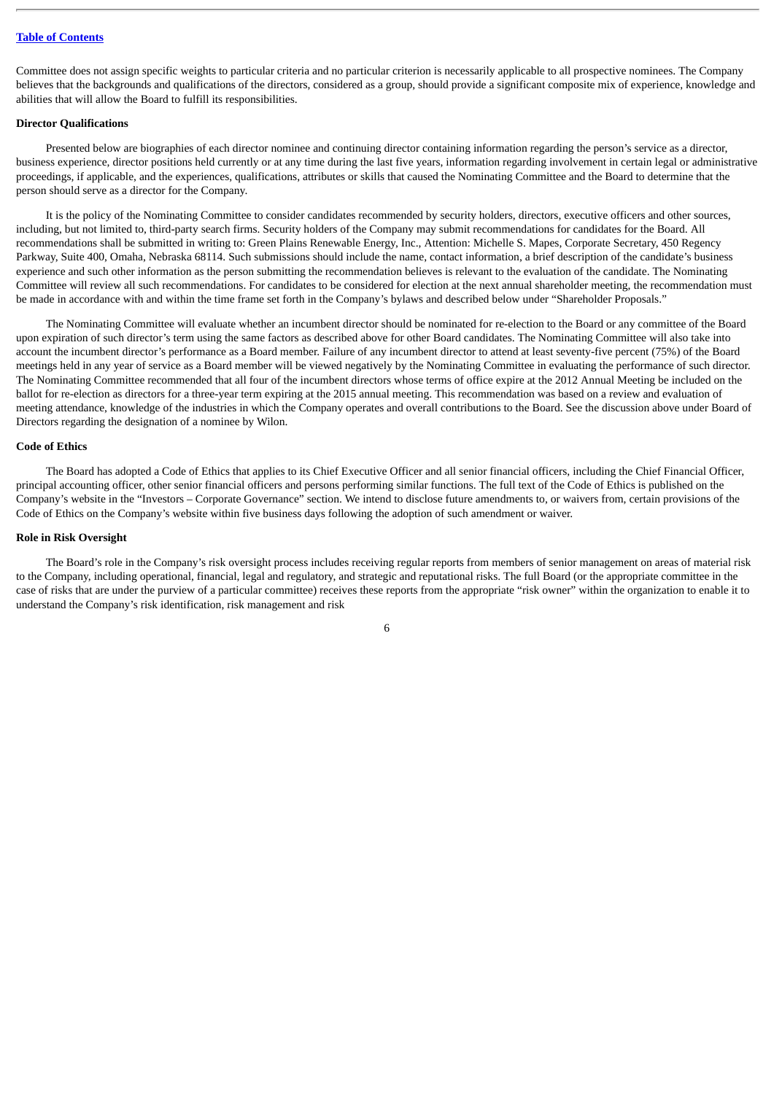Committee does not assign specific weights to particular criteria and no particular criterion is necessarily applicable to all prospective nominees. The Company believes that the backgrounds and qualifications of the directors, considered as a group, should provide a significant composite mix of experience, knowledge and abilities that will allow the Board to fulfill its responsibilities.

# <span id="page-10-0"></span>**Director Qualifications**

Presented below are biographies of each director nominee and continuing director containing information regarding the person's service as a director, business experience, director positions held currently or at any time during the last five years, information regarding involvement in certain legal or administrative proceedings, if applicable, and the experiences, qualifications, attributes or skills that caused the Nominating Committee and the Board to determine that the person should serve as a director for the Company.

It is the policy of the Nominating Committee to consider candidates recommended by security holders, directors, executive officers and other sources, including, but not limited to, third-party search firms. Security holders of the Company may submit recommendations for candidates for the Board. All recommendations shall be submitted in writing to: Green Plains Renewable Energy, Inc., Attention: Michelle S. Mapes, Corporate Secretary, 450 Regency Parkway, Suite 400, Omaha, Nebraska 68114. Such submissions should include the name, contact information, a brief description of the candidate's business experience and such other information as the person submitting the recommendation believes is relevant to the evaluation of the candidate. The Nominating Committee will review all such recommendations. For candidates to be considered for election at the next annual shareholder meeting, the recommendation must be made in accordance with and within the time frame set forth in the Company's bylaws and described below under "Shareholder Proposals."

The Nominating Committee will evaluate whether an incumbent director should be nominated for re-election to the Board or any committee of the Board upon expiration of such director's term using the same factors as described above for other Board candidates. The Nominating Committee will also take into account the incumbent director's performance as a Board member. Failure of any incumbent director to attend at least seventy-five percent (75%) of the Board meetings held in any year of service as a Board member will be viewed negatively by the Nominating Committee in evaluating the performance of such director. The Nominating Committee recommended that all four of the incumbent directors whose terms of office expire at the 2012 Annual Meeting be included on the ballot for re-election as directors for a three-year term expiring at the 2015 annual meeting. This recommendation was based on a review and evaluation of meeting attendance, knowledge of the industries in which the Company operates and overall contributions to the Board. See the discussion above under Board of Directors regarding the designation of a nominee by Wilon.

# <span id="page-10-1"></span>**Code of Ethics**

The Board has adopted a Code of Ethics that applies to its Chief Executive Officer and all senior financial officers, including the Chief Financial Officer, principal accounting officer, other senior financial officers and persons performing similar functions. The full text of the Code of Ethics is published on the Company's website in the "Investors – Corporate Governance" section. We intend to disclose future amendments to, or waivers from, certain provisions of the Code of Ethics on the Company's website within five business days following the adoption of such amendment or waiver.

# <span id="page-10-2"></span>**Role in Risk Oversight**

The Board's role in the Company's risk oversight process includes receiving regular reports from members of senior management on areas of material risk to the Company, including operational, financial, legal and regulatory, and strategic and reputational risks. The full Board (or the appropriate committee in the case of risks that are under the purview of a particular committee) receives these reports from the appropriate "risk owner" within the organization to enable it to understand the Company's risk identification, risk management and risk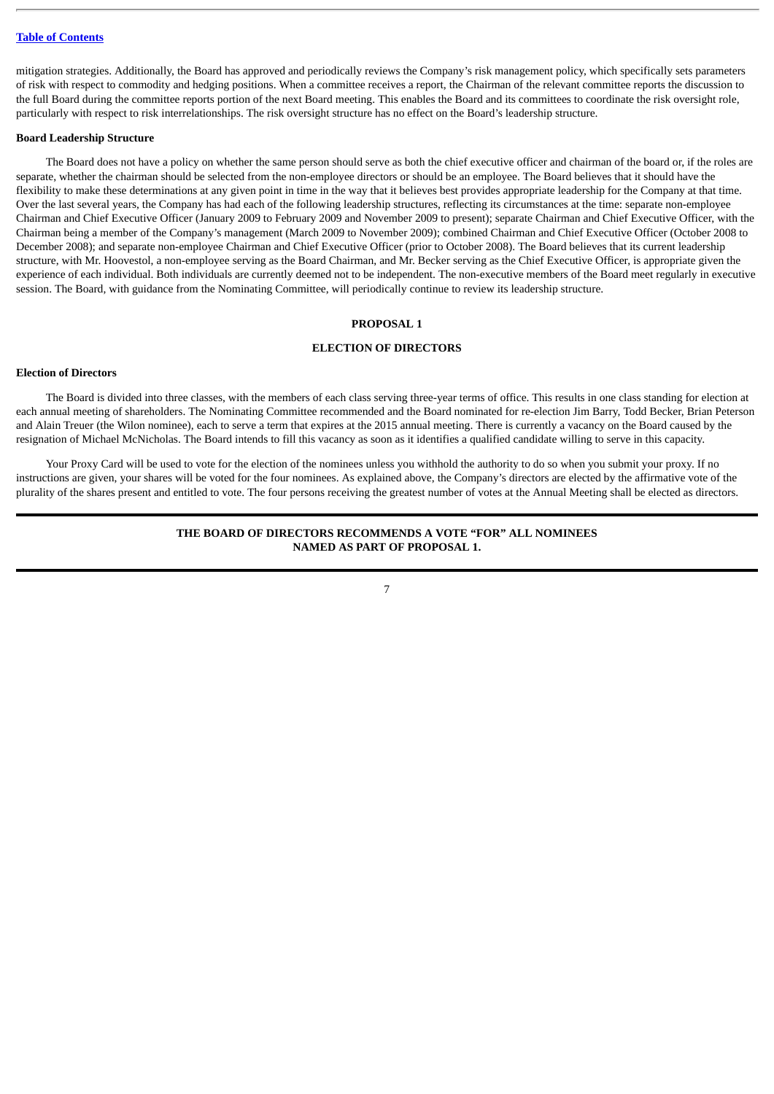mitigation strategies. Additionally, the Board has approved and periodically reviews the Company's risk management policy, which specifically sets parameters of risk with respect to commodity and hedging positions. When a committee receives a report, the Chairman of the relevant committee reports the discussion to the full Board during the committee reports portion of the next Board meeting. This enables the Board and its committees to coordinate the risk oversight role, particularly with respect to risk interrelationships. The risk oversight structure has no effect on the Board's leadership structure.

# <span id="page-11-0"></span>**Board Leadership Structure**

The Board does not have a policy on whether the same person should serve as both the chief executive officer and chairman of the board or, if the roles are separate, whether the chairman should be selected from the non-employee directors or should be an employee. The Board believes that it should have the flexibility to make these determinations at any given point in time in the way that it believes best provides appropriate leadership for the Company at that time. Over the last several years, the Company has had each of the following leadership structures, reflecting its circumstances at the time: separate non-employee Chairman and Chief Executive Officer (January 2009 to February 2009 and November 2009 to present); separate Chairman and Chief Executive Officer, with the Chairman being a member of the Company's management (March 2009 to November 2009); combined Chairman and Chief Executive Officer (October 2008 to December 2008); and separate non-employee Chairman and Chief Executive Officer (prior to October 2008). The Board believes that its current leadership structure, with Mr. Hoovestol, a non-employee serving as the Board Chairman, and Mr. Becker serving as the Chief Executive Officer, is appropriate given the experience of each individual. Both individuals are currently deemed not to be independent. The non-executive members of the Board meet regularly in executive session. The Board, with guidance from the Nominating Committee, will periodically continue to review its leadership structure.

# **PROPOSAL 1**

# **ELECTION OF DIRECTORS**

# <span id="page-11-2"></span><span id="page-11-1"></span>**Election of Directors**

The Board is divided into three classes, with the members of each class serving three-year terms of office. This results in one class standing for election at each annual meeting of shareholders. The Nominating Committee recommended and the Board nominated for re-election Jim Barry, Todd Becker, Brian Peterson and Alain Treuer (the Wilon nominee), each to serve a term that expires at the 2015 annual meeting. There is currently a vacancy on the Board caused by the resignation of Michael McNicholas. The Board intends to fill this vacancy as soon as it identifies a qualified candidate willing to serve in this capacity.

Your Proxy Card will be used to vote for the election of the nominees unless you withhold the authority to do so when you submit your proxy. If no instructions are given, your shares will be voted for the four nominees. As explained above, the Company's directors are elected by the affirmative vote of the plurality of the shares present and entitled to vote. The four persons receiving the greatest number of votes at the Annual Meeting shall be elected as directors.

# **THE BOARD OF DIRECTORS RECOMMENDS A VOTE "FOR" ALL NOMINEES NAMED AS PART OF PROPOSAL 1.**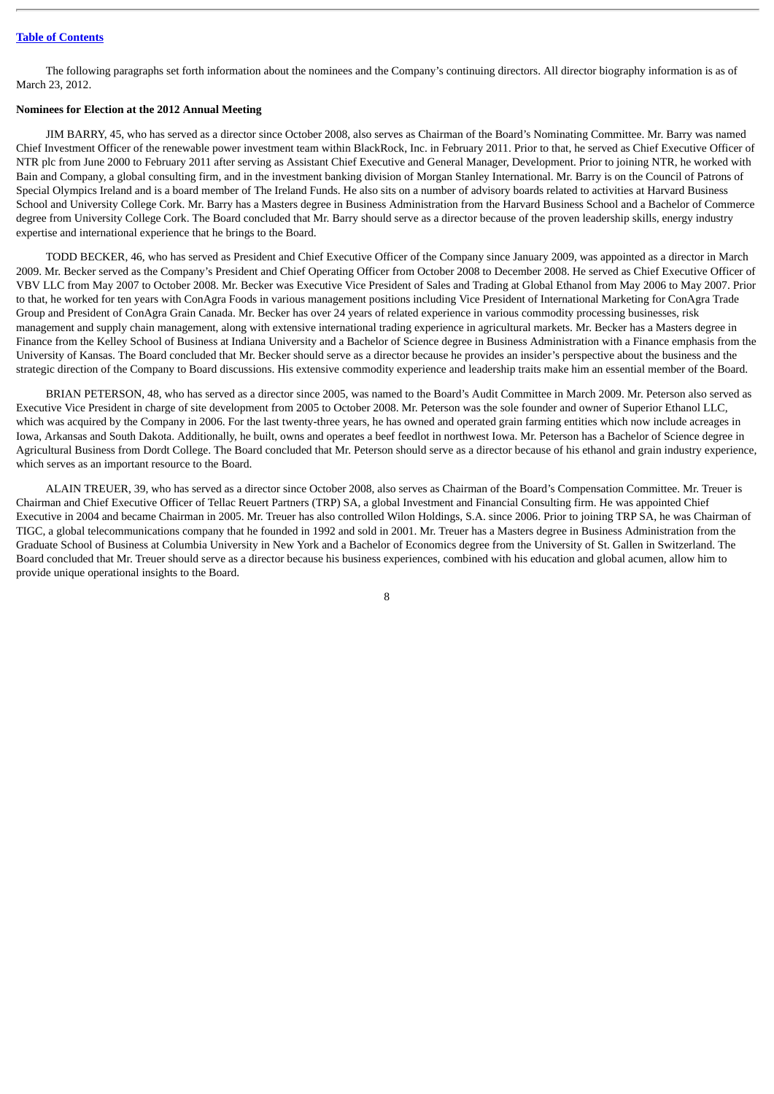The following paragraphs set forth information about the nominees and the Company's continuing directors. All director biography information is as of March 23, 2012.

# <span id="page-12-0"></span>**Nominees for Election at the 2012 Annual Meeting**

JIM BARRY, 45, who has served as a director since October 2008, also serves as Chairman of the Board's Nominating Committee. Mr. Barry was named Chief Investment Officer of the renewable power investment team within BlackRock, Inc. in February 2011. Prior to that, he served as Chief Executive Officer of NTR plc from June 2000 to February 2011 after serving as Assistant Chief Executive and General Manager, Development. Prior to joining NTR, he worked with Bain and Company, a global consulting firm, and in the investment banking division of Morgan Stanley International. Mr. Barry is on the Council of Patrons of Special Olympics Ireland and is a board member of The Ireland Funds. He also sits on a number of advisory boards related to activities at Harvard Business School and University College Cork. Mr. Barry has a Masters degree in Business Administration from the Harvard Business School and a Bachelor of Commerce degree from University College Cork. The Board concluded that Mr. Barry should serve as a director because of the proven leadership skills, energy industry expertise and international experience that he brings to the Board.

TODD BECKER, 46, who has served as President and Chief Executive Officer of the Company since January 2009, was appointed as a director in March 2009. Mr. Becker served as the Company's President and Chief Operating Officer from October 2008 to December 2008. He served as Chief Executive Officer of VBV LLC from May 2007 to October 2008. Mr. Becker was Executive Vice President of Sales and Trading at Global Ethanol from May 2006 to May 2007. Prior to that, he worked for ten years with ConAgra Foods in various management positions including Vice President of International Marketing for ConAgra Trade Group and President of ConAgra Grain Canada. Mr. Becker has over 24 years of related experience in various commodity processing businesses, risk management and supply chain management, along with extensive international trading experience in agricultural markets. Mr. Becker has a Masters degree in Finance from the Kelley School of Business at Indiana University and a Bachelor of Science degree in Business Administration with a Finance emphasis from the University of Kansas. The Board concluded that Mr. Becker should serve as a director because he provides an insider's perspective about the business and the strategic direction of the Company to Board discussions. His extensive commodity experience and leadership traits make him an essential member of the Board.

BRIAN PETERSON, 48, who has served as a director since 2005, was named to the Board's Audit Committee in March 2009. Mr. Peterson also served as Executive Vice President in charge of site development from 2005 to October 2008. Mr. Peterson was the sole founder and owner of Superior Ethanol LLC, which was acquired by the Company in 2006. For the last twenty-three years, he has owned and operated grain farming entities which now include acreages in Iowa, Arkansas and South Dakota. Additionally, he built, owns and operates a beef feedlot in northwest Iowa. Mr. Peterson has a Bachelor of Science degree in Agricultural Business from Dordt College. The Board concluded that Mr. Peterson should serve as a director because of his ethanol and grain industry experience, which serves as an important resource to the Board.

ALAIN TREUER, 39, who has served as a director since October 2008, also serves as Chairman of the Board's Compensation Committee. Mr. Treuer is Chairman and Chief Executive Officer of Tellac Reuert Partners (TRP) SA, a global Investment and Financial Consulting firm. He was appointed Chief Executive in 2004 and became Chairman in 2005. Mr. Treuer has also controlled Wilon Holdings, S.A. since 2006. Prior to joining TRP SA, he was Chairman of TIGC, a global telecommunications company that he founded in 1992 and sold in 2001. Mr. Treuer has a Masters degree in Business Administration from the Graduate School of Business at Columbia University in New York and a Bachelor of Economics degree from the University of St. Gallen in Switzerland. The Board concluded that Mr. Treuer should serve as a director because his business experiences, combined with his education and global acumen, allow him to provide unique operational insights to the Board.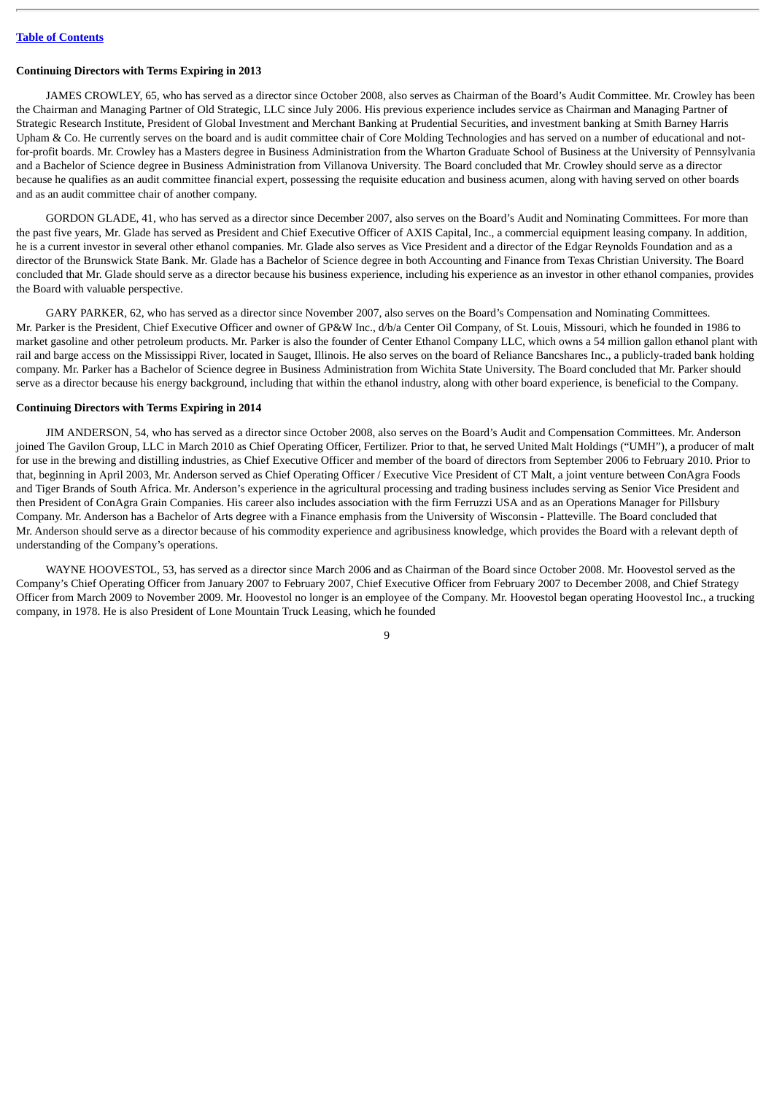# <span id="page-13-0"></span>**Continuing Directors with Terms Expiring in 2013**

JAMES CROWLEY, 65, who has served as a director since October 2008, also serves as Chairman of the Board's Audit Committee. Mr. Crowley has been the Chairman and Managing Partner of Old Strategic, LLC since July 2006. His previous experience includes service as Chairman and Managing Partner of Strategic Research Institute, President of Global Investment and Merchant Banking at Prudential Securities, and investment banking at Smith Barney Harris Upham & Co. He currently serves on the board and is audit committee chair of Core Molding Technologies and has served on a number of educational and notfor-profit boards. Mr. Crowley has a Masters degree in Business Administration from the Wharton Graduate School of Business at the University of Pennsylvania and a Bachelor of Science degree in Business Administration from Villanova University. The Board concluded that Mr. Crowley should serve as a director because he qualifies as an audit committee financial expert, possessing the requisite education and business acumen, along with having served on other boards and as an audit committee chair of another company.

GORDON GLADE, 41, who has served as a director since December 2007, also serves on the Board's Audit and Nominating Committees. For more than the past five years, Mr. Glade has served as President and Chief Executive Officer of AXIS Capital, Inc., a commercial equipment leasing company. In addition, he is a current investor in several other ethanol companies. Mr. Glade also serves as Vice President and a director of the Edgar Reynolds Foundation and as a director of the Brunswick State Bank. Mr. Glade has a Bachelor of Science degree in both Accounting and Finance from Texas Christian University. The Board concluded that Mr. Glade should serve as a director because his business experience, including his experience as an investor in other ethanol companies, provides the Board with valuable perspective.

GARY PARKER, 62, who has served as a director since November 2007, also serves on the Board's Compensation and Nominating Committees. Mr. Parker is the President, Chief Executive Officer and owner of GP&W Inc., d/b/a Center Oil Company, of St. Louis, Missouri, which he founded in 1986 to market gasoline and other petroleum products. Mr. Parker is also the founder of Center Ethanol Company LLC, which owns a 54 million gallon ethanol plant with rail and barge access on the Mississippi River, located in Sauget, Illinois. He also serves on the board of Reliance Bancshares Inc., a publicly-traded bank holding company. Mr. Parker has a Bachelor of Science degree in Business Administration from Wichita State University. The Board concluded that Mr. Parker should serve as a director because his energy background, including that within the ethanol industry, along with other board experience, is beneficial to the Company.

# <span id="page-13-1"></span>**Continuing Directors with Terms Expiring in 2014**

JIM ANDERSON, 54, who has served as a director since October 2008, also serves on the Board's Audit and Compensation Committees. Mr. Anderson joined The Gavilon Group, LLC in March 2010 as Chief Operating Officer, Fertilizer. Prior to that, he served United Malt Holdings ("UMH"), a producer of malt for use in the brewing and distilling industries, as Chief Executive Officer and member of the board of directors from September 2006 to February 2010. Prior to that, beginning in April 2003, Mr. Anderson served as Chief Operating Officer / Executive Vice President of CT Malt, a joint venture between ConAgra Foods and Tiger Brands of South Africa. Mr. Anderson's experience in the agricultural processing and trading business includes serving as Senior Vice President and then President of ConAgra Grain Companies. His career also includes association with the firm Ferruzzi USA and as an Operations Manager for Pillsbury Company. Mr. Anderson has a Bachelor of Arts degree with a Finance emphasis from the University of Wisconsin - Platteville. The Board concluded that Mr. Anderson should serve as a director because of his commodity experience and agribusiness knowledge, which provides the Board with a relevant depth of understanding of the Company's operations.

WAYNE HOOVESTOL, 53, has served as a director since March 2006 and as Chairman of the Board since October 2008. Mr. Hoovestol served as the Company's Chief Operating Officer from January 2007 to February 2007, Chief Executive Officer from February 2007 to December 2008, and Chief Strategy Officer from March 2009 to November 2009. Mr. Hoovestol no longer is an employee of the Company. Mr. Hoovestol began operating Hoovestol Inc., a trucking company, in 1978. He is also President of Lone Mountain Truck Leasing, which he founded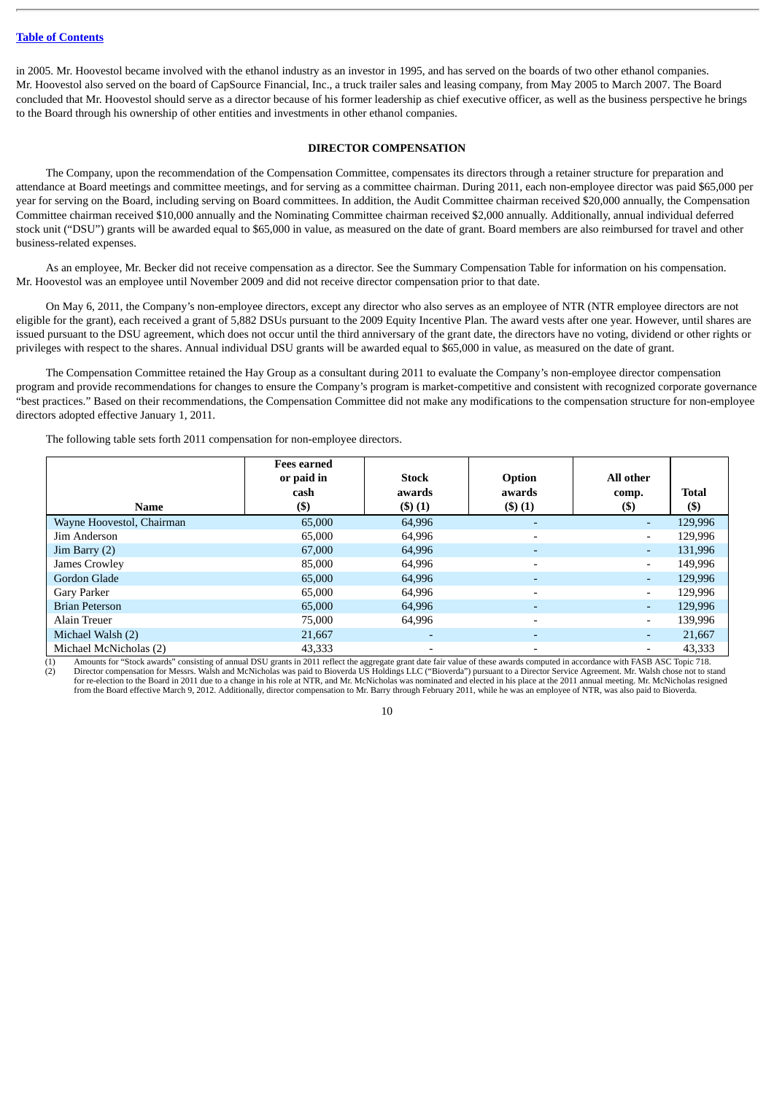in 2005. Mr. Hoovestol became involved with the ethanol industry as an investor in 1995, and has served on the boards of two other ethanol companies. Mr. Hoovestol also served on the board of CapSource Financial, Inc., a truck trailer sales and leasing company, from May 2005 to March 2007. The Board concluded that Mr. Hoovestol should serve as a director because of his former leadership as chief executive officer, as well as the business perspective he brings to the Board through his ownership of other entities and investments in other ethanol companies.

# **DIRECTOR COMPENSATION**

<span id="page-14-0"></span>The Company, upon the recommendation of the Compensation Committee, compensates its directors through a retainer structure for preparation and attendance at Board meetings and committee meetings, and for serving as a committee chairman. During 2011, each non-employee director was paid \$65,000 per year for serving on the Board, including serving on Board committees. In addition, the Audit Committee chairman received \$20,000 annually, the Compensation Committee chairman received \$10,000 annually and the Nominating Committee chairman received \$2,000 annually. Additionally, annual individual deferred stock unit ("DSU") grants will be awarded equal to \$65,000 in value, as measured on the date of grant. Board members are also reimbursed for travel and other business-related expenses.

As an employee, Mr. Becker did not receive compensation as a director. See the Summary Compensation Table for information on his compensation. Mr. Hoovestol was an employee until November 2009 and did not receive director compensation prior to that date.

On May 6, 2011, the Company's non-employee directors, except any director who also serves as an employee of NTR (NTR employee directors are not eligible for the grant), each received a grant of 5,882 DSUs pursuant to the 2009 Equity Incentive Plan. The award vests after one year. However, until shares are issued pursuant to the DSU agreement, which does not occur until the third anniversary of the grant date, the directors have no voting, dividend or other rights or privileges with respect to the shares. Annual individual DSU grants will be awarded equal to \$65,000 in value, as measured on the date of grant.

The Compensation Committee retained the Hay Group as a consultant during 2011 to evaluate the Company's non-employee director compensation program and provide recommendations for changes to ensure the Company's program is market-competitive and consistent with recognized corporate governance "best practices." Based on their recommendations, the Compensation Committee did not make any modifications to the compensation structure for non-employee directors adopted effective January 1, 2011.

The following table sets forth 2011 compensation for non-employee directors.

|                           | <b>Fees earned</b><br>or paid in<br>cash | <b>Stock</b><br>awards       | Option<br>awards         | All other<br>comp.       | <b>Total</b> |
|---------------------------|------------------------------------------|------------------------------|--------------------------|--------------------------|--------------|
| Name                      | $($ \$)                                  | (3)(1)                       | $($ \$ $)(1)$            | (\$)                     | $($)$        |
| Wayne Hoovestol, Chairman | 65,000                                   | 64,996                       | $\overline{\phantom{0}}$ | ٠                        | 129,996      |
| Jim Anderson              | 65,000                                   | 64,996                       | $\overline{\phantom{a}}$ |                          | 129,996      |
| Jim Barry (2)             | 67,000                                   | 64,996                       | ۰                        | ۰.                       | 131,996      |
| James Crowley             | 85,000                                   | 64.996                       | $\overline{\phantom{a}}$ | $\overline{\phantom{0}}$ | 149,996      |
| Gordon Glade              | 65,000                                   | 64,996                       |                          | ۰.                       | 129,996      |
| Gary Parker               | 65,000                                   | 64,996                       | $\overline{\phantom{a}}$ | $\overline{\phantom{0}}$ | 129,996      |
| <b>Brian Peterson</b>     | 65,000                                   | 64,996                       | $\overline{\phantom{a}}$ |                          | 129,996      |
| Alain Treuer              | 75,000                                   | 64,996                       | $\overline{\phantom{a}}$ | $\overline{\phantom{0}}$ | 139,996      |
| Michael Walsh (2)         | 21,667                                   |                              | $\overline{\phantom{0}}$ | ۰.                       | 21,667       |
| Michael McNicholas (2)    | 43,333                                   | $\qquad \qquad \blacksquare$ | $\overline{\phantom{a}}$ | $\overline{\phantom{a}}$ | 43,333       |

(1) Amounts for "Stock awards" consisting of annual DSU grants in 2011 reflect the aggregate grant date fair value of these awards computed in accordance with FASB ASC Topic 718.<br>(2) Director compensation for Messrs. Walsh for re-election to the Board in 2011 due to a change in his role at NTR, and Mr. McNicholas was nominated and elected in his place at the 2011 annual meeting. Mr. McNicholas resigned from the Board effective March 9, 2012. Additionally, director compensation to Mr. Barry through February 2011, while he was an employee of NTR, was also paid to Bioverda.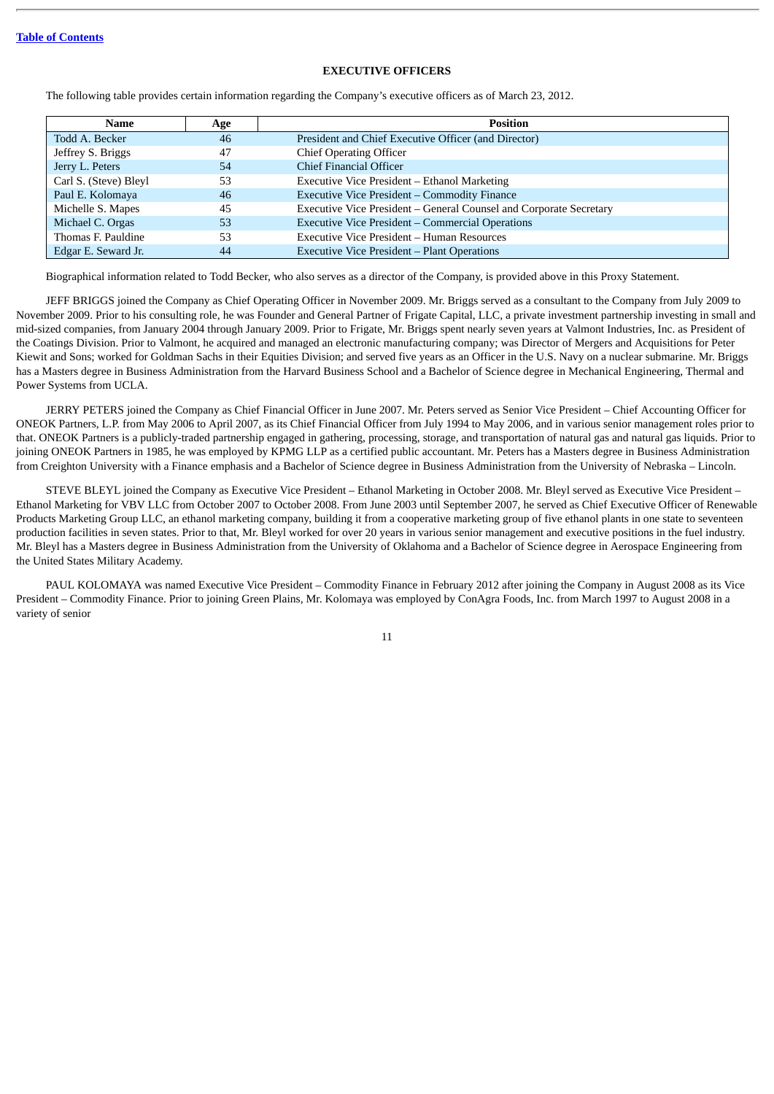# **EXECUTIVE OFFICERS**

<span id="page-15-0"></span>The following table provides certain information regarding the Company's executive officers as of March 23, 2012.

| Name                  | Age | <b>Position</b>                                                    |
|-----------------------|-----|--------------------------------------------------------------------|
| Todd A. Becker        | 46  | President and Chief Executive Officer (and Director)               |
| Jeffrey S. Briggs     | 47  | <b>Chief Operating Officer</b>                                     |
| Jerry L. Peters       | 54  | <b>Chief Financial Officer</b>                                     |
| Carl S. (Steve) Bleyl | 53  | Executive Vice President – Ethanol Marketing                       |
| Paul E. Kolomaya      | 46  | Executive Vice President - Commodity Finance                       |
| Michelle S. Mapes     | 45  | Executive Vice President - General Counsel and Corporate Secretary |
| Michael C. Orgas      | 53  | Executive Vice President - Commercial Operations                   |
| Thomas F. Pauldine    | 53  | Executive Vice President – Human Resources                         |
| Edgar E. Seward Jr.   | 44  | <b>Executive Vice President – Plant Operations</b>                 |

Biographical information related to Todd Becker, who also serves as a director of the Company, is provided above in this Proxy Statement.

JEFF BRIGGS joined the Company as Chief Operating Officer in November 2009. Mr. Briggs served as a consultant to the Company from July 2009 to November 2009. Prior to his consulting role, he was Founder and General Partner of Frigate Capital, LLC, a private investment partnership investing in small and mid-sized companies, from January 2004 through January 2009. Prior to Frigate, Mr. Briggs spent nearly seven years at Valmont Industries, Inc. as President of the Coatings Division. Prior to Valmont, he acquired and managed an electronic manufacturing company; was Director of Mergers and Acquisitions for Peter Kiewit and Sons; worked for Goldman Sachs in their Equities Division; and served five years as an Officer in the U.S. Navy on a nuclear submarine. Mr. Briggs has a Masters degree in Business Administration from the Harvard Business School and a Bachelor of Science degree in Mechanical Engineering, Thermal and Power Systems from UCLA.

JERRY PETERS joined the Company as Chief Financial Officer in June 2007. Mr. Peters served as Senior Vice President – Chief Accounting Officer for ONEOK Partners, L.P. from May 2006 to April 2007, as its Chief Financial Officer from July 1994 to May 2006, and in various senior management roles prior to that. ONEOK Partners is a publicly-traded partnership engaged in gathering, processing, storage, and transportation of natural gas and natural gas liquids. Prior to joining ONEOK Partners in 1985, he was employed by KPMG LLP as a certified public accountant. Mr. Peters has a Masters degree in Business Administration from Creighton University with a Finance emphasis and a Bachelor of Science degree in Business Administration from the University of Nebraska – Lincoln.

STEVE BLEYL joined the Company as Executive Vice President – Ethanol Marketing in October 2008. Mr. Bleyl served as Executive Vice President – Ethanol Marketing for VBV LLC from October 2007 to October 2008. From June 2003 until September 2007, he served as Chief Executive Officer of Renewable Products Marketing Group LLC, an ethanol marketing company, building it from a cooperative marketing group of five ethanol plants in one state to seventeen production facilities in seven states. Prior to that, Mr. Bleyl worked for over 20 years in various senior management and executive positions in the fuel industry. Mr. Bleyl has a Masters degree in Business Administration from the University of Oklahoma and a Bachelor of Science degree in Aerospace Engineering from the United States Military Academy.

PAUL KOLOMAYA was named Executive Vice President – Commodity Finance in February 2012 after joining the Company in August 2008 as its Vice President – Commodity Finance. Prior to joining Green Plains, Mr. Kolomaya was employed by ConAgra Foods, Inc. from March 1997 to August 2008 in a variety of senior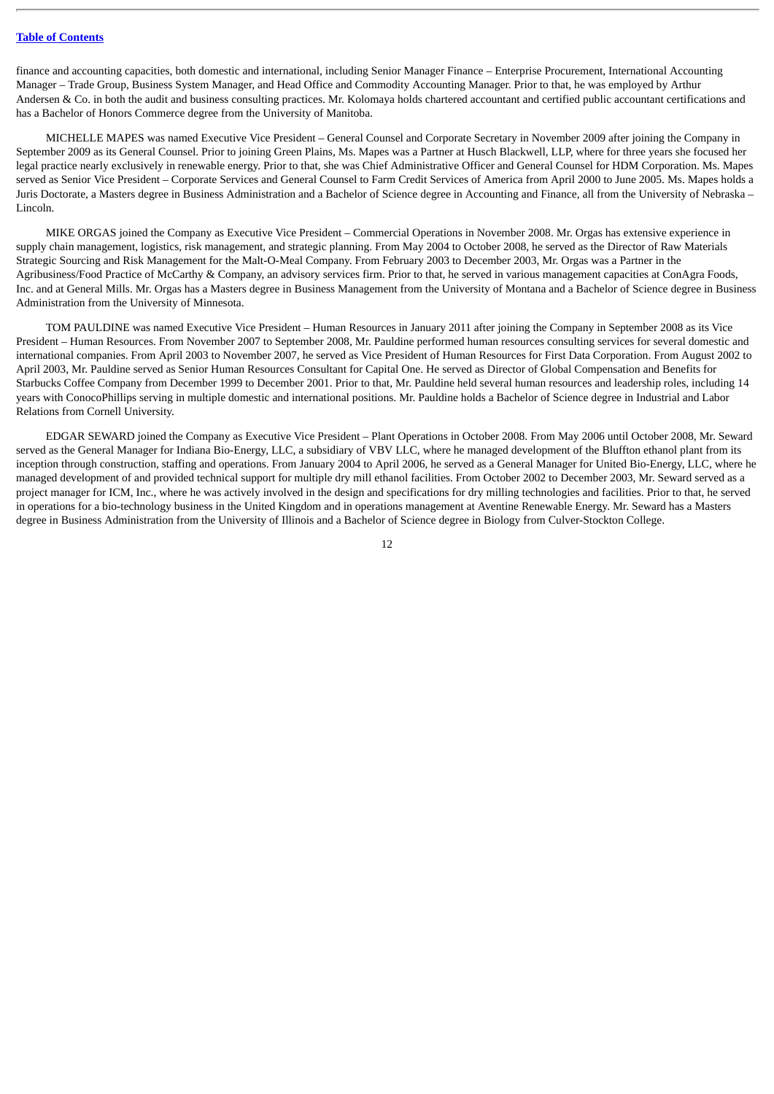finance and accounting capacities, both domestic and international, including Senior Manager Finance – Enterprise Procurement, International Accounting Manager – Trade Group, Business System Manager, and Head Office and Commodity Accounting Manager. Prior to that, he was employed by Arthur Andersen & Co. in both the audit and business consulting practices. Mr. Kolomaya holds chartered accountant and certified public accountant certifications and has a Bachelor of Honors Commerce degree from the University of Manitoba.

MICHELLE MAPES was named Executive Vice President – General Counsel and Corporate Secretary in November 2009 after joining the Company in September 2009 as its General Counsel. Prior to joining Green Plains, Ms. Mapes was a Partner at Husch Blackwell, LLP, where for three years she focused her legal practice nearly exclusively in renewable energy. Prior to that, she was Chief Administrative Officer and General Counsel for HDM Corporation. Ms. Mapes served as Senior Vice President – Corporate Services and General Counsel to Farm Credit Services of America from April 2000 to June 2005. Ms. Mapes holds a Juris Doctorate, a Masters degree in Business Administration and a Bachelor of Science degree in Accounting and Finance, all from the University of Nebraska – Lincoln.

MIKE ORGAS joined the Company as Executive Vice President – Commercial Operations in November 2008. Mr. Orgas has extensive experience in supply chain management, logistics, risk management, and strategic planning. From May 2004 to October 2008, he served as the Director of Raw Materials Strategic Sourcing and Risk Management for the Malt-O-Meal Company. From February 2003 to December 2003, Mr. Orgas was a Partner in the Agribusiness/Food Practice of McCarthy & Company, an advisory services firm. Prior to that, he served in various management capacities at ConAgra Foods, Inc. and at General Mills. Mr. Orgas has a Masters degree in Business Management from the University of Montana and a Bachelor of Science degree in Business Administration from the University of Minnesota.

TOM PAULDINE was named Executive Vice President – Human Resources in January 2011 after joining the Company in September 2008 as its Vice President – Human Resources. From November 2007 to September 2008, Mr. Pauldine performed human resources consulting services for several domestic and international companies. From April 2003 to November 2007, he served as Vice President of Human Resources for First Data Corporation. From August 2002 to April 2003, Mr. Pauldine served as Senior Human Resources Consultant for Capital One. He served as Director of Global Compensation and Benefits for Starbucks Coffee Company from December 1999 to December 2001. Prior to that, Mr. Pauldine held several human resources and leadership roles, including 14 years with ConocoPhillips serving in multiple domestic and international positions. Mr. Pauldine holds a Bachelor of Science degree in Industrial and Labor Relations from Cornell University.

EDGAR SEWARD joined the Company as Executive Vice President – Plant Operations in October 2008. From May 2006 until October 2008, Mr. Seward served as the General Manager for Indiana Bio-Energy, LLC, a subsidiary of VBV LLC, where he managed development of the Bluffton ethanol plant from its inception through construction, staffing and operations. From January 2004 to April 2006, he served as a General Manager for United Bio-Energy, LLC, where he managed development of and provided technical support for multiple dry mill ethanol facilities. From October 2002 to December 2003, Mr. Seward served as a project manager for ICM, Inc., where he was actively involved in the design and specifications for dry milling technologies and facilities. Prior to that, he served in operations for a bio-technology business in the United Kingdom and in operations management at Aventine Renewable Energy. Mr. Seward has a Masters degree in Business Administration from the University of Illinois and a Bachelor of Science degree in Biology from Culver-Stockton College.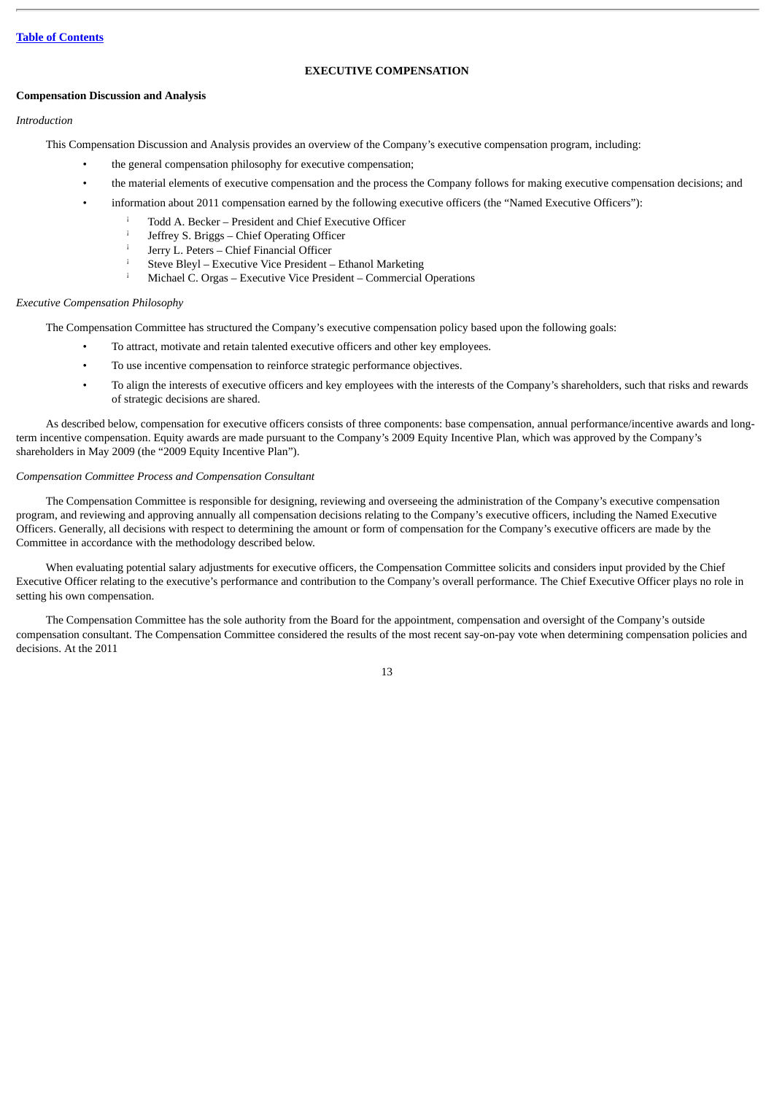# **EXECUTIVE COMPENSATION**

# <span id="page-17-1"></span><span id="page-17-0"></span>**Compensation Discussion and Analysis**

# *Introduction*

This Compensation Discussion and Analysis provides an overview of the Company's executive compensation program, including:

- the general compensation philosophy for executive compensation;
- the material elements of executive compensation and the process the Company follows for making executive compensation decisions; and
	- information about 2011 compensation earned by the following executive officers (the "Named Executive Officers"):
		- Todd A. Becker President and Chief Executive Officer ¡
		- Jeffrey S. Briggs Chief Operating Officer ¡
		- Jerry L. Peters Chief Financial Officer ¡
		- Steve Bleyl Executive Vice President Ethanol Marketing ¡
		- Michael C. Orgas Executive Vice President Commercial Operations ¡

# *Executive Compensation Philosophy*

The Compensation Committee has structured the Company's executive compensation policy based upon the following goals:

- To attract, motivate and retain talented executive officers and other key employees.
- To use incentive compensation to reinforce strategic performance objectives.
- To align the interests of executive officers and key employees with the interests of the Company's shareholders, such that risks and rewards of strategic decisions are shared.

As described below, compensation for executive officers consists of three components: base compensation, annual performance/incentive awards and longterm incentive compensation. Equity awards are made pursuant to the Company's 2009 Equity Incentive Plan, which was approved by the Company's shareholders in May 2009 (the "2009 Equity Incentive Plan").

# *Compensation Committee Process and Compensation Consultant*

The Compensation Committee is responsible for designing, reviewing and overseeing the administration of the Company's executive compensation program, and reviewing and approving annually all compensation decisions relating to the Company's executive officers, including the Named Executive Officers. Generally, all decisions with respect to determining the amount or form of compensation for the Company's executive officers are made by the Committee in accordance with the methodology described below.

When evaluating potential salary adjustments for executive officers, the Compensation Committee solicits and considers input provided by the Chief Executive Officer relating to the executive's performance and contribution to the Company's overall performance. The Chief Executive Officer plays no role in setting his own compensation.

The Compensation Committee has the sole authority from the Board for the appointment, compensation and oversight of the Company's outside compensation consultant. The Compensation Committee considered the results of the most recent say-on-pay vote when determining compensation policies and decisions. At the 2011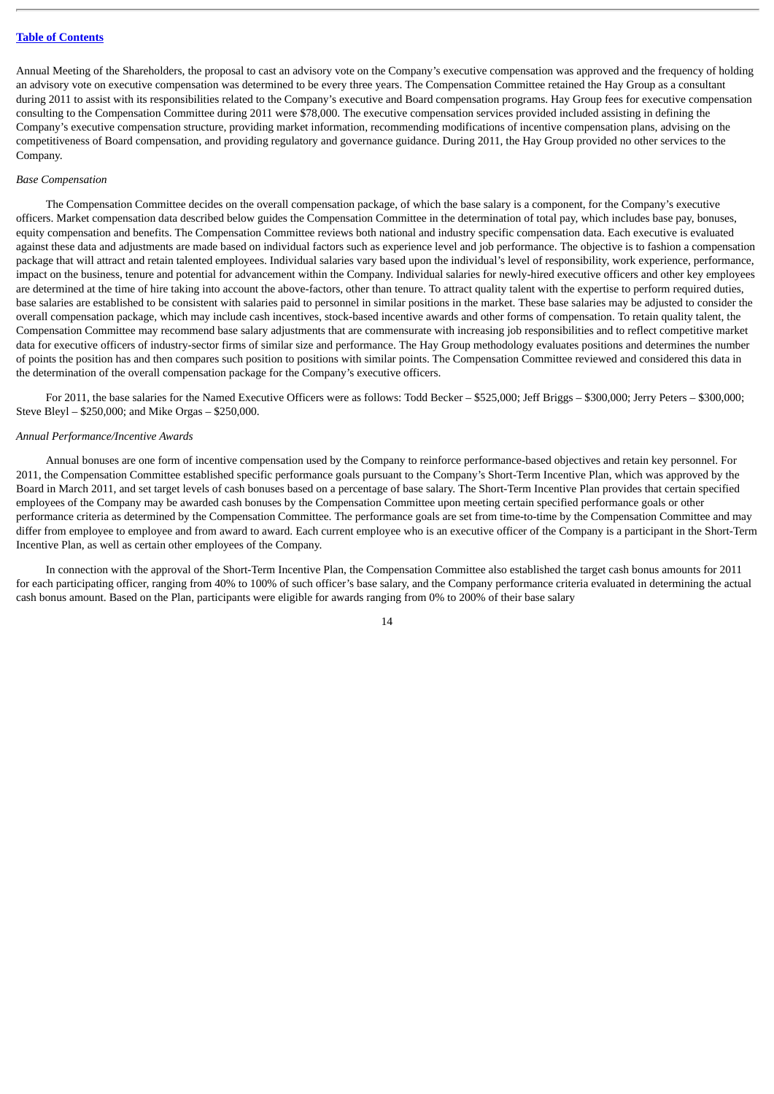Annual Meeting of the Shareholders, the proposal to cast an advisory vote on the Company's executive compensation was approved and the frequency of holding an advisory vote on executive compensation was determined to be every three years. The Compensation Committee retained the Hay Group as a consultant during 2011 to assist with its responsibilities related to the Company's executive and Board compensation programs. Hay Group fees for executive compensation consulting to the Compensation Committee during 2011 were \$78,000. The executive compensation services provided included assisting in defining the Company's executive compensation structure, providing market information, recommending modifications of incentive compensation plans, advising on the competitiveness of Board compensation, and providing regulatory and governance guidance. During 2011, the Hay Group provided no other services to the Company.

# *Base Compensation*

The Compensation Committee decides on the overall compensation package, of which the base salary is a component, for the Company's executive officers. Market compensation data described below guides the Compensation Committee in the determination of total pay, which includes base pay, bonuses, equity compensation and benefits. The Compensation Committee reviews both national and industry specific compensation data. Each executive is evaluated against these data and adjustments are made based on individual factors such as experience level and job performance. The objective is to fashion a compensation package that will attract and retain talented employees. Individual salaries vary based upon the individual's level of responsibility, work experience, performance, impact on the business, tenure and potential for advancement within the Company. Individual salaries for newly-hired executive officers and other key employees are determined at the time of hire taking into account the above-factors, other than tenure. To attract quality talent with the expertise to perform required duties, base salaries are established to be consistent with salaries paid to personnel in similar positions in the market. These base salaries may be adjusted to consider the overall compensation package, which may include cash incentives, stock-based incentive awards and other forms of compensation. To retain quality talent, the Compensation Committee may recommend base salary adjustments that are commensurate with increasing job responsibilities and to reflect competitive market data for executive officers of industry-sector firms of similar size and performance. The Hay Group methodology evaluates positions and determines the number of points the position has and then compares such position to positions with similar points. The Compensation Committee reviewed and considered this data in the determination of the overall compensation package for the Company's executive officers.

For 2011, the base salaries for the Named Executive Officers were as follows: Todd Becker – \$525,000; Jeff Briggs – \$300,000; Jerry Peters – \$300,000; Steve Bleyl – \$250,000; and Mike Orgas – \$250,000.

# *Annual Performance/Incentive Awards*

Annual bonuses are one form of incentive compensation used by the Company to reinforce performance-based objectives and retain key personnel. For 2011, the Compensation Committee established specific performance goals pursuant to the Company's Short-Term Incentive Plan, which was approved by the Board in March 2011, and set target levels of cash bonuses based on a percentage of base salary. The Short-Term Incentive Plan provides that certain specified employees of the Company may be awarded cash bonuses by the Compensation Committee upon meeting certain specified performance goals or other performance criteria as determined by the Compensation Committee. The performance goals are set from time-to-time by the Compensation Committee and may differ from employee to employee and from award to award. Each current employee who is an executive officer of the Company is a participant in the Short-Term Incentive Plan, as well as certain other employees of the Company.

In connection with the approval of the Short-Term Incentive Plan, the Compensation Committee also established the target cash bonus amounts for 2011 for each participating officer, ranging from 40% to 100% of such officer's base salary, and the Company performance criteria evaluated in determining the actual cash bonus amount. Based on the Plan, participants were eligible for awards ranging from 0% to 200% of their base salary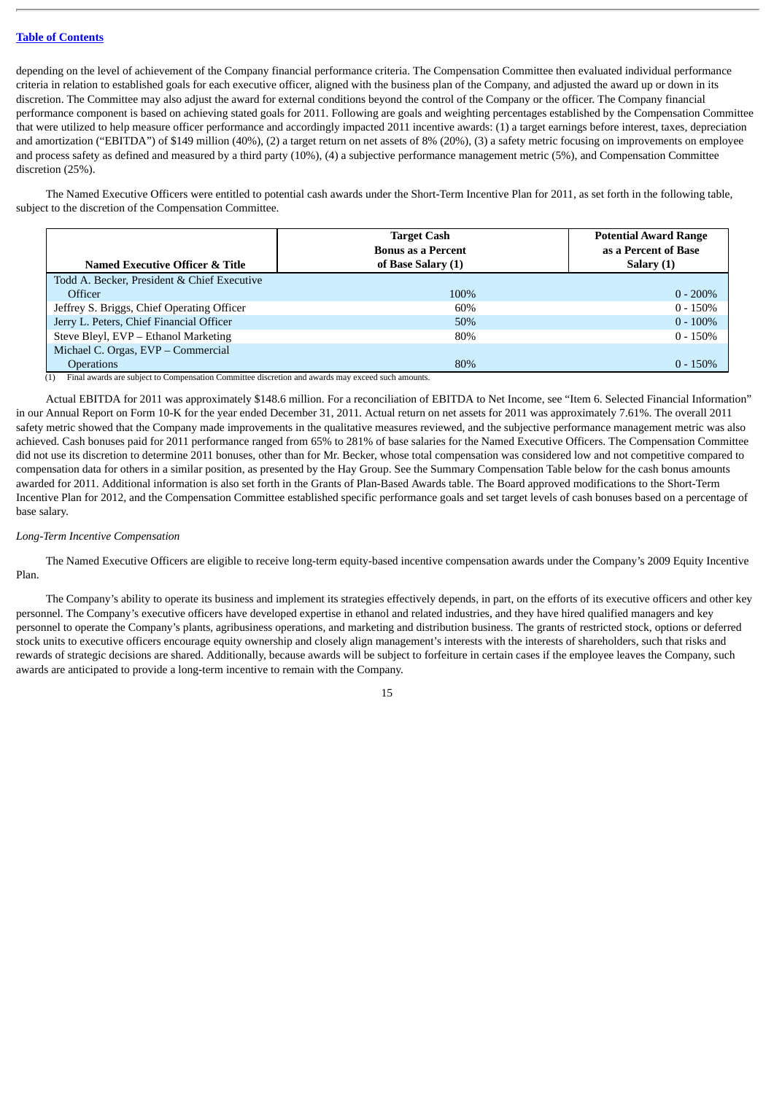depending on the level of achievement of the Company financial performance criteria. The Compensation Committee then evaluated individual performance criteria in relation to established goals for each executive officer, aligned with the business plan of the Company, and adjusted the award up or down in its discretion. The Committee may also adjust the award for external conditions beyond the control of the Company or the officer. The Company financial performance component is based on achieving stated goals for 2011. Following are goals and weighting percentages established by the Compensation Committee that were utilized to help measure officer performance and accordingly impacted 2011 incentive awards: (1) a target earnings before interest, taxes, depreciation and amortization ("EBITDA") of \$149 million (40%), (2) a target return on net assets of 8% (20%), (3) a safety metric focusing on improvements on employee and process safety as defined and measured by a third party (10%), (4) a subjective performance management metric (5%), and Compensation Committee discretion (25%).

The Named Executive Officers were entitled to potential cash awards under the Short-Term Incentive Plan for 2011, as set forth in the following table, subject to the discretion of the Compensation Committee.

|                                             | <b>Target Cash</b><br><b>Bonus as a Percent</b> | <b>Potential Award Range</b><br>as a Percent of Base |
|---------------------------------------------|-------------------------------------------------|------------------------------------------------------|
| <b>Named Executive Officer &amp; Title</b>  | of Base Salary (1)                              | Salary (1)                                           |
| Todd A. Becker, President & Chief Executive |                                                 |                                                      |
| Officer                                     | 100%                                            | $0 - 200\%$                                          |
| Jeffrey S. Briggs, Chief Operating Officer  | 60%                                             | $0 - 150%$                                           |
| Jerry L. Peters, Chief Financial Officer    | 50%                                             | $0 - 100\%$                                          |
| Steve Bleyl, EVP - Ethanol Marketing        | 80%                                             | $0 - 150\%$                                          |
| Michael C. Orgas, EVP - Commercial          |                                                 |                                                      |
| <b>Operations</b>                           | 80%                                             | $0 - 150\%$                                          |

(1) Final awards are subject to Compensation Committee discretion and awards may exceed such amounts.

Actual EBITDA for 2011 was approximately \$148.6 million. For a reconciliation of EBITDA to Net Income, see "Item 6. Selected Financial Information" in our Annual Report on Form 10-K for the year ended December 31, 2011. Actual return on net assets for 2011 was approximately 7.61%. The overall 2011 safety metric showed that the Company made improvements in the qualitative measures reviewed, and the subjective performance management metric was also achieved. Cash bonuses paid for 2011 performance ranged from 65% to 281% of base salaries for the Named Executive Officers. The Compensation Committee did not use its discretion to determine 2011 bonuses, other than for Mr. Becker, whose total compensation was considered low and not competitive compared to compensation data for others in a similar position, as presented by the Hay Group. See the Summary Compensation Table below for the cash bonus amounts awarded for 2011. Additional information is also set forth in the Grants of Plan-Based Awards table. The Board approved modifications to the Short-Term Incentive Plan for 2012, and the Compensation Committee established specific performance goals and set target levels of cash bonuses based on a percentage of base salary.

# *Long-Term Incentive Compensation*

The Named Executive Officers are eligible to receive long-term equity-based incentive compensation awards under the Company's 2009 Equity Incentive Plan.

The Company's ability to operate its business and implement its strategies effectively depends, in part, on the efforts of its executive officers and other key personnel. The Company's executive officers have developed expertise in ethanol and related industries, and they have hired qualified managers and key personnel to operate the Company's plants, agribusiness operations, and marketing and distribution business. The grants of restricted stock, options or deferred stock units to executive officers encourage equity ownership and closely align management's interests with the interests of shareholders, such that risks and rewards of strategic decisions are shared. Additionally, because awards will be subject to forfeiture in certain cases if the employee leaves the Company, such awards are anticipated to provide a long-term incentive to remain with the Company.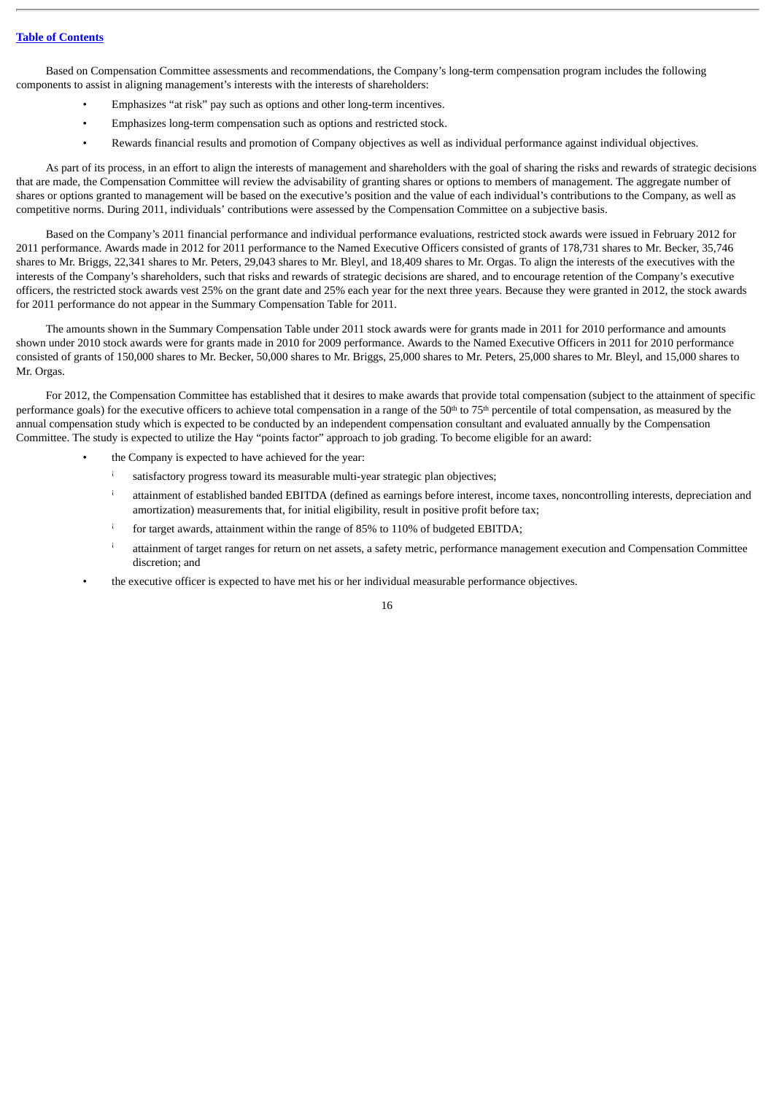Based on Compensation Committee assessments and recommendations, the Company's long-term compensation program includes the following components to assist in aligning management's interests with the interests of shareholders:

- Emphasizes "at risk" pay such as options and other long-term incentives.
- Emphasizes long-term compensation such as options and restricted stock.
- Rewards financial results and promotion of Company objectives as well as individual performance against individual objectives.

As part of its process, in an effort to align the interests of management and shareholders with the goal of sharing the risks and rewards of strategic decisions that are made, the Compensation Committee will review the advisability of granting shares or options to members of management. The aggregate number of shares or options granted to management will be based on the executive's position and the value of each individual's contributions to the Company, as well as competitive norms. During 2011, individuals' contributions were assessed by the Compensation Committee on a subjective basis.

Based on the Company's 2011 financial performance and individual performance evaluations, restricted stock awards were issued in February 2012 for 2011 performance. Awards made in 2012 for 2011 performance to the Named Executive Officers consisted of grants of 178,731 shares to Mr. Becker, 35,746 shares to Mr. Briggs, 22,341 shares to Mr. Peters, 29,043 shares to Mr. Bleyl, and 18,409 shares to Mr. Orgas. To align the interests of the executives with the interests of the Company's shareholders, such that risks and rewards of strategic decisions are shared, and to encourage retention of the Company's executive officers, the restricted stock awards vest 25% on the grant date and 25% each year for the next three years. Because they were granted in 2012, the stock awards for 2011 performance do not appear in the Summary Compensation Table for 2011.

The amounts shown in the Summary Compensation Table under 2011 stock awards were for grants made in 2011 for 2010 performance and amounts shown under 2010 stock awards were for grants made in 2010 for 2009 performance. Awards to the Named Executive Officers in 2011 for 2010 performance consisted of grants of 150,000 shares to Mr. Becker, 50,000 shares to Mr. Briggs, 25,000 shares to Mr. Peters, 25,000 shares to Mr. Bleyl, and 15,000 shares to Mr. Orgas.

For 2012, the Compensation Committee has established that it desires to make awards that provide total compensation (subject to the attainment of specific performance goals) for the executive officers to achieve total compensation in a range of the 50<sup>th</sup> to 75<sup>th</sup> percentile of total compensation, as measured by the annual compensation study which is expected to be conducted by an independent compensation consultant and evaluated annually by the Compensation Committee. The study is expected to utilize the Hay "points factor" approach to job grading. To become eligible for an award:

- the Company is expected to have achieved for the year:
	- satisfactory progress toward its measurable multi-year strategic plan objectives; ¡
	- attainment of established banded EBITDA (defined as earnings before interest, income taxes, noncontrolling interests, depreciation and amortization) measurements that, for initial eligibility, result in positive profit before tax; ¡
	- for target awards, attainment within the range of 85% to 110% of budgeted EBITDA; ¡
	- attainment of target ranges for return on net assets, a safety metric, performance management execution and Compensation Committee discretion; and ¡
- the executive officer is expected to have met his or her individual measurable performance objectives.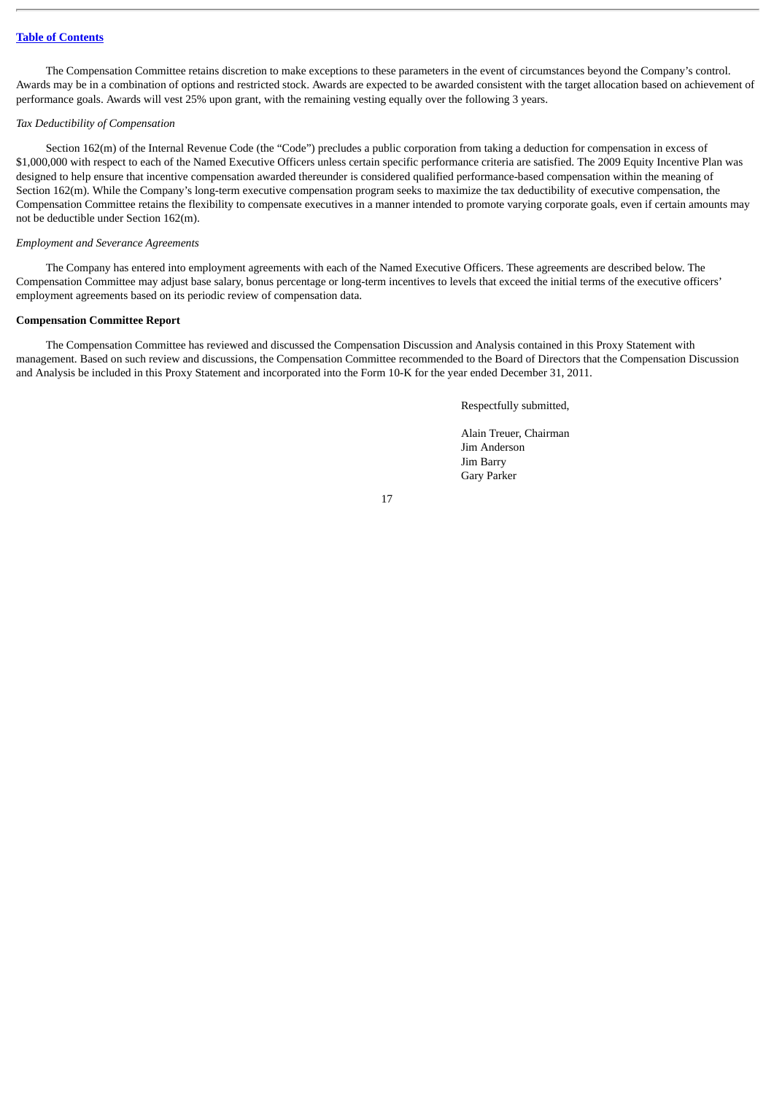The Compensation Committee retains discretion to make exceptions to these parameters in the event of circumstances beyond the Company's control. Awards may be in a combination of options and restricted stock. Awards are expected to be awarded consistent with the target allocation based on achievement of performance goals. Awards will vest 25% upon grant, with the remaining vesting equally over the following 3 years.

# *Tax Deductibility of Compensation*

Section 162(m) of the Internal Revenue Code (the "Code") precludes a public corporation from taking a deduction for compensation in excess of \$1,000,000 with respect to each of the Named Executive Officers unless certain specific performance criteria are satisfied. The 2009 Equity Incentive Plan was designed to help ensure that incentive compensation awarded thereunder is considered qualified performance-based compensation within the meaning of Section 162(m). While the Company's long-term executive compensation program seeks to maximize the tax deductibility of executive compensation, the Compensation Committee retains the flexibility to compensate executives in a manner intended to promote varying corporate goals, even if certain amounts may not be deductible under Section 162(m).

# *Employment and Severance Agreements*

The Company has entered into employment agreements with each of the Named Executive Officers. These agreements are described below. The Compensation Committee may adjust base salary, bonus percentage or long-term incentives to levels that exceed the initial terms of the executive officers' employment agreements based on its periodic review of compensation data.

# <span id="page-21-0"></span>**Compensation Committee Report**

The Compensation Committee has reviewed and discussed the Compensation Discussion and Analysis contained in this Proxy Statement with management. Based on such review and discussions, the Compensation Committee recommended to the Board of Directors that the Compensation Discussion and Analysis be included in this Proxy Statement and incorporated into the Form 10-K for the year ended December 31, 2011.

Respectfully submitted,

Alain Treuer, Chairman Jim Anderson Jim Barry Gary Parker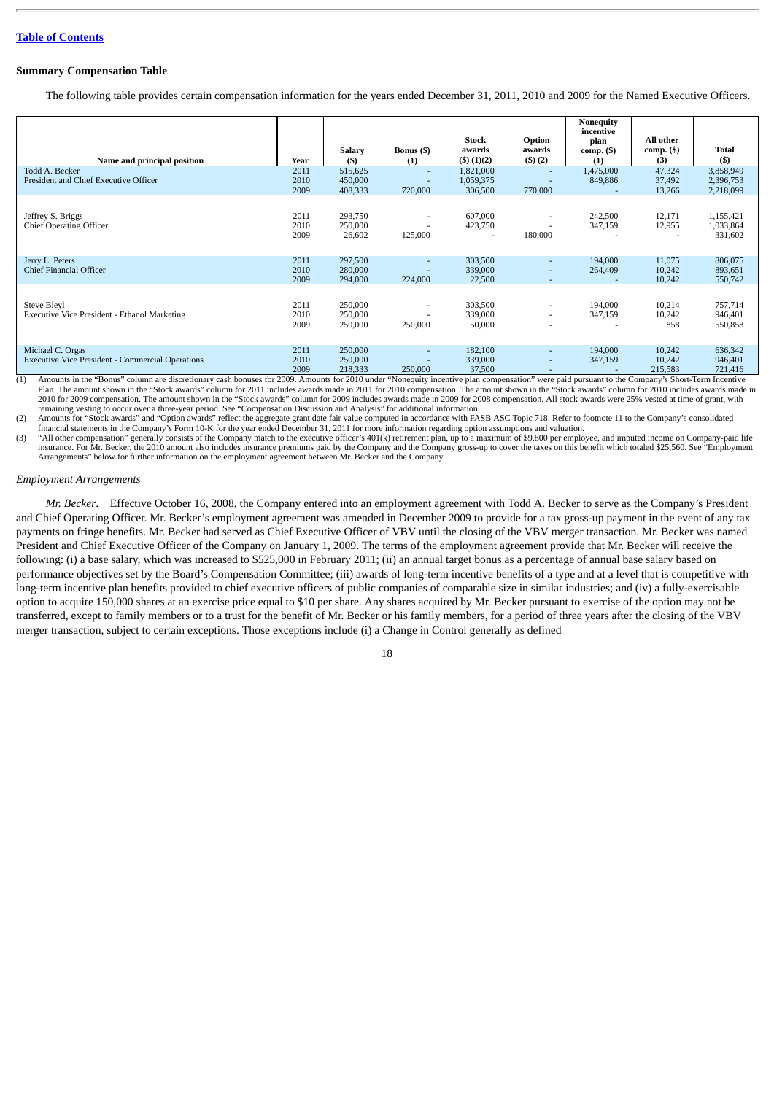# <span id="page-22-0"></span>**Summary Compensation Table**

The following table provides certain compensation information for the years ended December 31, 2011, 2010 and 2009 for the Named Executive Officers.

|                                                                             |                      |                               |                                | Stock                                          | Option                                                         | Nonequity<br>incentive<br>plan | All other                   |                                     |
|-----------------------------------------------------------------------------|----------------------|-------------------------------|--------------------------------|------------------------------------------------|----------------------------------------------------------------|--------------------------------|-----------------------------|-------------------------------------|
| Name and principal position                                                 | Year                 | <b>Salary</b><br>(5)          | <b>Bonus</b> (\$)<br>(1)       | awards<br>$($ \$) $(1)(2)$                     | awards<br>(3)(2)                                               | $comp. (\$)$<br>(1)            | comp. (\$)<br>(3)           | <b>Total</b><br>(5)                 |
| Todd A. Becker<br>President and Chief Executive Officer                     | 2011<br>2010<br>2009 | 515,625<br>450,000<br>408,333 | $\overline{a}$<br>٠<br>720,000 | 1,821,000<br>1,059,375<br>306,500              | ٠<br>770,000                                                   | 1,475,000<br>849,886           | 47,324<br>37,492<br>13,266  | 3,858,949<br>2,396,753<br>2,218,099 |
| Jeffrey S. Briggs<br><b>Chief Operating Officer</b>                         | 2011<br>2010<br>2009 | 293,750<br>250,000<br>26,602  | 125,000                        | 607,000<br>423,750<br>$\overline{\phantom{a}}$ | 180,000                                                        | 242,500<br>347,159             | 12,171<br>12,955            | 1,155,421<br>1,033,864<br>331,602   |
| Jerry L. Peters<br><b>Chief Financial Officer</b>                           | 2011<br>2010<br>2009 | 297,500<br>280,000<br>294,000 | ٠<br>224,000                   | 303,500<br>339,000<br>22,500                   | ٠<br>٠                                                         | 194,000<br>264,409             | 11,075<br>10,242<br>10,242  | 806,075<br>893,651<br>550,742       |
| Steve Bleyl<br>Executive Vice President - Ethanol Marketing                 | 2011<br>2010<br>2009 | 250,000<br>250,000<br>250,000 | 250,000                        | 303,500<br>339,000<br>50,000                   | $\overline{\phantom{a}}$<br>$\sim$<br>$\overline{\phantom{a}}$ | 194,000<br>347,159             | 10,214<br>10,242<br>858     | 757,714<br>946,401<br>550,858       |
| Michael C. Orgas<br><b>Executive Vice President - Commercial Operations</b> | 2011<br>2010<br>2009 | 250,000<br>250,000<br>218,333 | ٠<br>250,000                   | 182,100<br>339,000<br>37,500                   | ٠<br>$\sim$<br>$\sim$                                          | 194,000<br>347,159             | 10,242<br>10,242<br>215,583 | 636,342<br>946,401<br>721,416       |

(1) Amounts in the "Bonus" column are discretionary cash bonuses for 2009. Amounts for 2010 under "Nonequity incentive plan compensation" were paid pursuant to the Company's Short-Term Incentive Plan. The amount shown in the "Stock awards" column for 2011 includes awards made in 2011 for 2010 compensation. The amount shown in the "Stock awards" column for 2010 includes awards made in 2010 for 2009 compensation. The amount shown in the "Stock awards" column for 2009 includes awards made in 2009 for 2008 compensation. All stock awards were 25% vested at time of grant, with remaining vesting to occur over a three-year period. See "Compensation Discussion and Analysis" for additional information.

(2) Amounts for "Stock awards" and "Option awards" reflect the aggregate grant date fair value computed in accordance with FASB ASC Topic 718. Refer to footnote 11 to the Company's consolidated financial statements in the Company's Form 10-K for the year ended December 31, 2011 for more information regarding option assumptions and valuation.<br>(3) "All other compensation" generally consists of the Company match to

insurance. For Mr. Becker, the 2010 amount also includes insurance premiums paid by the Company and the Company gross-up to cover the taxes on this benefit which totaled \$25,560. See "Employment Arrangements" below for further information on the employment agreement between Mr. Becker and the Company.

# *Employment Arrangements*

*Mr. Becker*. Effective October 16, 2008, the Company entered into an employment agreement with Todd A. Becker to serve as the Company's President and Chief Operating Officer. Mr. Becker's employment agreement was amended in December 2009 to provide for a tax gross-up payment in the event of any tax payments on fringe benefits. Mr. Becker had served as Chief Executive Officer of VBV until the closing of the VBV merger transaction. Mr. Becker was named President and Chief Executive Officer of the Company on January 1, 2009. The terms of the employment agreement provide that Mr. Becker will receive the following: (i) a base salary, which was increased to \$525,000 in February 2011; (ii) an annual target bonus as a percentage of annual base salary based on performance objectives set by the Board's Compensation Committee; (iii) awards of long-term incentive benefits of a type and at a level that is competitive with long-term incentive plan benefits provided to chief executive officers of public companies of comparable size in similar industries; and (iv) a fully-exercisable option to acquire 150,000 shares at an exercise price equal to \$10 per share. Any shares acquired by Mr. Becker pursuant to exercise of the option may not be transferred, except to family members or to a trust for the benefit of Mr. Becker or his family members, for a period of three years after the closing of the VBV merger transaction, subject to certain exceptions. Those exceptions include (i) a Change in Control generally as defined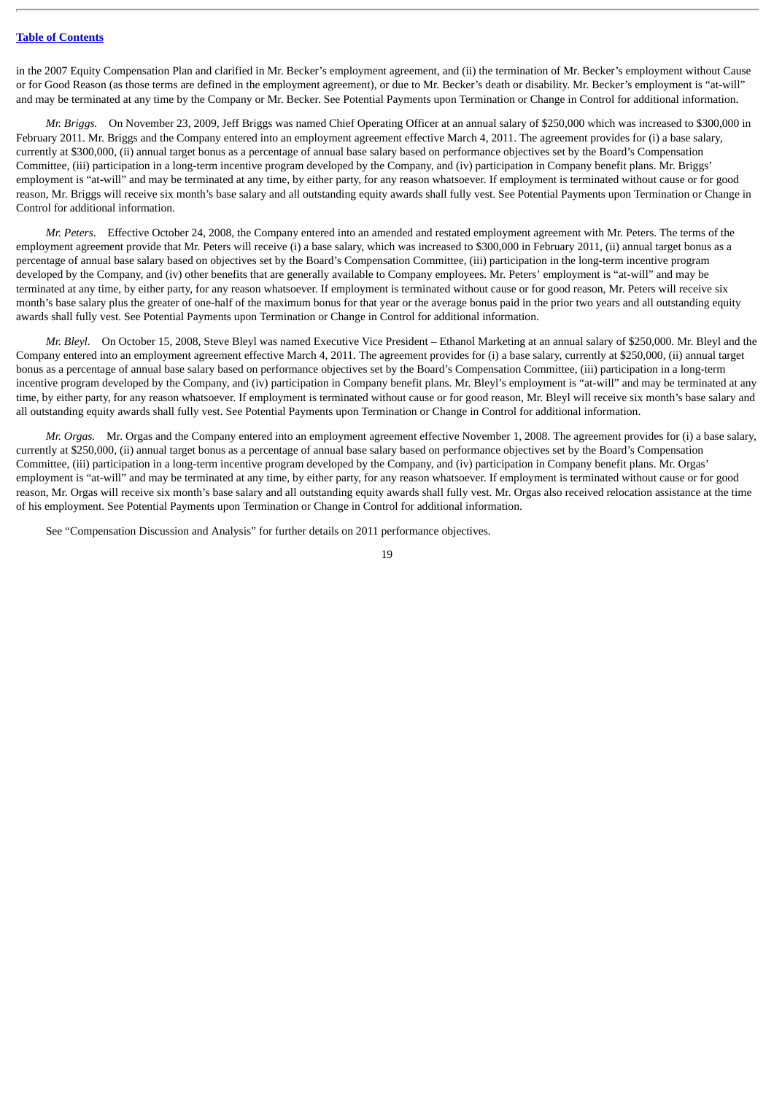in the 2007 Equity Compensation Plan and clarified in Mr. Becker's employment agreement, and (ii) the termination of Mr. Becker's employment without Cause or for Good Reason (as those terms are defined in the employment agreement), or due to Mr. Becker's death or disability. Mr. Becker's employment is "at-will" and may be terminated at any time by the Company or Mr. Becker. See Potential Payments upon Termination or Change in Control for additional information.

*Mr. Briggs.* On November 23, 2009, Jeff Briggs was named Chief Operating Officer at an annual salary of \$250,000 which was increased to \$300,000 in February 2011. Mr. Briggs and the Company entered into an employment agreement effective March 4, 2011. The agreement provides for (i) a base salary, currently at \$300,000, (ii) annual target bonus as a percentage of annual base salary based on performance objectives set by the Board's Compensation Committee, (iii) participation in a long-term incentive program developed by the Company, and (iv) participation in Company benefit plans. Mr. Briggs' employment is "at-will" and may be terminated at any time, by either party, for any reason whatsoever. If employment is terminated without cause or for good reason, Mr. Briggs will receive six month's base salary and all outstanding equity awards shall fully vest. See Potential Payments upon Termination or Change in Control for additional information.

*Mr. Peters*. Effective October 24, 2008, the Company entered into an amended and restated employment agreement with Mr. Peters. The terms of the employment agreement provide that Mr. Peters will receive (i) a base salary, which was increased to \$300,000 in February 2011, (ii) annual target bonus as a percentage of annual base salary based on objectives set by the Board's Compensation Committee, (iii) participation in the long-term incentive program developed by the Company, and (iv) other benefits that are generally available to Company employees. Mr. Peters' employment is "at-will" and may be terminated at any time, by either party, for any reason whatsoever. If employment is terminated without cause or for good reason, Mr. Peters will receive six month's base salary plus the greater of one-half of the maximum bonus for that year or the average bonus paid in the prior two years and all outstanding equity awards shall fully vest. See Potential Payments upon Termination or Change in Control for additional information.

*Mr. Bleyl.* On October 15, 2008, Steve Bleyl was named Executive Vice President – Ethanol Marketing at an annual salary of \$250,000. Mr. Bleyl and the Company entered into an employment agreement effective March 4, 2011. The agreement provides for (i) a base salary, currently at \$250,000, (ii) annual target bonus as a percentage of annual base salary based on performance objectives set by the Board's Compensation Committee, (iii) participation in a long-term incentive program developed by the Company, and (iv) participation in Company benefit plans. Mr. Bleyl's employment is "at-will" and may be terminated at any time, by either party, for any reason whatsoever. If employment is terminated without cause or for good reason, Mr. Bleyl will receive six month's base salary and all outstanding equity awards shall fully vest. See Potential Payments upon Termination or Change in Control for additional information.

*Mr. Orgas.* Mr. Orgas and the Company entered into an employment agreement effective November 1, 2008. The agreement provides for (i) a base salary, currently at \$250,000, (ii) annual target bonus as a percentage of annual base salary based on performance objectives set by the Board's Compensation Committee, (iii) participation in a long-term incentive program developed by the Company, and (iv) participation in Company benefit plans. Mr. Orgas' employment is "at-will" and may be terminated at any time, by either party, for any reason whatsoever. If employment is terminated without cause or for good reason, Mr. Orgas will receive six month's base salary and all outstanding equity awards shall fully vest. Mr. Orgas also received relocation assistance at the time of his employment. See Potential Payments upon Termination or Change in Control for additional information.

See "Compensation Discussion and Analysis" for further details on 2011 performance objectives.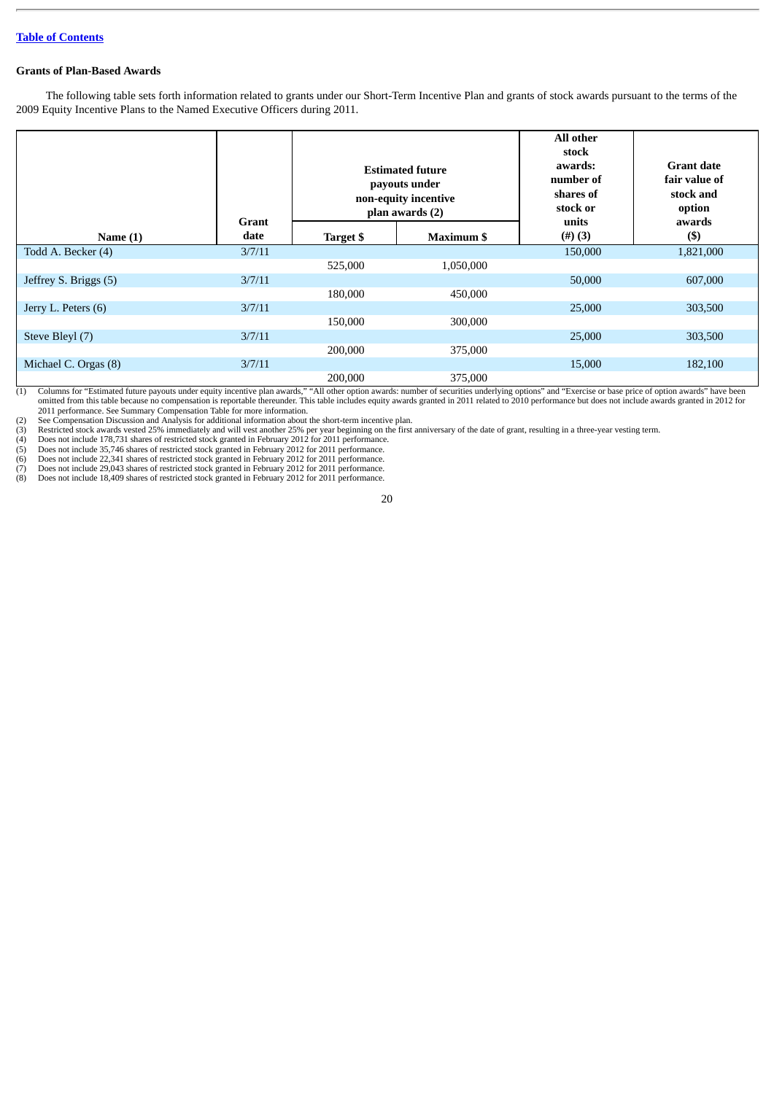# <span id="page-24-0"></span>**Grants of Plan-Based Awards**

The following table sets forth information related to grants under our Short-Term Incentive Plan and grants of stock awards pursuant to the terms of the 2009 Equity Incentive Plans to the Named Executive Officers during 2011.

|                       |                      | <b>Estimated future</b><br>payouts under<br>non-equity incentive<br>plan awards (2) |                   | All other<br>stock<br>awards:<br>number of<br>shares of<br>stock or | <b>Grant date</b><br>fair value of<br>stock and<br>option |
|-----------------------|----------------------|-------------------------------------------------------------------------------------|-------------------|---------------------------------------------------------------------|-----------------------------------------------------------|
| Name $(1)$            | <b>Grant</b><br>date | Target \$                                                                           | <b>Maximum \$</b> | units<br>$(4)$ (3)                                                  | awards<br>$($)$                                           |
| Todd A. Becker (4)    | 3/7/11               |                                                                                     |                   | 150,000                                                             | 1,821,000                                                 |
|                       |                      | 525,000                                                                             | 1,050,000         |                                                                     |                                                           |
| Jeffrey S. Briggs (5) | 3/7/11               |                                                                                     |                   | 50,000                                                              | 607,000                                                   |
|                       |                      | 180,000                                                                             | 450,000           |                                                                     |                                                           |
| Jerry L. Peters (6)   | 3/7/11               |                                                                                     |                   | 25,000                                                              | 303,500                                                   |
|                       |                      | 150,000                                                                             | 300,000           |                                                                     |                                                           |
| Steve Bleyl (7)       | 3/7/11               |                                                                                     |                   | 25,000                                                              | 303,500                                                   |
|                       |                      | 200,000                                                                             | 375,000           |                                                                     |                                                           |
| Michael C. Orgas (8)  | 3/7/11               |                                                                                     |                   | 15,000                                                              | 182,100                                                   |
|                       |                      | 200,000                                                                             | 375,000           |                                                                     |                                                           |

(1) Columns for "Estimated future payouts under equity incentive plan awards," "All other option awards: number of securities underlying options" and "Exercise or base price of option awards" have been<br>omitted from this ta

2011 performance. See Summary Compensation Table for more information. (2) See Compensation Discussion and Analysis for additional information about the short-term incentive plan.

(3) Restricted stock awards vested 25% immediately and will vest another 25% per year beginning on the first anniversary of the date of grant, resulting in a three-year vesting term.<br>(4) Does not include 178,731 shares of

(2) See Compensation Discussion and Analysis for additional information about the short-term incenti<br>
(3) Restricted stock awards vested 25% immediately and will vest another  $25\%$  per year beginning on<br>
(4) Does not inc

(7) Does not include 29,043 shares of restricted stock granted in February 2012 for 2011 performance. (8) Does not include 18,409 shares of restricted stock granted in February 2012 for 2011 performance.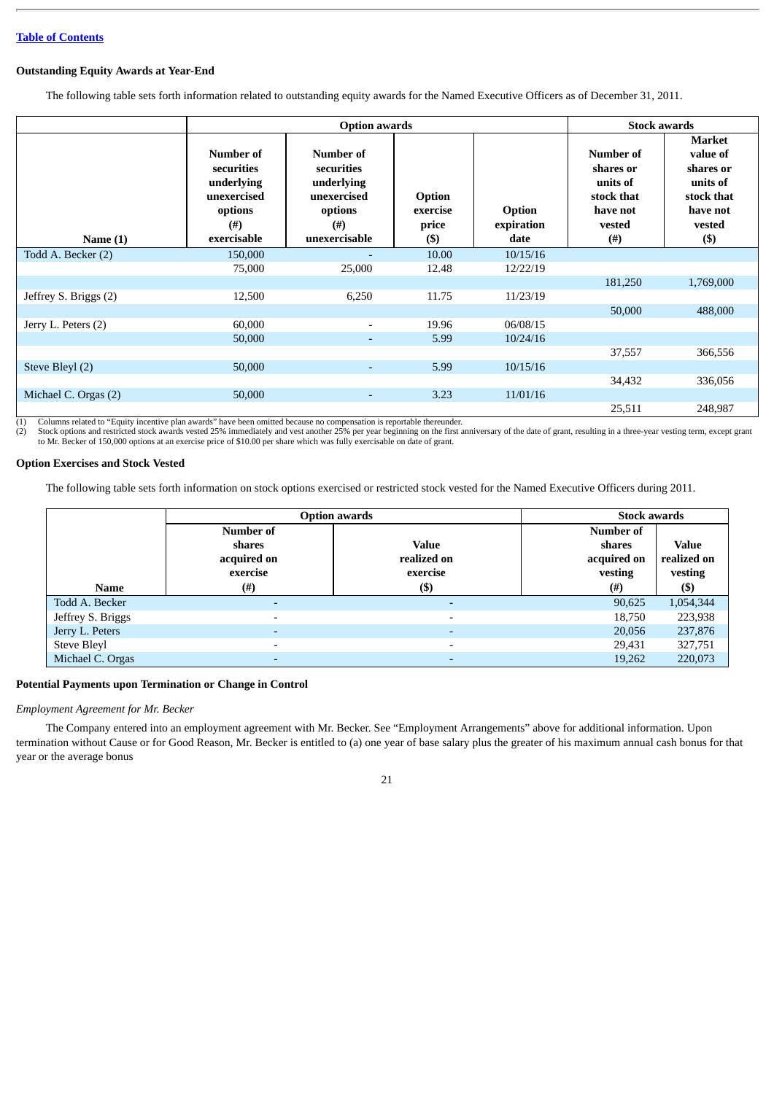# <span id="page-25-0"></span>**Outstanding Equity Awards at Year-End**

The following table sets forth information related to outstanding equity awards for the Named Executive Officers as of December 31, 2011.

|                       |                                                                                       | <b>Option awards</b>                                                                         | <b>Stock awards</b>                   |                              |                                                                                  |                                                                                                   |
|-----------------------|---------------------------------------------------------------------------------------|----------------------------------------------------------------------------------------------|---------------------------------------|------------------------------|----------------------------------------------------------------------------------|---------------------------------------------------------------------------------------------------|
| Name $(1)$            | Number of<br>securities<br>underlying<br>unexercised<br>options<br>(#)<br>exercisable | Number of<br>securities<br>underlying<br>unexercised<br>options<br>$^{(+)}$<br>unexercisable | Option<br>exercise<br>price<br>$(\$)$ | Option<br>expiration<br>date | Number of<br>shares or<br>units of<br>stock that<br>have not<br>vested<br>$(\#)$ | <b>Market</b><br>value of<br>shares or<br>units of<br>stock that<br>have not<br>vested<br>$($ \$) |
| Todd A. Becker (2)    | 150,000                                                                               |                                                                                              | 10.00                                 | 10/15/16                     |                                                                                  |                                                                                                   |
|                       | 75,000                                                                                | 25,000                                                                                       | 12.48                                 | 12/22/19                     |                                                                                  |                                                                                                   |
|                       |                                                                                       |                                                                                              |                                       |                              | 181,250                                                                          | 1,769,000                                                                                         |
| Jeffrey S. Briggs (2) | 12,500                                                                                | 6,250                                                                                        | 11.75                                 | 11/23/19                     |                                                                                  |                                                                                                   |
|                       |                                                                                       |                                                                                              |                                       |                              | 50,000                                                                           | 488,000                                                                                           |
| Jerry L. Peters (2)   | 60,000                                                                                | $\overline{\phantom{0}}$                                                                     | 19.96                                 | 06/08/15                     |                                                                                  |                                                                                                   |
|                       | 50,000                                                                                | $\overline{\phantom{0}}$                                                                     | 5.99                                  | 10/24/16                     |                                                                                  |                                                                                                   |
|                       |                                                                                       |                                                                                              |                                       |                              | 37,557                                                                           | 366,556                                                                                           |
| Steve Bleyl (2)       | 50,000                                                                                |                                                                                              | 5.99                                  | 10/15/16                     |                                                                                  |                                                                                                   |
|                       |                                                                                       |                                                                                              |                                       |                              | 34,432                                                                           | 336,056                                                                                           |
| Michael C. Orgas (2)  | 50,000                                                                                |                                                                                              | 3.23                                  | 11/01/16                     |                                                                                  |                                                                                                   |
|                       |                                                                                       |                                                                                              |                                       |                              | 25,511                                                                           | 248,987                                                                                           |

(1) Columns related to "Equity incentive plan awards" have been omitted because no compensation is reportable thereunder.

(2) Stock options and restricted stock awards vested 25% immediately and vest another 25% per year beginning on the first anniversary of the date of grant, resulting in a three-year vesting term, except grant to Mr. Becker

# <span id="page-25-1"></span>**Option Exercises and Stock Vested**

The following table sets forth information on stock options exercised or restricted stock vested for the Named Executive Officers during 2011.

|                    | <b>Option awards</b>     | <b>Stock awards</b>      |             |              |
|--------------------|--------------------------|--------------------------|-------------|--------------|
|                    | Number of                |                          | Number of   |              |
|                    | shares                   | <b>Value</b>             | shares      | <b>Value</b> |
|                    | acquired on              | realized on              | acquired on | realized on  |
|                    | exercise                 | exercise                 | vesting     | vesting      |
| Name               | $(\#)$                   | $($ \$)                  | $(\#)$      | $($)$        |
| Todd A. Becker     | $\overline{\phantom{0}}$ | $\overline{\phantom{0}}$ | 90,625      | 1,054,344    |
| Jeffrey S. Briggs  | $\overline{\phantom{a}}$ | $\overline{\phantom{a}}$ | 18,750      | 223,938      |
| Jerry L. Peters    | $\overline{\phantom{a}}$ | ۰                        | 20,056      | 237,876      |
| <b>Steve Bleyl</b> | $\overline{\phantom{0}}$ | $\overline{\phantom{a}}$ | 29,431      | 327,751      |
| Michael C. Orgas   | $\overline{\phantom{0}}$ | $\overline{\phantom{a}}$ | 19,262      | 220,073      |

# <span id="page-25-2"></span>**Potential Payments upon Termination or Change in Control**

*Employment Agreement for Mr. Becker*

The Company entered into an employment agreement with Mr. Becker. See "Employment Arrangements" above for additional information. Upon termination without Cause or for Good Reason, Mr. Becker is entitled to (a) one year of base salary plus the greater of his maximum annual cash bonus for that year or the average bonus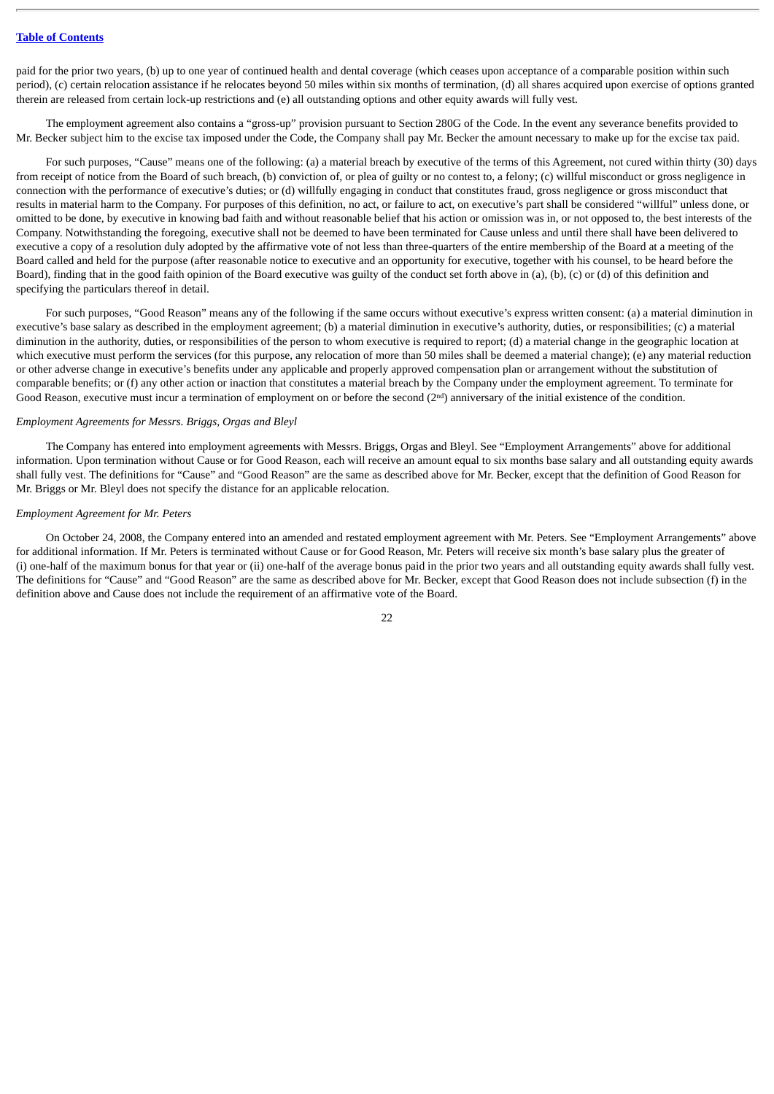paid for the prior two years, (b) up to one year of continued health and dental coverage (which ceases upon acceptance of a comparable position within such period), (c) certain relocation assistance if he relocates beyond 50 miles within six months of termination, (d) all shares acquired upon exercise of options granted therein are released from certain lock-up restrictions and (e) all outstanding options and other equity awards will fully vest.

The employment agreement also contains a "gross-up" provision pursuant to Section 280G of the Code. In the event any severance benefits provided to Mr. Becker subject him to the excise tax imposed under the Code, the Company shall pay Mr. Becker the amount necessary to make up for the excise tax paid.

For such purposes, "Cause" means one of the following: (a) a material breach by executive of the terms of this Agreement, not cured within thirty (30) days from receipt of notice from the Board of such breach, (b) conviction of, or plea of guilty or no contest to, a felony; (c) willful misconduct or gross negligence in connection with the performance of executive's duties; or (d) willfully engaging in conduct that constitutes fraud, gross negligence or gross misconduct that results in material harm to the Company. For purposes of this definition, no act, or failure to act, on executive's part shall be considered "willful" unless done, or omitted to be done, by executive in knowing bad faith and without reasonable belief that his action or omission was in, or not opposed to, the best interests of the Company. Notwithstanding the foregoing, executive shall not be deemed to have been terminated for Cause unless and until there shall have been delivered to executive a copy of a resolution duly adopted by the affirmative vote of not less than three-quarters of the entire membership of the Board at a meeting of the Board called and held for the purpose (after reasonable notice to executive and an opportunity for executive, together with his counsel, to be heard before the Board), finding that in the good faith opinion of the Board executive was guilty of the conduct set forth above in (a), (b), (c) or (d) of this definition and specifying the particulars thereof in detail.

For such purposes, "Good Reason" means any of the following if the same occurs without executive's express written consent: (a) a material diminution in executive's base salary as described in the employment agreement; (b) a material diminution in executive's authority, duties, or responsibilities; (c) a material diminution in the authority, duties, or responsibilities of the person to whom executive is required to report; (d) a material change in the geographic location at which executive must perform the services (for this purpose, any relocation of more than 50 miles shall be deemed a material change); (e) any material reduction or other adverse change in executive's benefits under any applicable and properly approved compensation plan or arrangement without the substitution of comparable benefits; or (f) any other action or inaction that constitutes a material breach by the Company under the employment agreement. To terminate for Good Reason, executive must incur a termination of employment on or before the second  $(2<sup>nd</sup>)$  anniversary of the initial existence of the condition.

# *Employment Agreements for Messrs. Briggs, Orgas and Bleyl*

The Company has entered into employment agreements with Messrs. Briggs, Orgas and Bleyl. See "Employment Arrangements" above for additional information. Upon termination without Cause or for Good Reason, each will receive an amount equal to six months base salary and all outstanding equity awards shall fully vest. The definitions for "Cause" and "Good Reason" are the same as described above for Mr. Becker, except that the definition of Good Reason for Mr. Briggs or Mr. Bleyl does not specify the distance for an applicable relocation.

# *Employment Agreement for Mr. Peters*

On October 24, 2008, the Company entered into an amended and restated employment agreement with Mr. Peters. See "Employment Arrangements" above for additional information. If Mr. Peters is terminated without Cause or for Good Reason, Mr. Peters will receive six month's base salary plus the greater of (i) one-half of the maximum bonus for that year or (ii) one-half of the average bonus paid in the prior two years and all outstanding equity awards shall fully vest. The definitions for "Cause" and "Good Reason" are the same as described above for Mr. Becker, except that Good Reason does not include subsection (f) in the definition above and Cause does not include the requirement of an affirmative vote of the Board.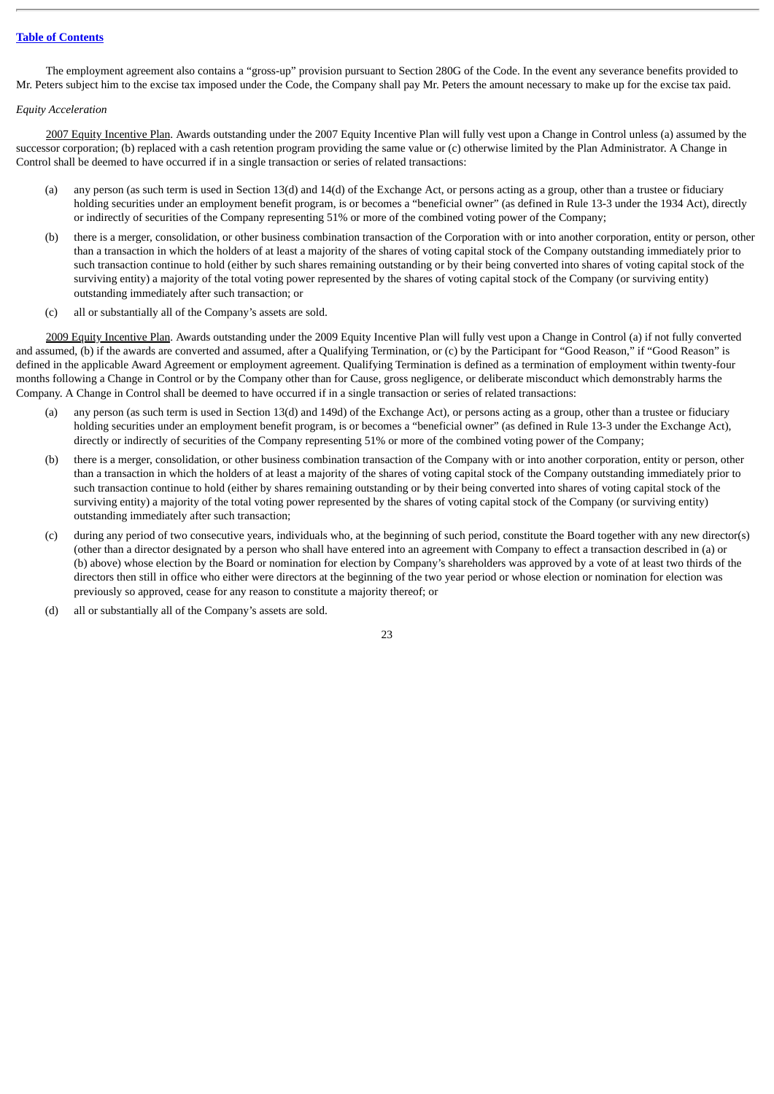The employment agreement also contains a "gross-up" provision pursuant to Section 280G of the Code. In the event any severance benefits provided to Mr. Peters subject him to the excise tax imposed under the Code, the Company shall pay Mr. Peters the amount necessary to make up for the excise tax paid.

# *Equity Acceleration*

2007 Equity Incentive Plan. Awards outstanding under the 2007 Equity Incentive Plan will fully vest upon a Change in Control unless (a) assumed by the successor corporation; (b) replaced with a cash retention program providing the same value or (c) otherwise limited by the Plan Administrator. A Change in Control shall be deemed to have occurred if in a single transaction or series of related transactions:

- (a) any person (as such term is used in Section 13(d) and 14(d) of the Exchange Act, or persons acting as a group, other than a trustee or fiduciary holding securities under an employment benefit program, is or becomes a "beneficial owner" (as defined in Rule 13-3 under the 1934 Act), directly or indirectly of securities of the Company representing 51% or more of the combined voting power of the Company;
- (b) there is a merger, consolidation, or other business combination transaction of the Corporation with or into another corporation, entity or person, other than a transaction in which the holders of at least a majority of the shares of voting capital stock of the Company outstanding immediately prior to such transaction continue to hold (either by such shares remaining outstanding or by their being converted into shares of voting capital stock of the surviving entity) a majority of the total voting power represented by the shares of voting capital stock of the Company (or surviving entity) outstanding immediately after such transaction; or
- (c) all or substantially all of the Company's assets are sold.

2009 Equity Incentive Plan. Awards outstanding under the 2009 Equity Incentive Plan will fully vest upon a Change in Control (a) if not fully converted and assumed, (b) if the awards are converted and assumed, after a Qualifying Termination, or (c) by the Participant for "Good Reason," if "Good Reason" is defined in the applicable Award Agreement or employment agreement. Qualifying Termination is defined as a termination of employment within twenty-four months following a Change in Control or by the Company other than for Cause, gross negligence, or deliberate misconduct which demonstrably harms the Company. A Change in Control shall be deemed to have occurred if in a single transaction or series of related transactions:

- (a) any person (as such term is used in Section 13(d) and 149d) of the Exchange Act), or persons acting as a group, other than a trustee or fiduciary holding securities under an employment benefit program, is or becomes a "beneficial owner" (as defined in Rule 13-3 under the Exchange Act), directly or indirectly of securities of the Company representing 51% or more of the combined voting power of the Company;
- (b) there is a merger, consolidation, or other business combination transaction of the Company with or into another corporation, entity or person, other than a transaction in which the holders of at least a majority of the shares of voting capital stock of the Company outstanding immediately prior to such transaction continue to hold (either by shares remaining outstanding or by their being converted into shares of voting capital stock of the surviving entity) a majority of the total voting power represented by the shares of voting capital stock of the Company (or surviving entity) outstanding immediately after such transaction;
- (c) during any period of two consecutive years, individuals who, at the beginning of such period, constitute the Board together with any new director(s) (other than a director designated by a person who shall have entered into an agreement with Company to effect a transaction described in (a) or (b) above) whose election by the Board or nomination for election by Company's shareholders was approved by a vote of at least two thirds of the directors then still in office who either were directors at the beginning of the two year period or whose election or nomination for election was previously so approved, cease for any reason to constitute a majority thereof; or
- (d) all or substantially all of the Company's assets are sold.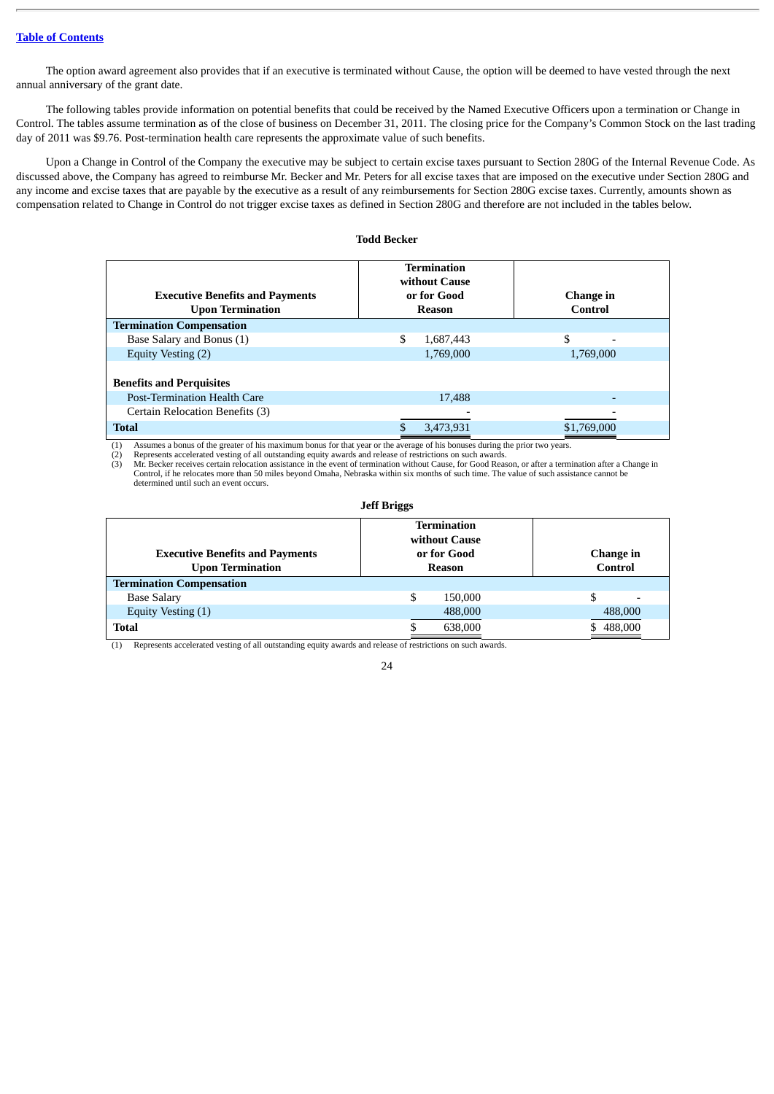The option award agreement also provides that if an executive is terminated without Cause, the option will be deemed to have vested through the next annual anniversary of the grant date.

The following tables provide information on potential benefits that could be received by the Named Executive Officers upon a termination or Change in Control. The tables assume termination as of the close of business on December 31, 2011. The closing price for the Company's Common Stock on the last trading day of 2011 was \$9.76. Post-termination health care represents the approximate value of such benefits.

Upon a Change in Control of the Company the executive may be subject to certain excise taxes pursuant to Section 280G of the Internal Revenue Code. As discussed above, the Company has agreed to reimburse Mr. Becker and Mr. Peters for all excise taxes that are imposed on the executive under Section 280G and any income and excise taxes that are payable by the executive as a result of any reimbursements for Section 280G excise taxes. Currently, amounts shown as compensation related to Change in Control do not trigger excise taxes as defined in Section 280G and therefore are not included in the tables below.

# **Todd Becker**

| <b>Executive Benefits and Payments</b><br><b>Upon Termination</b> | Termination<br>without Cause<br>or for Good<br>Reason | Change in<br>Control           |
|-------------------------------------------------------------------|-------------------------------------------------------|--------------------------------|
| <b>Termination Compensation</b>                                   |                                                       |                                |
| Base Salary and Bonus (1)                                         | \$<br>1.687.443                                       | \$<br>$\overline{\phantom{0}}$ |
| Equity Vesting (2)                                                | 1,769,000                                             | 1,769,000                      |
| <b>Benefits and Perquisites</b>                                   |                                                       |                                |
| Post-Termination Health Care                                      | 17,488                                                | $\blacksquare$                 |
| Certain Relocation Benefits (3)                                   |                                                       |                                |
| <b>Total</b>                                                      | 3.473.931                                             | \$1,769,000                    |

(1) Assumes a bonus of the greater of his maximum bonus for that year or the average of his bonuses during the prior two years.

(2) Represents accelerated vesting of all outstanding equity awards and release of restrictions on such awards.<br>(3) Mr. Becker receives certain relocation assistance in the event of termination without Cause, for Good Rea

(3) Mr. Becker receives certain relocation assistance in the event of termination without Cause, for Good Reason, or after a termination after a Change in Control, if he relocates more than 50 miles beyond Omaha, Nebraska within six months of such time. The value of such assistance cannot be determined until such an event occurs.

# **Jeff Briggs**

| <b>Executive Benefits and Payments</b><br><b>Upon Termination</b> | Termination<br>without Cause<br>or for Good<br><b>Reason</b> | Change in<br>Control |
|-------------------------------------------------------------------|--------------------------------------------------------------|----------------------|
| <b>Termination Compensation</b>                                   |                                                              |                      |
| <b>Base Salary</b>                                                | \$<br>150,000                                                |                      |
| Equity Vesting (1)                                                | 488,000                                                      | 488,000              |
| <b>Total</b>                                                      | 638,000                                                      | 488,000              |

(1) Represents accelerated vesting of all outstanding equity awards and release of restrictions on such awards.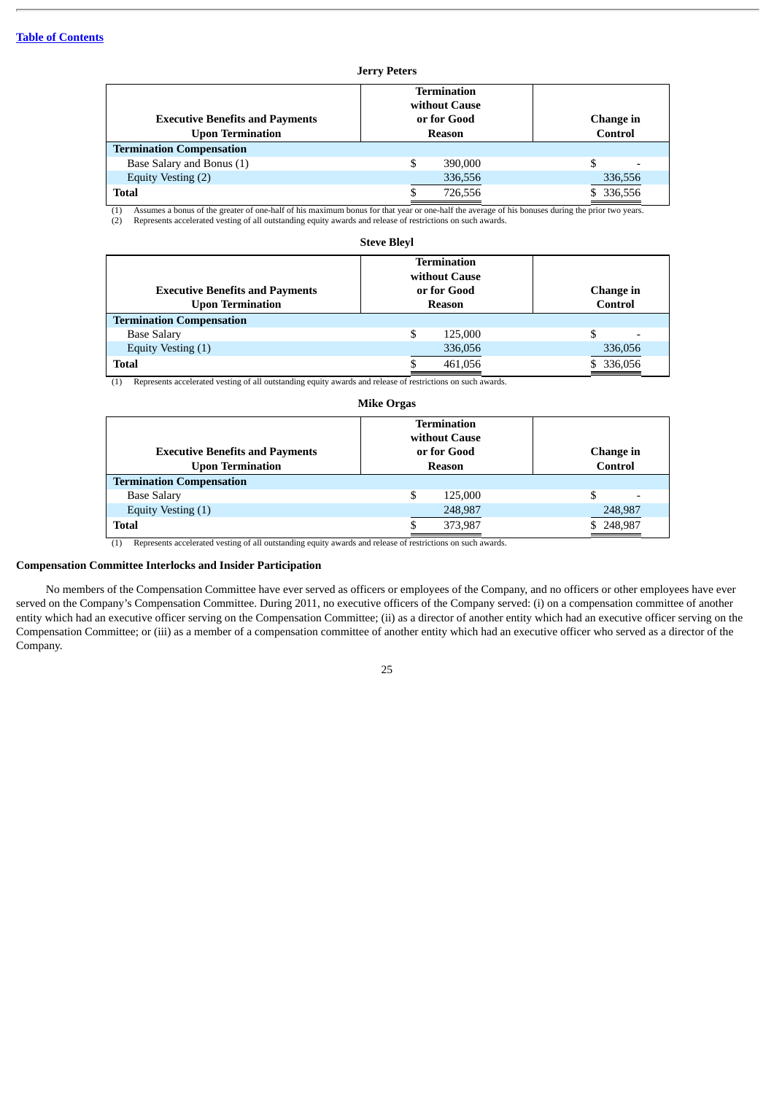| <b>Jerry Peters</b>                                               |                              |                             |  |  |  |
|-------------------------------------------------------------------|------------------------------|-----------------------------|--|--|--|
|                                                                   | Termination<br>without Cause |                             |  |  |  |
| <b>Executive Benefits and Payments</b><br><b>Upon Termination</b> | or for Good<br>Reason        | <b>Change in</b><br>Control |  |  |  |
| <b>Termination Compensation</b>                                   |                              |                             |  |  |  |
| Base Salary and Bonus (1)                                         | 390,000                      |                             |  |  |  |
| Equity Vesting (2)                                                | 336,556                      | 336,556                     |  |  |  |
| <b>Total</b>                                                      | 726,556                      | 336,556                     |  |  |  |

 (1) Assumes a bonus of the greater of one-half of his maximum bonus for that year or one-half the average of his bonuses during the prior two years. (2) Represents accelerated vesting of all outstanding equity awards and release of restrictions on such awards.

**Steve Bleyl**

|                                        | <b>SIEVE DIEVI</b> |            |
|----------------------------------------|--------------------|------------|
|                                        | Termination        |            |
|                                        | without Cause      |            |
| <b>Executive Benefits and Payments</b> | or for Good        | Change in  |
| <b>Upon Termination</b>                | <b>Reason</b>      | Control    |
| <b>Termination Compensation</b>        |                    |            |
| <b>Base Salary</b>                     | \$<br>125,000      |            |
| Equity Vesting (1)                     | 336,056            | 336,056    |
| <b>Total</b>                           | 461,056            | \$ 336,056 |

(1) Represents accelerated vesting of all outstanding equity awards and release of restrictions on such awards.

# **Mike Orgas**

| <b>Executive Benefits and Payments</b><br><b>Upon Termination</b> | <b>Termination</b><br>without Cause<br>or for Good<br>Reason | Change in<br>Control |
|-------------------------------------------------------------------|--------------------------------------------------------------|----------------------|
| <b>Termination Compensation</b>                                   |                                                              |                      |
| <b>Base Salary</b>                                                | 125.000                                                      |                      |
| Equity Vesting (1)                                                | 248,987                                                      | 248,987              |
| <b>Total</b>                                                      | 373,987                                                      | 248,987              |

(1) Represents accelerated vesting of all outstanding equity awards and release of restrictions on such awards.

# <span id="page-29-0"></span>**Compensation Committee Interlocks and Insider Participation**

No members of the Compensation Committee have ever served as officers or employees of the Company, and no officers or other employees have ever served on the Company's Compensation Committee. During 2011, no executive officers of the Company served: (i) on a compensation committee of another entity which had an executive officer serving on the Compensation Committee; (ii) as a director of another entity which had an executive officer serving on the Compensation Committee; or (iii) as a member of a compensation committee of another entity which had an executive officer who served as a director of the Company.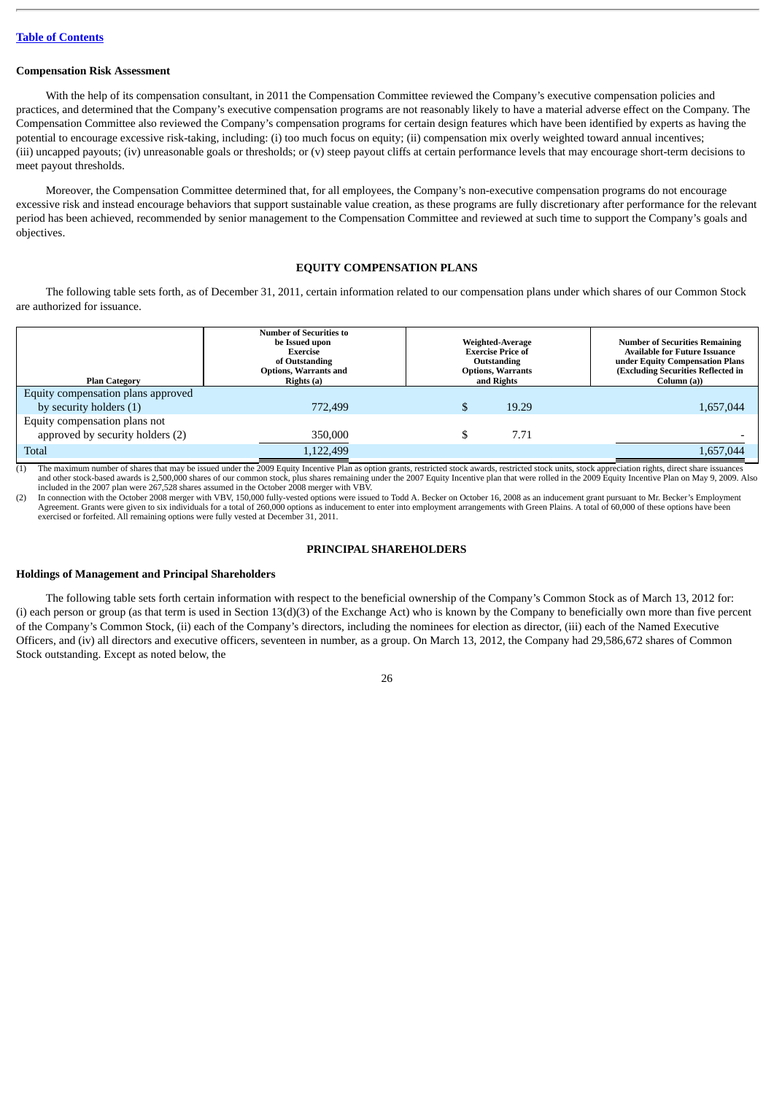# <span id="page-30-0"></span>**Compensation Risk Assessment**

With the help of its compensation consultant, in 2011 the Compensation Committee reviewed the Company's executive compensation policies and practices, and determined that the Company's executive compensation programs are not reasonably likely to have a material adverse effect on the Company. The Compensation Committee also reviewed the Company's compensation programs for certain design features which have been identified by experts as having the potential to encourage excessive risk-taking, including: (i) too much focus on equity; (ii) compensation mix overly weighted toward annual incentives; (iii) uncapped payouts; (iv) unreasonable goals or thresholds; or (v) steep payout cliffs at certain performance levels that may encourage short-term decisions to meet payout thresholds.

Moreover, the Compensation Committee determined that, for all employees, the Company's non-executive compensation programs do not encourage excessive risk and instead encourage behaviors that support sustainable value creation, as these programs are fully discretionary after performance for the relevant period has been achieved, recommended by senior management to the Compensation Committee and reviewed at such time to support the Company's goals and objectives.

# **EQUITY COMPENSATION PLANS**

<span id="page-30-1"></span>The following table sets forth, as of December 31, 2011, certain information related to our compensation plans under which shares of our Common Stock are authorized for issuance.

| <b>Plan Category</b>               | <b>Number of Securities to</b><br>be Issued upon<br>Exercise<br>of Outstanding<br><b>Options, Warrants and</b><br>Rights (a)                                                                               |    | Weighted-Average<br><b>Exercise Price of</b><br>Outstanding<br><b>Options, Warrants</b><br>and Rights | <b>Number of Securities Remaining</b><br><b>Available for Future Issuance</b><br>under Equity Compensation Plans<br>(Excluding Securities Reflected in<br>Column (a)) |
|------------------------------------|------------------------------------------------------------------------------------------------------------------------------------------------------------------------------------------------------------|----|-------------------------------------------------------------------------------------------------------|-----------------------------------------------------------------------------------------------------------------------------------------------------------------------|
| Equity compensation plans approved |                                                                                                                                                                                                            |    |                                                                                                       |                                                                                                                                                                       |
| by security holders (1)            | 772,499                                                                                                                                                                                                    | لا | 19.29                                                                                                 | 1,657,044                                                                                                                                                             |
| Equity compensation plans not      |                                                                                                                                                                                                            |    |                                                                                                       |                                                                                                                                                                       |
| approved by security holders (2)   | 350,000                                                                                                                                                                                                    | ٠D | 7.71                                                                                                  |                                                                                                                                                                       |
| <b>Total</b>                       | 1,122,499                                                                                                                                                                                                  |    |                                                                                                       | 1,657,044                                                                                                                                                             |
|                                    | The maximum number of charge that may be issued under the 2009 Equity Incentive Plan as option grants, restricted stock awards, restricted stock units, stock appreciation rights, direct charge issuances |    |                                                                                                       |                                                                                                                                                                       |

(1) The maximum number of shares that may be issued under the 2009 Equity Incentive Plan as option grants, restricted stock awards, restricted stock units, stock appreciation rights, direct share issuances and other stockincluded in the 2007 plan were 267,528 shares assumed in the October 2008 merger with VBV.

(2) In connection with the October 2008 merger with VBV, 150,000 fully-vested options were issued to Todd A. Becker on October 16, 2008 as an inducement grant pursuant to Mr. Becker's Employment Agreement. Grants were given to six individuals for a total of 260,000 options as inducement to enter into employment arrangements with Green Plains. A total of 60,000 of these options have been exercised or forfeited. All remaining options were fully vested at December 31, 2011.

# **PRINCIPAL SHAREHOLDERS**

# <span id="page-30-3"></span><span id="page-30-2"></span>**Holdings of Management and Principal Shareholders**

The following table sets forth certain information with respect to the beneficial ownership of the Company's Common Stock as of March 13, 2012 for: (i) each person or group (as that term is used in Section  $13(d)(3)$  of the Exchange Act) who is known by the Company to beneficially own more than five percent of the Company's Common Stock, (ii) each of the Company's directors, including the nominees for election as director, (iii) each of the Named Executive Officers, and (iv) all directors and executive officers, seventeen in number, as a group. On March 13, 2012, the Company had 29,586,672 shares of Common Stock outstanding. Except as noted below, the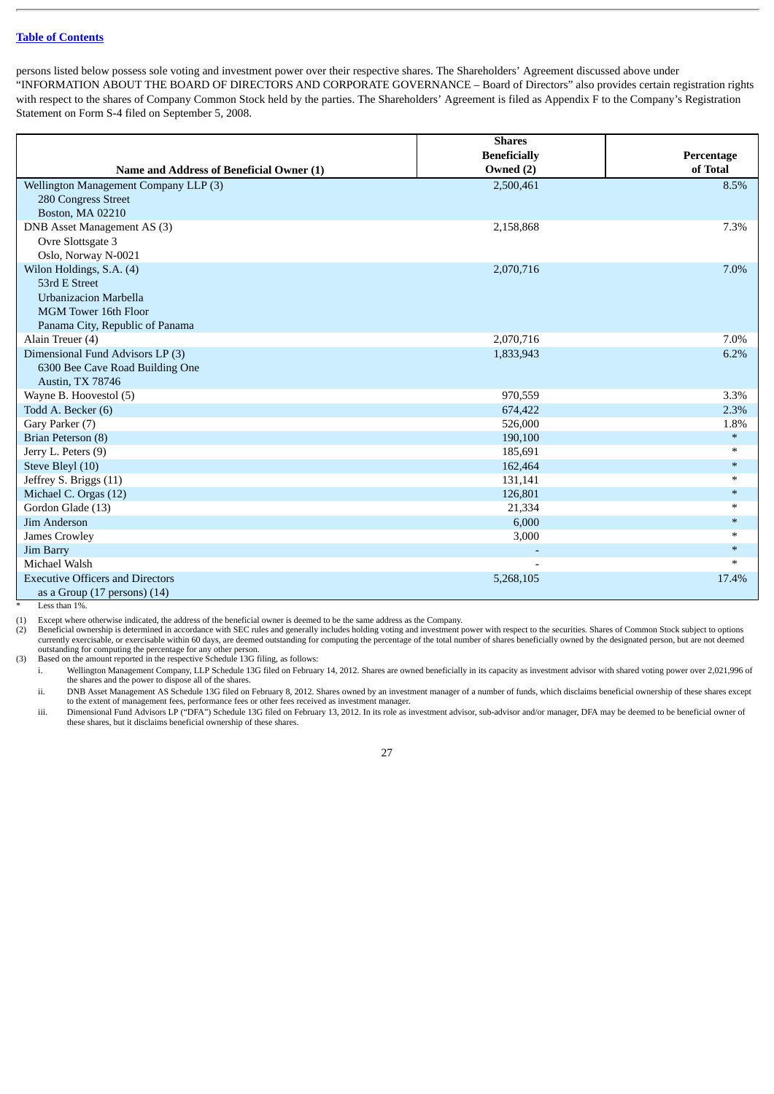persons listed below possess sole voting and investment power over their respective shares. The Shareholders' Agreement discussed above under "INFORMATION ABOUT THE BOARD OF DIRECTORS AND CORPORATE GOVERNANCE – Board of Directors" also provides certain registration rights with respect to the shares of Company Common Stock held by the parties. The Shareholders' Agreement is filed as Appendix F to the Company's Registration Statement on Form S-4 filed on September 5, 2008.

|                                          | <b>Shares</b>       |            |
|------------------------------------------|---------------------|------------|
|                                          | <b>Beneficially</b> | Percentage |
| Name and Address of Beneficial Owner (1) | Owned (2)           | of Total   |
| Wellington Management Company LLP (3)    | 2,500,461           | 8.5%       |
| 280 Congress Street                      |                     |            |
| Boston, MA 02210                         |                     |            |
| DNB Asset Management AS (3)              | 2,158,868           | 7.3%       |
| Ovre Slottsgate 3                        |                     |            |
| Oslo, Norway N-0021                      |                     |            |
| Wilon Holdings, S.A. (4)                 | 2,070,716           | 7.0%       |
| 53rd E Street                            |                     |            |
| <b>Urbanizacion Marbella</b>             |                     |            |
| MGM Tower 16th Floor                     |                     |            |
| Panama City, Republic of Panama          |                     |            |
| Alain Treuer (4)                         | 2,070,716           | 7.0%       |
| Dimensional Fund Advisors LP (3)         | 1,833,943           | 6.2%       |
| 6300 Bee Cave Road Building One          |                     |            |
| Austin, TX 78746                         |                     |            |
| Wayne B. Hoovestol (5)                   | 970,559             | 3.3%       |
| Todd A. Becker (6)                       | 674,422             | 2.3%       |
| Gary Parker (7)                          | 526,000             | 1.8%       |
| Brian Peterson (8)                       | 190,100             | $\ast$     |
| Jerry L. Peters (9)                      | 185,691             | $\ast$     |
| Steve Bleyl (10)                         | 162,464             | $\ast$     |
| Jeffrey S. Briggs (11)                   | 131,141             | $\ast$     |
| Michael C. Orgas (12)                    | 126,801             | $*$        |
| Gordon Glade (13)                        | 21,334              | ∗          |
| <b>Jim Anderson</b>                      | 6,000               | $*$        |
| James Crowley                            | 3,000               | $*$        |
| <b>Jim Barry</b>                         |                     | $*$        |
| Michael Walsh                            |                     |            |
| <b>Executive Officers and Directors</b>  | 5,268,105           | 17.4%      |
| as a Group $(17$ persons) $(14)$         |                     |            |

Less than 1%.

(1) Except where otherwise indicated, the address of the beneficial owner is deemed to be the same address as the Company.<br>(2) Beneficial ownership is determined in accordance with SEC rules and generally includes holding

Beneficial ownership is determined in accordance with SEC rules and generally includes holding voting and investment power with respect to the securities. Shares of Common Stock subject to options currently exercisable, or exercisable within 60 days, are deemed outstanding for computing the percentage of the total number of shares beneficially owned by the designated person, but are not deemed outstanding for computing the percentage for any other person. (3) Based on the amount reported in the respective Schedule 13G filing, as follows:

i. Wellington Management Company, LLP Schedule 13G filed on February 14, 2012. Shares are owned beneficially in its capacity as investment advisor with shared voting power over 2,021,996 of the shares and the power to dispose all of the shares.

ii. DNB Asset Management AS Schedule 13G filed on February 8, 2012. Shares owned by an investment manager of a number of funds, which disclaims beneficial ownership of these shares except to the extent of management fees, performance fees or other fees received as investment manager.

iii. Dimensional Fund Advisors LP ("DFA") Schedule 13G filed on February 13, 2012. In its role as investment advisor, sub-advisor and/or manager, DFA may be deemed to be beneficial owner of these shares, but it disclaims beneficial ownership of these shares.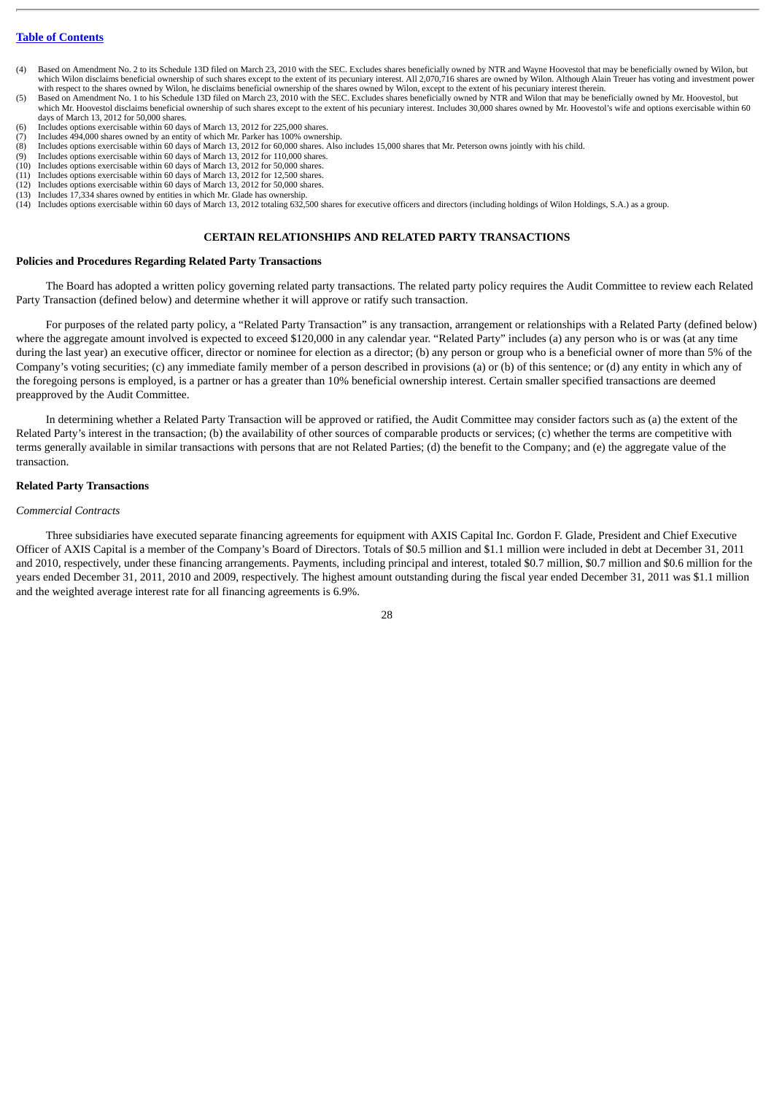- Based on Amendment No. 2 to its Schedule 13D filed on March 23, 2010 with the SEC. Excludes shares beneficially owned by NTR and Wayne Hoovestol that may be beneficially owned by Wilon, but which Wilon disclaims beneficial ownership of such shares except to the extent of its pecuniary interest. All 2,070,716 shares are owned by Wilon. Although Alain Treuer has voting and investment power with respect to the shares owned by Wilon, he disclaims beneficial ownership of the shares owned by Wilon, except to the extent of his pecuniary interest therein.
- (5) Based on Amendment No. 1 to his Schedule 13D filed on March 23, 2010 with the SEC. Excludes shares beneficially owned by NTR and Wilon that may be beneficially owned by Mr. Hoovestol, but which Mr. Hoovestol disclaims beneficial ownership of such shares except to the extent of his pecuniary interest. Includes 30,000 shares owned by Mr. Hoovestol's wife and options exercisable within 60 days of March 13, 2012 for 50,000 shares.
- (6) Includes options exercisable within 60 days of March 13, 2012 for 225,000 shares.
- 
- (7) Includes 494,000 shares owned by an entity of which Mr. Parker has 100% ownership.<br>(8) Includes options exercisable within 60 days of March 13, 2012 for 60,000 shares. Also includes 15,000 shares that Mr. Peterson owns
- Includes options exercisable within 60 days of March 13, 2012 for 110,000 shares. (10) Includes options exercisable within 60 days of March 13, 2012 for 50,000 shares.
- (11) Includes options exercisable within 60 days of March 13, 2012 for 12,500 shares.
- (12) Includes options exercisable within 60 days of March 13, 2012 for 50,000 shares.
- (13) Includes 17,334 shares owned by entities in which Mr. Glade has ownership.
- (14) Includes options exercisable within 60 days of March 13, 2012 totaling 632,500 shares for executive officers and directors (including holdings of Wilon Holdings, S.A.) as a group.

# **CERTAIN RELATIONSHIPS AND RELATED PARTY TRANSACTIONS**

# <span id="page-32-1"></span><span id="page-32-0"></span>**Policies and Procedures Regarding Related Party Transactions**

The Board has adopted a written policy governing related party transactions. The related party policy requires the Audit Committee to review each Related Party Transaction (defined below) and determine whether it will approve or ratify such transaction.

For purposes of the related party policy, a "Related Party Transaction" is any transaction, arrangement or relationships with a Related Party (defined below) where the aggregate amount involved is expected to exceed \$120,000 in any calendar year. "Related Party" includes (a) any person who is or was (at any time during the last year) an executive officer, director or nominee for election as a director; (b) any person or group who is a beneficial owner of more than 5% of the Company's voting securities; (c) any immediate family member of a person described in provisions (a) or (b) of this sentence; or (d) any entity in which any of the foregoing persons is employed, is a partner or has a greater than 10% beneficial ownership interest. Certain smaller specified transactions are deemed preapproved by the Audit Committee.

In determining whether a Related Party Transaction will be approved or ratified, the Audit Committee may consider factors such as (a) the extent of the Related Party's interest in the transaction; (b) the availability of other sources of comparable products or services; (c) whether the terms are competitive with terms generally available in similar transactions with persons that are not Related Parties; (d) the benefit to the Company; and (e) the aggregate value of the transaction.

# <span id="page-32-2"></span>**Related Party Transactions**

# *Commercial Contracts*

Three subsidiaries have executed separate financing agreements for equipment with AXIS Capital Inc. Gordon F. Glade, President and Chief Executive Officer of AXIS Capital is a member of the Company's Board of Directors. Totals of \$0.5 million and \$1.1 million were included in debt at December 31, 2011 and 2010, respectively, under these financing arrangements. Payments, including principal and interest, totaled \$0.7 million, \$0.7 million and \$0.6 million for the years ended December 31, 2011, 2010 and 2009, respectively. The highest amount outstanding during the fiscal year ended December 31, 2011 was \$1.1 million and the weighted average interest rate for all financing agreements is 6.9%.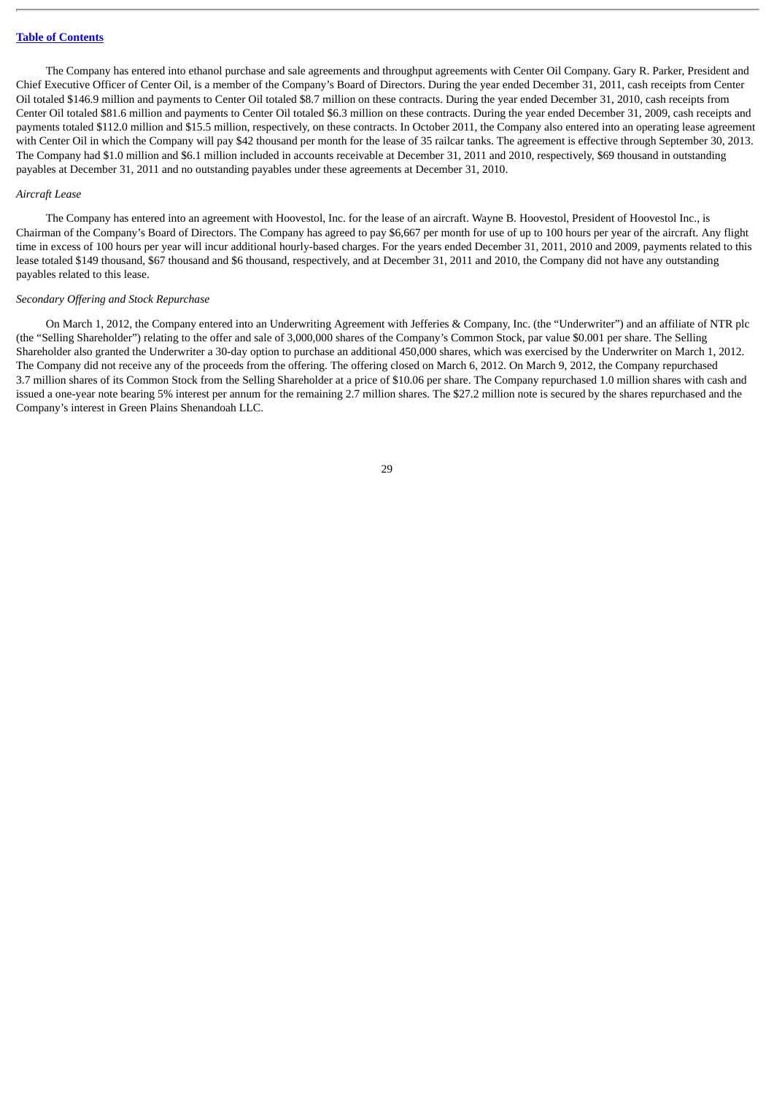The Company has entered into ethanol purchase and sale agreements and throughput agreements with Center Oil Company. Gary R. Parker, President and Chief Executive Officer of Center Oil, is a member of the Company's Board of Directors. During the year ended December 31, 2011, cash receipts from Center Oil totaled \$146.9 million and payments to Center Oil totaled \$8.7 million on these contracts. During the year ended December 31, 2010, cash receipts from Center Oil totaled \$81.6 million and payments to Center Oil totaled \$6.3 million on these contracts. During the year ended December 31, 2009, cash receipts and payments totaled \$112.0 million and \$15.5 million, respectively, on these contracts. In October 2011, the Company also entered into an operating lease agreement with Center Oil in which the Company will pay \$42 thousand per month for the lease of 35 railcar tanks. The agreement is effective through September 30, 2013. The Company had \$1.0 million and \$6.1 million included in accounts receivable at December 31, 2011 and 2010, respectively, \$69 thousand in outstanding payables at December 31, 2011 and no outstanding payables under these agreements at December 31, 2010.

# *Aircraft Lease*

The Company has entered into an agreement with Hoovestol, Inc. for the lease of an aircraft. Wayne B. Hoovestol, President of Hoovestol Inc., is Chairman of the Company's Board of Directors. The Company has agreed to pay \$6,667 per month for use of up to 100 hours per year of the aircraft. Any flight time in excess of 100 hours per year will incur additional hourly-based charges. For the years ended December 31, 2011, 2010 and 2009, payments related to this lease totaled \$149 thousand, \$67 thousand and \$6 thousand, respectively, and at December 31, 2011 and 2010, the Company did not have any outstanding payables related to this lease.

# *Secondary Offering and Stock Repurchase*

On March 1, 2012, the Company entered into an Underwriting Agreement with Jefferies & Company, Inc. (the "Underwriter") and an affiliate of NTR plc (the "Selling Shareholder") relating to the offer and sale of 3,000,000 shares of the Company's Common Stock, par value \$0.001 per share. The Selling Shareholder also granted the Underwriter a 30-day option to purchase an additional 450,000 shares, which was exercised by the Underwriter on March 1, 2012. The Company did not receive any of the proceeds from the offering. The offering closed on March 6, 2012. On March 9, 2012, the Company repurchased 3.7 million shares of its Common Stock from the Selling Shareholder at a price of \$10.06 per share. The Company repurchased 1.0 million shares with cash and issued a one-year note bearing 5% interest per annum for the remaining 2.7 million shares. The \$27.2 million note is secured by the shares repurchased and the Company's interest in Green Plains Shenandoah LLC.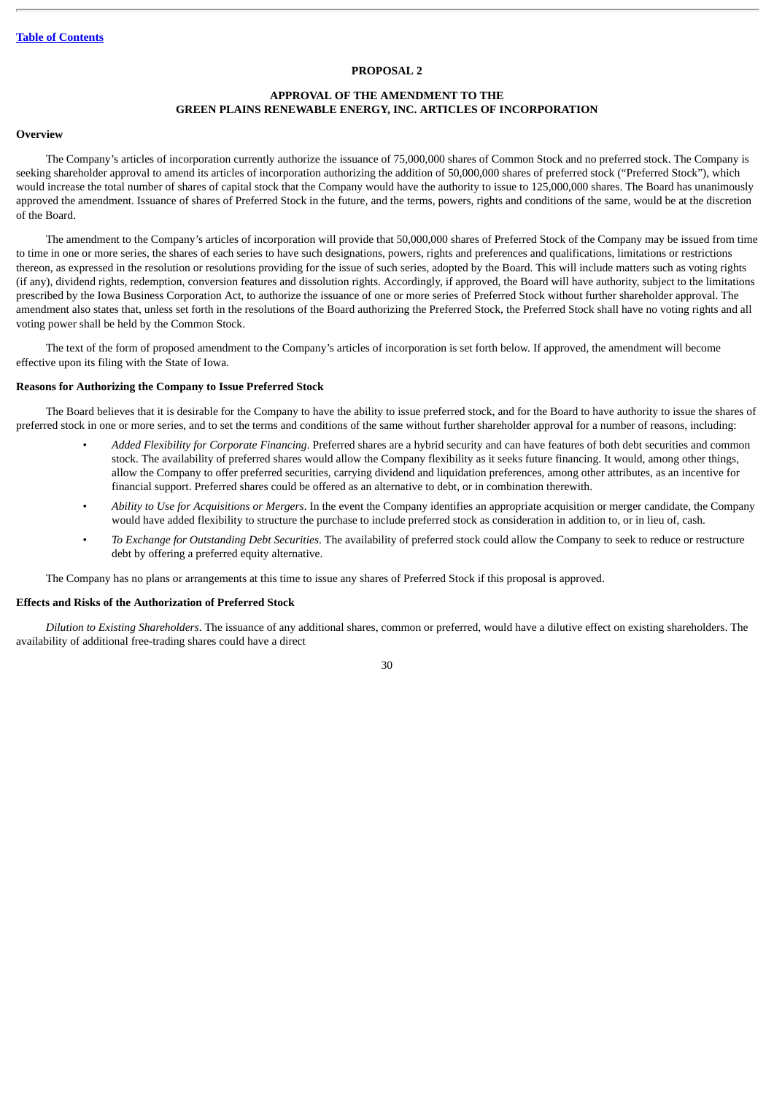# **PROPOSAL 2**

# **APPROVAL OF THE AMENDMENT TO THE GREEN PLAINS RENEWABLE ENERGY, INC. ARTICLES OF INCORPORATION**

# <span id="page-34-1"></span><span id="page-34-0"></span>**Overview**

The Company's articles of incorporation currently authorize the issuance of 75,000,000 shares of Common Stock and no preferred stock. The Company is seeking shareholder approval to amend its articles of incorporation authorizing the addition of 50,000,000 shares of preferred stock ("Preferred Stock"), which would increase the total number of shares of capital stock that the Company would have the authority to issue to 125,000,000 shares. The Board has unanimously approved the amendment. Issuance of shares of Preferred Stock in the future, and the terms, powers, rights and conditions of the same, would be at the discretion of the Board.

The amendment to the Company's articles of incorporation will provide that 50,000,000 shares of Preferred Stock of the Company may be issued from time to time in one or more series, the shares of each series to have such designations, powers, rights and preferences and qualifications, limitations or restrictions thereon, as expressed in the resolution or resolutions providing for the issue of such series, adopted by the Board. This will include matters such as voting rights (if any), dividend rights, redemption, conversion features and dissolution rights. Accordingly, if approved, the Board will have authority, subject to the limitations prescribed by the Iowa Business Corporation Act, to authorize the issuance of one or more series of Preferred Stock without further shareholder approval. The amendment also states that, unless set forth in the resolutions of the Board authorizing the Preferred Stock, the Preferred Stock shall have no voting rights and all voting power shall be held by the Common Stock.

The text of the form of proposed amendment to the Company's articles of incorporation is set forth below. If approved, the amendment will become effective upon its filing with the State of Iowa.

# <span id="page-34-2"></span>**Reasons for Authorizing the Company to Issue Preferred Stock**

The Board believes that it is desirable for the Company to have the ability to issue preferred stock, and for the Board to have authority to issue the shares of preferred stock in one or more series, and to set the terms and conditions of the same without further shareholder approval for a number of reasons, including:

- *Added Flexibility for Corporate Financing*. Preferred shares are a hybrid security and can have features of both debt securities and common stock. The availability of preferred shares would allow the Company flexibility as it seeks future financing. It would, among other things, allow the Company to offer preferred securities, carrying dividend and liquidation preferences, among other attributes, as an incentive for financial support. Preferred shares could be offered as an alternative to debt, or in combination therewith.
- *Ability to Use for Acquisitions or Mergers*. In the event the Company identifies an appropriate acquisition or merger candidate, the Company would have added flexibility to structure the purchase to include preferred stock as consideration in addition to, or in lieu of, cash.
- *To Exchange for Outstanding Debt Securities*. The availability of preferred stock could allow the Company to seek to reduce or restructure debt by offering a preferred equity alternative.

The Company has no plans or arrangements at this time to issue any shares of Preferred Stock if this proposal is approved.

# <span id="page-34-3"></span>**Effects and Risks of the Authorization of Preferred Stock**

*Dilution to Existing Shareholders*. The issuance of any additional shares, common or preferred, would have a dilutive effect on existing shareholders. The availability of additional free-trading shares could have a direct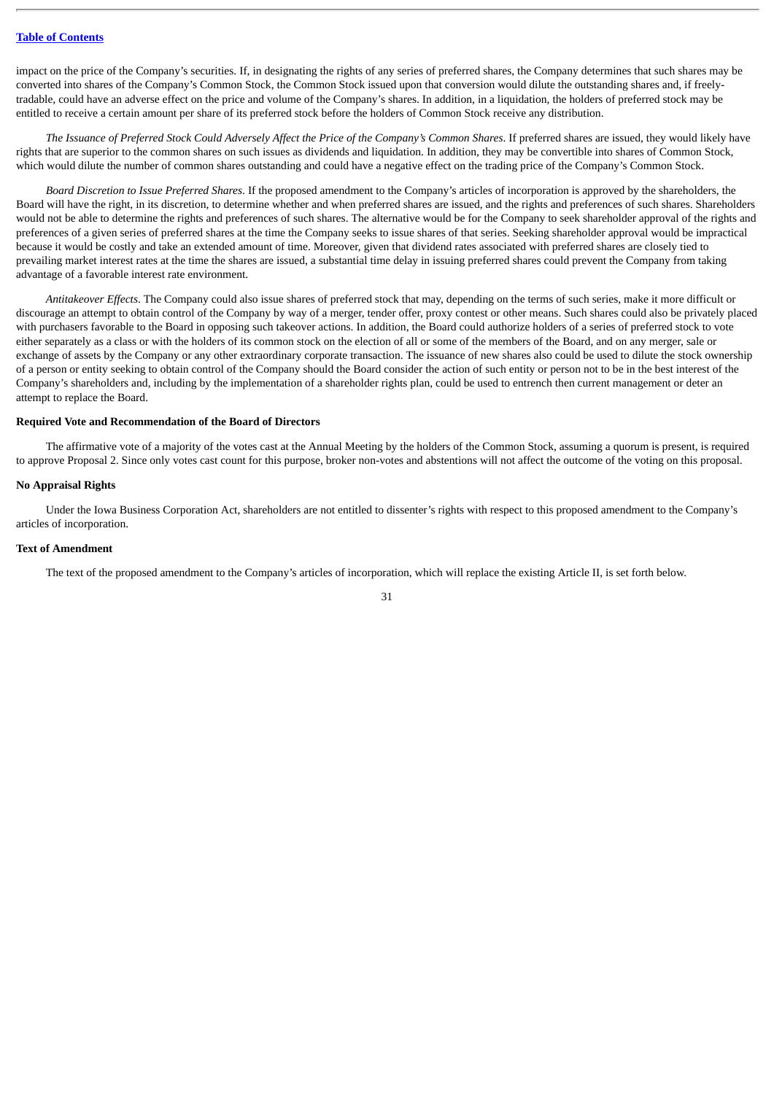impact on the price of the Company's securities. If, in designating the rights of any series of preferred shares, the Company determines that such shares may be converted into shares of the Company's Common Stock, the Common Stock issued upon that conversion would dilute the outstanding shares and, if freelytradable, could have an adverse effect on the price and volume of the Company's shares. In addition, in a liquidation, the holders of preferred stock may be entitled to receive a certain amount per share of its preferred stock before the holders of Common Stock receive any distribution.

*The Issuance of Preferred Stock Could Adversely Affect the Price of the Company's Common Shares*. If preferred shares are issued, they would likely have rights that are superior to the common shares on such issues as dividends and liquidation. In addition, they may be convertible into shares of Common Stock, which would dilute the number of common shares outstanding and could have a negative effect on the trading price of the Company's Common Stock.

*Board Discretion to Issue Preferred Shares*. If the proposed amendment to the Company's articles of incorporation is approved by the shareholders, the Board will have the right, in its discretion, to determine whether and when preferred shares are issued, and the rights and preferences of such shares. Shareholders would not be able to determine the rights and preferences of such shares. The alternative would be for the Company to seek shareholder approval of the rights and preferences of a given series of preferred shares at the time the Company seeks to issue shares of that series. Seeking shareholder approval would be impractical because it would be costly and take an extended amount of time. Moreover, given that dividend rates associated with preferred shares are closely tied to prevailing market interest rates at the time the shares are issued, a substantial time delay in issuing preferred shares could prevent the Company from taking advantage of a favorable interest rate environment.

*Antitakeover Effects*. The Company could also issue shares of preferred stock that may, depending on the terms of such series, make it more difficult or discourage an attempt to obtain control of the Company by way of a merger, tender offer, proxy contest or other means. Such shares could also be privately placed with purchasers favorable to the Board in opposing such takeover actions. In addition, the Board could authorize holders of a series of preferred stock to vote either separately as a class or with the holders of its common stock on the election of all or some of the members of the Board, and on any merger, sale or exchange of assets by the Company or any other extraordinary corporate transaction. The issuance of new shares also could be used to dilute the stock ownership of a person or entity seeking to obtain control of the Company should the Board consider the action of such entity or person not to be in the best interest of the Company's shareholders and, including by the implementation of a shareholder rights plan, could be used to entrench then current management or deter an attempt to replace the Board.

# <span id="page-35-0"></span>**Required Vote and Recommendation of the Board of Directors**

The affirmative vote of a majority of the votes cast at the Annual Meeting by the holders of the Common Stock, assuming a quorum is present, is required to approve Proposal 2. Since only votes cast count for this purpose, broker non-votes and abstentions will not affect the outcome of the voting on this proposal.

# <span id="page-35-1"></span>**No Appraisal Rights**

Under the Iowa Business Corporation Act, shareholders are not entitled to dissenter's rights with respect to this proposed amendment to the Company's articles of incorporation.

# <span id="page-35-2"></span>**Text of Amendment**

The text of the proposed amendment to the Company's articles of incorporation, which will replace the existing Article II, is set forth below.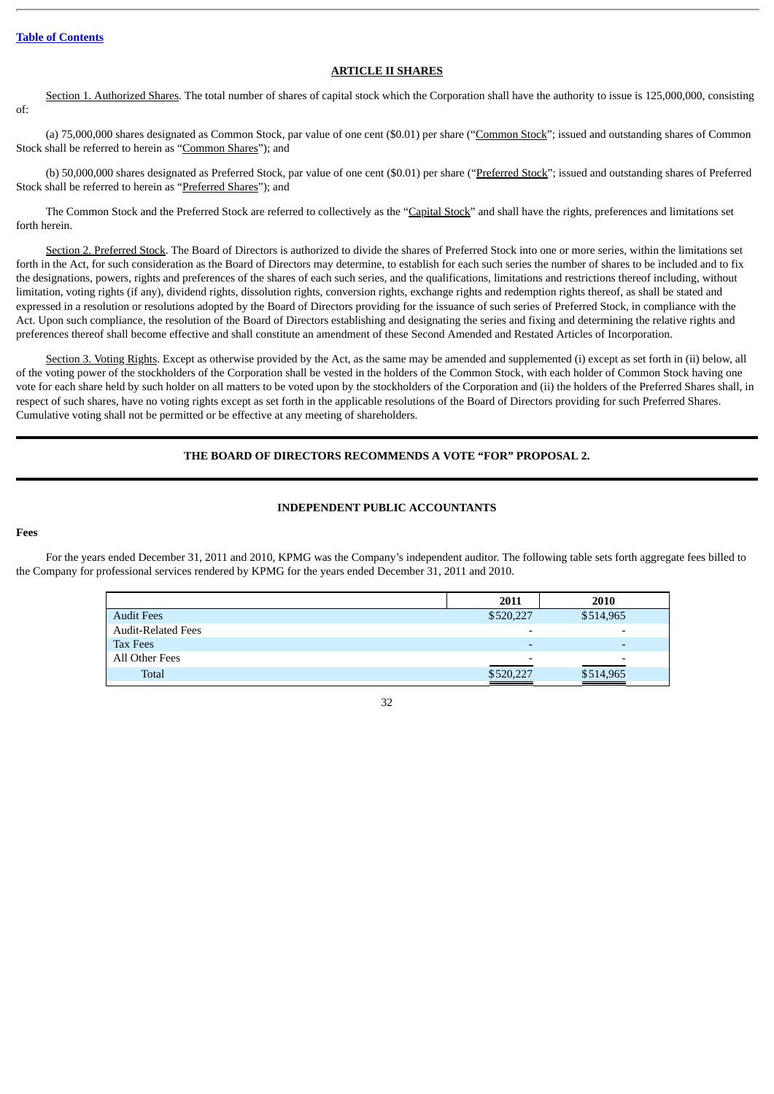# **ARTICLE II SHARES**

Section 1. Authorized Shares. The total number of shares of capital stock which the Corporation shall have the authority to issue is 125,000,000, consisting of:

(a) 75,000,000 shares designated as Common Stock, par value of one cent (\$0.01) per share ("Common Stock"; issued and outstanding shares of Common Stock shall be referred to herein as "Common Shares"); and

(b) 50,000,000 shares designated as Preferred Stock, par value of one cent (\$0.01) per share ("Preferred Stock"; issued and outstanding shares of Preferred Stock shall be referred to herein as "Preferred Shares"); and

The Common Stock and the Preferred Stock are referred to collectively as the "Capital Stock" and shall have the rights, preferences and limitations set forth herein.

Section 2. Preferred Stock. The Board of Directors is authorized to divide the shares of Preferred Stock into one or more series, within the limitations set forth in the Act, for such consideration as the Board of Directors may determine, to establish for each such series the number of shares to be included and to fix the designations, powers, rights and preferences of the shares of each such series, and the qualifications, limitations and restrictions thereof including, without limitation, voting rights (if any), dividend rights, dissolution rights, conversion rights, exchange rights and redemption rights thereof, as shall be stated and expressed in a resolution or resolutions adopted by the Board of Directors providing for the issuance of such series of Preferred Stock, in compliance with the Act. Upon such compliance, the resolution of the Board of Directors establishing and designating the series and fixing and determining the relative rights and preferences thereof shall become effective and shall constitute an amendment of these Second Amended and Restated Articles of Incorporation.

Section 3. Voting Rights. Except as otherwise provided by the Act, as the same may be amended and supplemented (i) except as set forth in (ii) below, all of the voting power of the stockholders of the Corporation shall be vested in the holders of the Common Stock, with each holder of Common Stock having one vote for each share held by such holder on all matters to be voted upon by the stockholders of the Corporation and (ii) the holders of the Preferred Shares shall, in respect of such shares, have no voting rights except as set forth in the applicable resolutions of the Board of Directors providing for such Preferred Shares. Cumulative voting shall not be permitted or be effective at any meeting of shareholders.

# **THE BOARD OF DIRECTORS RECOMMENDS A VOTE "FOR" PROPOSAL 2.**

# **INDEPENDENT PUBLIC ACCOUNTANTS**

# <span id="page-36-1"></span><span id="page-36-0"></span>**Fees**

For the years ended December 31, 2011 and 2010, KPMG was the Company's independent auditor. The following table sets forth aggregate fees billed to the Company for professional services rendered by KPMG for the years ended December 31, 2011 and 2010.

|                           | 2011                     | 2010                     |
|---------------------------|--------------------------|--------------------------|
| <b>Audit Fees</b>         | \$520,227                | \$514,965                |
| <b>Audit-Related Fees</b> | $\overline{\phantom{a}}$ | $\overline{\phantom{a}}$ |
| Tax Fees                  | $\overline{\phantom{0}}$ | $\overline{\phantom{0}}$ |
| All Other Fees            | $\overline{\phantom{a}}$ | $\overline{\phantom{0}}$ |
| <b>Total</b>              | \$520,227                | \$514,965                |
|                           |                          |                          |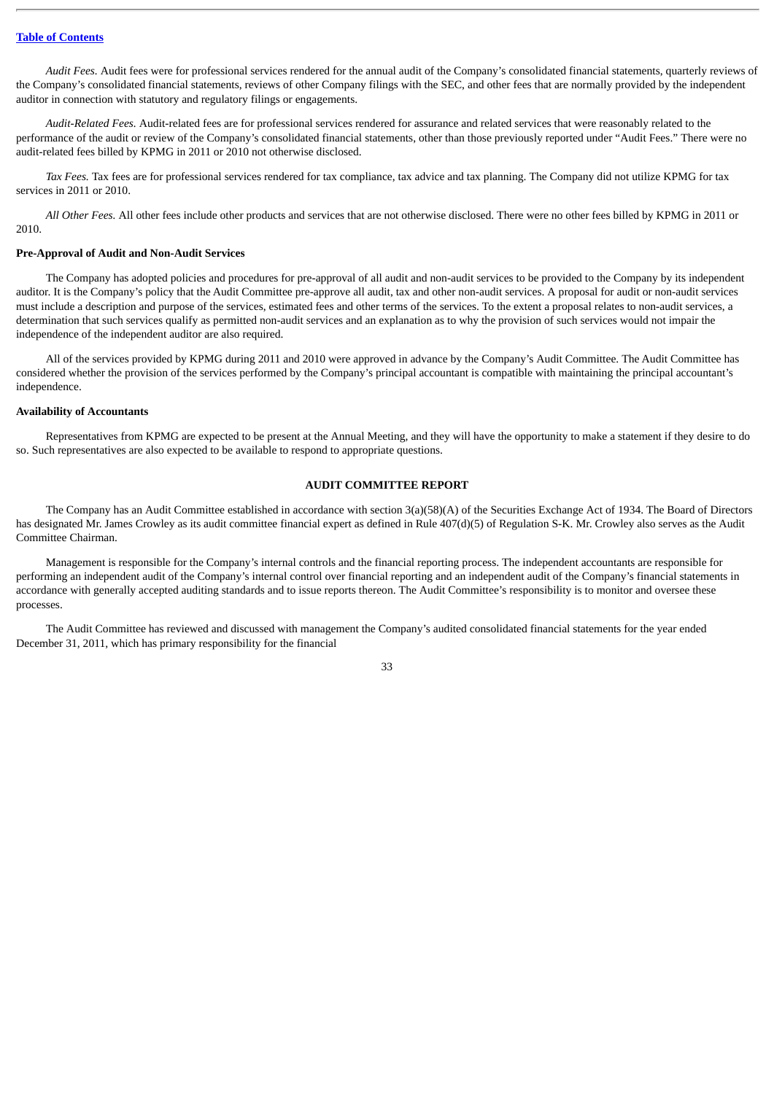*Audit Fees.* Audit fees were for professional services rendered for the annual audit of the Company's consolidated financial statements, quarterly reviews of the Company's consolidated financial statements, reviews of other Company filings with the SEC, and other fees that are normally provided by the independent auditor in connection with statutory and regulatory filings or engagements.

*Audit-Related Fees.* Audit-related fees are for professional services rendered for assurance and related services that were reasonably related to the performance of the audit or review of the Company's consolidated financial statements, other than those previously reported under "Audit Fees." There were no audit-related fees billed by KPMG in 2011 or 2010 not otherwise disclosed.

*Tax Fees.* Tax fees are for professional services rendered for tax compliance, tax advice and tax planning. The Company did not utilize KPMG for tax services in 2011 or 2010.

*All Other Fees.* All other fees include other products and services that are not otherwise disclosed. There were no other fees billed by KPMG in 2011 or 2010.

# <span id="page-37-0"></span>**Pre-Approval of Audit and Non-Audit Services**

The Company has adopted policies and procedures for pre-approval of all audit and non-audit services to be provided to the Company by its independent auditor. It is the Company's policy that the Audit Committee pre-approve all audit, tax and other non-audit services. A proposal for audit or non-audit services must include a description and purpose of the services, estimated fees and other terms of the services. To the extent a proposal relates to non-audit services, a determination that such services qualify as permitted non-audit services and an explanation as to why the provision of such services would not impair the independence of the independent auditor are also required.

All of the services provided by KPMG during 2011 and 2010 were approved in advance by the Company's Audit Committee. The Audit Committee has considered whether the provision of the services performed by the Company's principal accountant is compatible with maintaining the principal accountant's independence.

# <span id="page-37-1"></span>**Availability of Accountants**

Representatives from KPMG are expected to be present at the Annual Meeting, and they will have the opportunity to make a statement if they desire to do so. Such representatives are also expected to be available to respond to appropriate questions.

# **AUDIT COMMITTEE REPORT**

<span id="page-37-2"></span>The Company has an Audit Committee established in accordance with section 3(a)(58)(A) of the Securities Exchange Act of 1934. The Board of Directors has designated Mr. James Crowley as its audit committee financial expert as defined in Rule 407(d)(5) of Regulation S-K. Mr. Crowley also serves as the Audit Committee Chairman.

Management is responsible for the Company's internal controls and the financial reporting process. The independent accountants are responsible for performing an independent audit of the Company's internal control over financial reporting and an independent audit of the Company's financial statements in accordance with generally accepted auditing standards and to issue reports thereon. The Audit Committee's responsibility is to monitor and oversee these processes.

The Audit Committee has reviewed and discussed with management the Company's audited consolidated financial statements for the year ended December 31, 2011, which has primary responsibility for the financial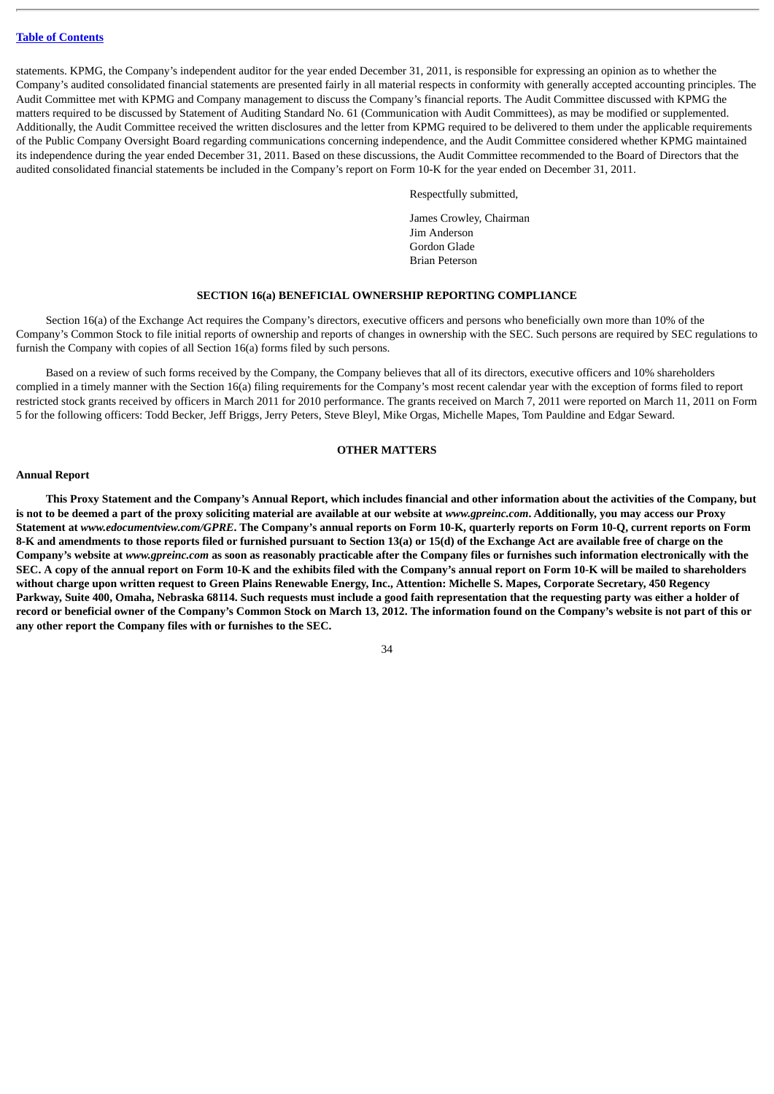statements. KPMG, the Company's independent auditor for the year ended December 31, 2011, is responsible for expressing an opinion as to whether the Company's audited consolidated financial statements are presented fairly in all material respects in conformity with generally accepted accounting principles. The Audit Committee met with KPMG and Company management to discuss the Company's financial reports. The Audit Committee discussed with KPMG the matters required to be discussed by Statement of Auditing Standard No. 61 (Communication with Audit Committees), as may be modified or supplemented. Additionally, the Audit Committee received the written disclosures and the letter from KPMG required to be delivered to them under the applicable requirements of the Public Company Oversight Board regarding communications concerning independence, and the Audit Committee considered whether KPMG maintained its independence during the year ended December 31, 2011. Based on these discussions, the Audit Committee recommended to the Board of Directors that the audited consolidated financial statements be included in the Company's report on Form 10-K for the year ended on December 31, 2011.

Respectfully submitted,

James Crowley, Chairman Jim Anderson Gordon Glade Brian Peterson

# **SECTION 16(a) BENEFICIAL OWNERSHIP REPORTING COMPLIANCE**

<span id="page-38-0"></span>Section 16(a) of the Exchange Act requires the Company's directors, executive officers and persons who beneficially own more than 10% of the Company's Common Stock to file initial reports of ownership and reports of changes in ownership with the SEC. Such persons are required by SEC regulations to furnish the Company with copies of all Section 16(a) forms filed by such persons.

Based on a review of such forms received by the Company, the Company believes that all of its directors, executive officers and 10% shareholders complied in a timely manner with the Section 16(a) filing requirements for the Company's most recent calendar year with the exception of forms filed to report restricted stock grants received by officers in March 2011 for 2010 performance. The grants received on March 7, 2011 were reported on March 11, 2011 on Form 5 for the following officers: Todd Becker, Jeff Briggs, Jerry Peters, Steve Bleyl, Mike Orgas, Michelle Mapes, Tom Pauldine and Edgar Seward.

# **OTHER MATTERS**

# <span id="page-38-2"></span><span id="page-38-1"></span>**Annual Report**

**This Proxy Statement and the Company's Annual Report, which includes financial and other information about the activities of the Company, but** is not to be deemed a part of the proxy soliciting material are available at our website at *www.gpreinc.com*. Additionally, you may access our Proxy **Statement at** *www.edocumentview.com/GPRE***. The Company's annual reports on Form 10-K, quarterly reports on Form 10-Q, current reports on Form 8-K and amendments to those reports filed or furnished pursuant to Section 13(a) or 15(d) of the Exchange Act are available free of charge on the Company's website at** *www.gpreinc.com* **as soon as reasonably practicable after the Company files or furnishes such information electronically with the SEC. A copy of the annual report on Form 10-K and the exhibits filed with the Company's annual report on Form 10-K will be mailed to shareholders without charge upon written request to Green Plains Renewable Energy, Inc., Attention: Michelle S. Mapes, Corporate Secretary, 450 Regency Parkway, Suite 400, Omaha, Nebraska 68114. Such requests must include a good faith representation that the requesting party was either a holder of record or beneficial owner of the Company's Common Stock on March 13, 2012. The information found on the Company's website is not part of this or any other report the Company files with or furnishes to the SEC.**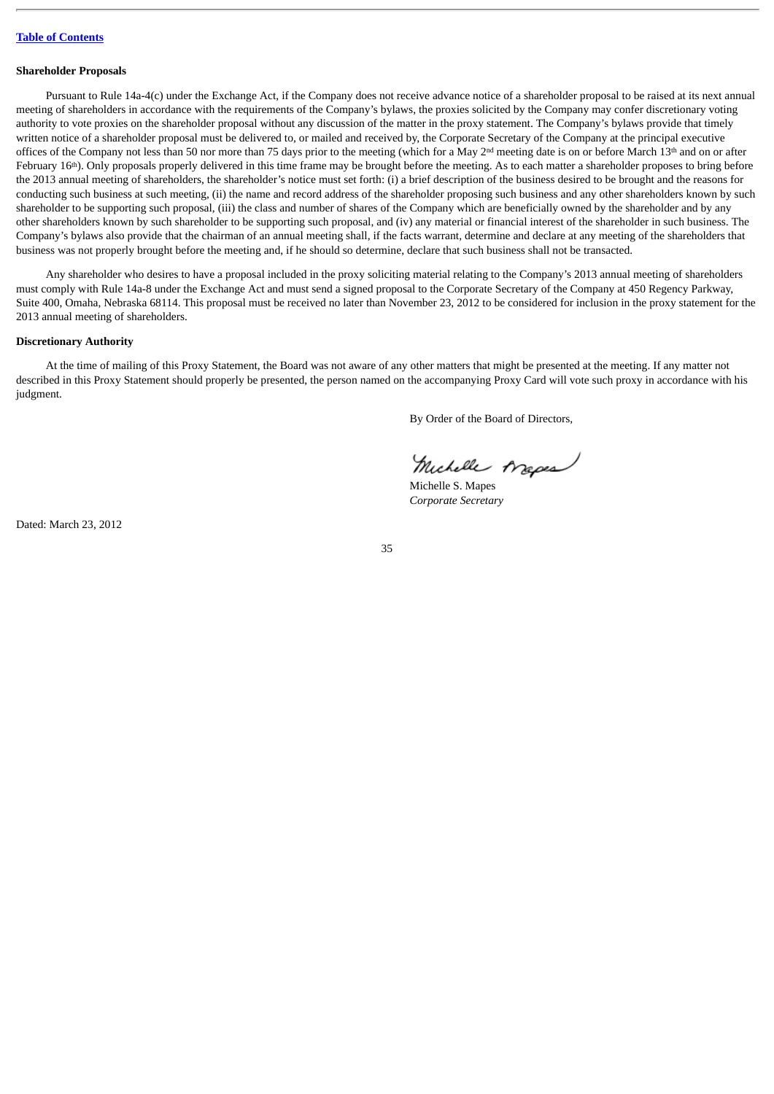# <span id="page-39-0"></span>**Shareholder Proposals**

Pursuant to Rule 14a-4(c) under the Exchange Act, if the Company does not receive advance notice of a shareholder proposal to be raised at its next annual meeting of shareholders in accordance with the requirements of the Company's bylaws, the proxies solicited by the Company may confer discretionary voting authority to vote proxies on the shareholder proposal without any discussion of the matter in the proxy statement. The Company's bylaws provide that timely written notice of a shareholder proposal must be delivered to, or mailed and received by, the Corporate Secretary of the Company at the principal executive offices of the Company not less than 50 nor more than 75 days prior to the meeting (which for a May  $2<sup>nd</sup>$  meeting date is on or before March 13<sup>th</sup> and on or after February 16<sup>th</sup>). Only proposals properly delivered in this time frame may be brought before the meeting. As to each matter a shareholder proposes to bring before the 2013 annual meeting of shareholders, the shareholder's notice must set forth: (i) a brief description of the business desired to be brought and the reasons for conducting such business at such meeting, (ii) the name and record address of the shareholder proposing such business and any other shareholders known by such shareholder to be supporting such proposal, (iii) the class and number of shares of the Company which are beneficially owned by the shareholder and by any other shareholders known by such shareholder to be supporting such proposal, and (iv) any material or financial interest of the shareholder in such business. The Company's bylaws also provide that the chairman of an annual meeting shall, if the facts warrant, determine and declare at any meeting of the shareholders that business was not properly brought before the meeting and, if he should so determine, declare that such business shall not be transacted.

Any shareholder who desires to have a proposal included in the proxy soliciting material relating to the Company's 2013 annual meeting of shareholders must comply with Rule 14a-8 under the Exchange Act and must send a signed proposal to the Corporate Secretary of the Company at 450 Regency Parkway, Suite 400, Omaha, Nebraska 68114. This proposal must be received no later than November 23, 2012 to be considered for inclusion in the proxy statement for the 2013 annual meeting of shareholders.

# <span id="page-39-1"></span>**Discretionary Authority**

At the time of mailing of this Proxy Statement, the Board was not aware of any other matters that might be presented at the meeting. If any matter not described in this Proxy Statement should properly be presented, the person named on the accompanying Proxy Card will vote such proxy in accordance with his judgment.

By Order of the Board of Directors,

Michelle Angels

Michelle S. Mapes *Corporate Secretary*

Dated: March 23, 2012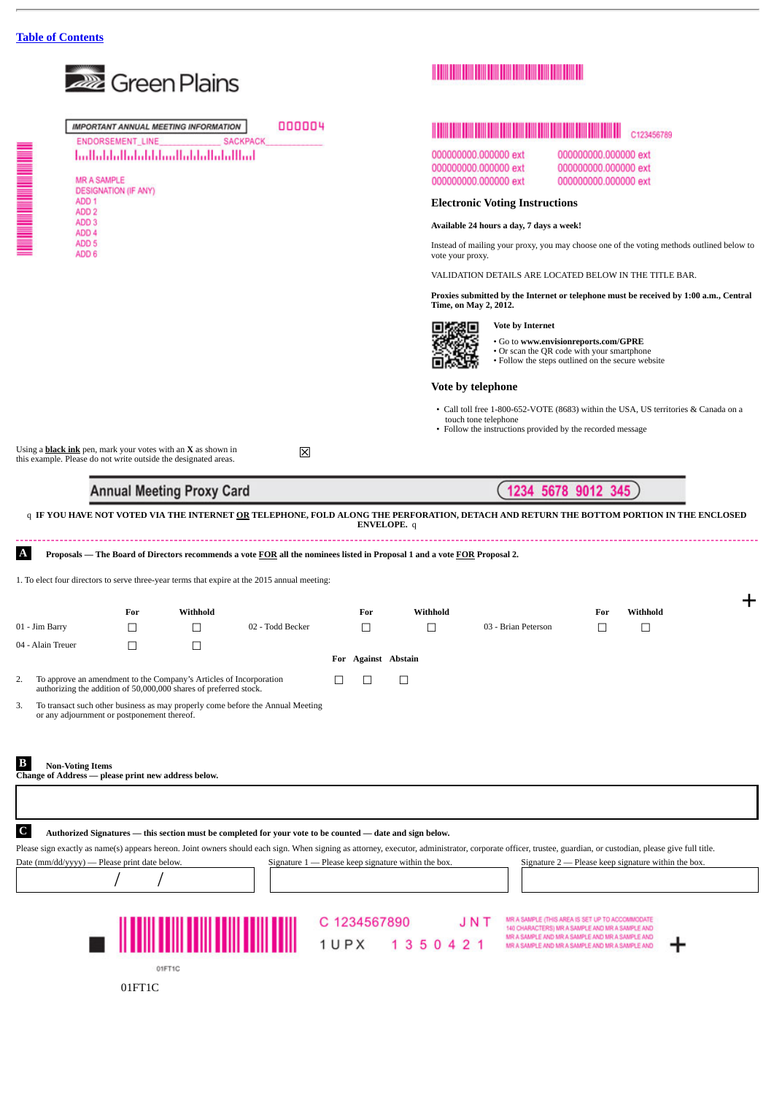

# **HIMMINIAN REPORT OF A 45 YO MALE AND REPORT OF A 45 YO MALE AND REPORT OF A 45 YO MALE AND REPORT OF A 45 YO MALE AND REPORT OF A 45 YO MALE AND REPORT OF A 45 YO MALE AND REPORT OF A 45 YO MALE AND REPORT OF A 45 YO MALE**

000000000.000000 ext 000000000.000000 ext 000000000.000000 ext 000000000.000000 ext 000000000.000000 ext

#### **Electronic Voting Instructions**

**Available 24 hours a day, 7 days a week!**

Instead of mailing your proxy, you may choose one of the voting methods outlined below to

VALIDATION DETAILS ARE LOCATED BELOW IN THE TITLE BAR.

**Proxies submitted by the Internet or telephone must be received by 1:00 a.m., Central**

**Vote by Internet**

• Go to **www.envisionreports.com/GPRE** • Or scan the QR code with your smartphone

• Follow the steps outlined on the secure website

• Call toll free 1-800-652-VOTE (8683) within the USA, US territories & Canada on a

touch tone telephone • Follow the instructions provided by the recorded message

 $(1234 5678 9012 345)$ 

| $\mathbf{A}$                                                                        |        |                                                                                                                                         | Proposals — The Board of Directors recommends a vote FOR all the nominees listed in Proposal 1 and a vote FOR Proposal 2. |                                                       |          |                                                                                                                                                                                                              |     |                                                     |  |
|-------------------------------------------------------------------------------------|--------|-----------------------------------------------------------------------------------------------------------------------------------------|---------------------------------------------------------------------------------------------------------------------------|-------------------------------------------------------|----------|--------------------------------------------------------------------------------------------------------------------------------------------------------------------------------------------------------------|-----|-----------------------------------------------------|--|
|                                                                                     |        |                                                                                                                                         | 1. To elect four directors to serve three-year terms that expire at the 2015 annual meeting:                              |                                                       |          |                                                                                                                                                                                                              |     |                                                     |  |
|                                                                                     | For    | Withhold                                                                                                                                |                                                                                                                           | For                                                   | Withhold |                                                                                                                                                                                                              | For | Withhold                                            |  |
| 01 - Jim Barry                                                                      | П      | $\Box$                                                                                                                                  | 02 - Todd Becker                                                                                                          | $\perp$                                               | П        | 03 - Brian Peterson                                                                                                                                                                                          | П   | □                                                   |  |
| 04 - Alain Treuer                                                                   | $\Box$ | $\Box$                                                                                                                                  |                                                                                                                           | For Against Abstain                                   |          |                                                                                                                                                                                                              |     |                                                     |  |
| 2.                                                                                  |        | To approve an amendment to the Company's Articles of Incorporation<br>authorizing the addition of 50,000,000 shares of preferred stock. |                                                                                                                           |                                                       | $\Box$   |                                                                                                                                                                                                              |     |                                                     |  |
| 3.<br>or any adjournment or postponement thereof.                                   |        |                                                                                                                                         | To transact such other business as may properly come before the Annual Meeting                                            |                                                       |          |                                                                                                                                                                                                              |     |                                                     |  |
| B<br><b>Non-Voting Items</b><br>Change of Address - please print new address below. |        |                                                                                                                                         |                                                                                                                           |                                                       |          |                                                                                                                                                                                                              |     |                                                     |  |
| $\mathbf C$<br>Date (mm/dd/yyyy) — Please print date below.                         |        |                                                                                                                                         | Authorized Signatures — this section must be completed for your vote to be counted — date and sign below.                 | Signature $1$ — Please keep signature within the box. |          | Please sign exactly as name(s) appears hereon. Joint owners should each sign. When signing as attorney, executor, administrator, corporate officer, trustee, guardian, or custodian, please give full title. |     | Signature 2 - Please keep signature within the box. |  |
|                                                                                     |        |                                                                                                                                         |                                                                                                                           | C 1234567890                                          |          | J N T<br>MR A SAMPLE (THIS AREA IS SET UP TO ACCOMMODATE                                                                                                                                                     |     |                                                     |  |
|                                                                                     |        | 01FT1C                                                                                                                                  |                                                                                                                           | 1UPX                                                  | 1 3 5 0  | 140 CHARACTERS) MR A SAMPLE AND MR A SAMPLE AND<br>MR A SAMPLE AND MR A SAMPLE AND MR A SAMPLE AND<br>MR A SAMPLE AND MR A SAMPLE AND MR A SAMPLE AND                                                        |     |                                                     |  |

01FT1C